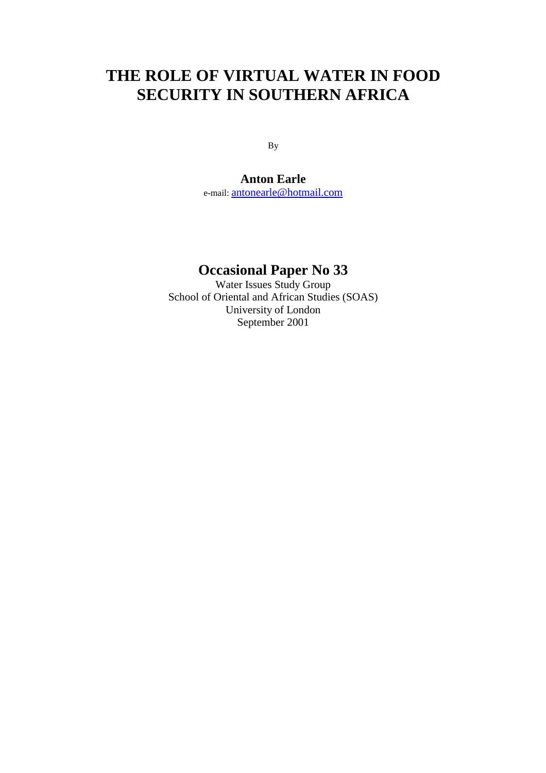# **THE ROLE OF VIRTUAL WATER IN FOOD SECURITY IN SOUTHERN AFRICA**

By

**Anton Earle**  e-mail: antonearle@hotmail.com

## **Occasional Paper No 33**

Water Issues Study Group School of Oriental and African Studies (SOAS) University of London September 2001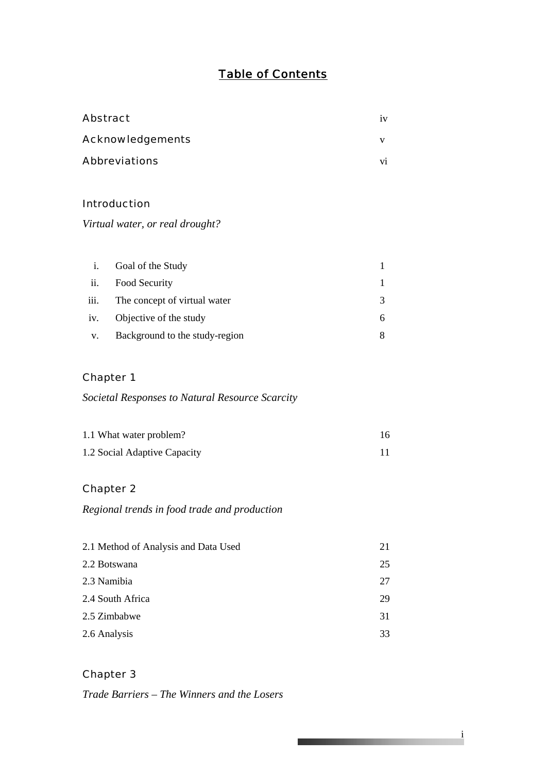## *Table of Contents*

| Abstract                        |                                | iv |  |
|---------------------------------|--------------------------------|----|--|
|                                 | Acknowledgements               | V  |  |
|                                 | Abbreviations                  |    |  |
|                                 |                                |    |  |
|                                 | Introduction                   |    |  |
| Virtual water, or real drought? |                                |    |  |
|                                 |                                |    |  |
| i.                              | Goal of the Study              | 1  |  |
| ii.                             | Food Security                  | 1  |  |
| iii.                            | The concept of virtual water   | 3  |  |
| iv.                             | Objective of the study         | 6  |  |
| V.                              | Background to the study-region | 8  |  |
|                                 |                                |    |  |

### Chapter 1

## *Societal Responses to Natural Resource Scarcity*

| 1.1 What water problem?      |  |
|------------------------------|--|
| 1.2 Social Adaptive Capacity |  |

## Chapter 2

## *Regional trends in food trade and production*

| 21 |
|----|
| 25 |
| 27 |
| 29 |
| 31 |
| 33 |
|    |

i

<u> The Common Second Common Second Common Second Common Second Common Second Common Second Common Second Common Second</u>

Chapter 3

*Trade Barriers – The Winners and the Losers*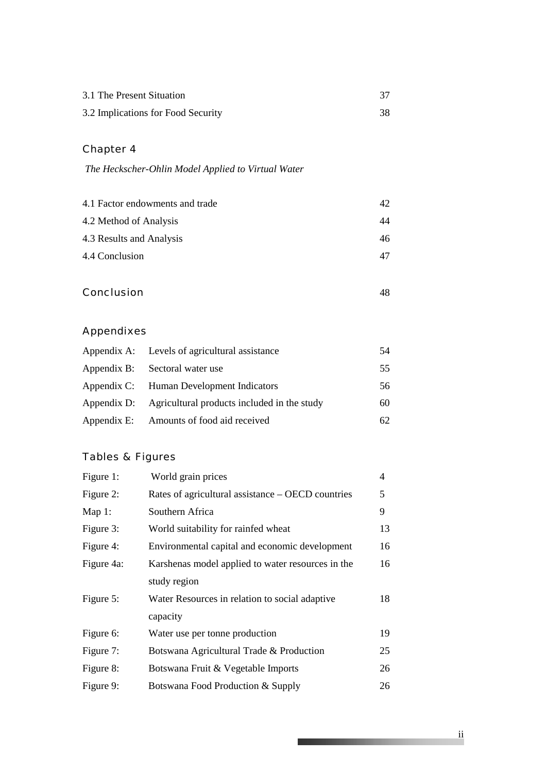| 3.1 The Present Situation          |  |
|------------------------------------|--|
| 3.2 Implications for Food Security |  |

## Chapter 4

 *The Heckscher-Ohlin Model Applied to Virtual Water* 

| 4.1 Factor endowments and trade | 42 |
|---------------------------------|----|
| 4.2 Method of Analysis          | 44 |
| 4.3 Results and Analysis        | 46 |
| 4.4 Conclusion                  | 47 |

Conclusion 48

## Appendixes

| Appendix A: Levels of agricultural assistance           | 54 |
|---------------------------------------------------------|----|
| Appendix B: Sectoral water use                          | 55 |
| Appendix C: Human Development Indicators                | 56 |
| Appendix D: Agricultural products included in the study | 60 |
| Appendix E: Amounts of food aid received                | 62 |

## Tables & Figures

| Figure 1:  | World grain prices                                | 4  |
|------------|---------------------------------------------------|----|
| Figure 2:  | Rates of agricultural assistance – OECD countries | 5  |
| Map $1$ :  | Southern Africa                                   | 9  |
| Figure 3:  | World suitability for rainfed wheat               | 13 |
| Figure 4:  | Environmental capital and economic development    | 16 |
| Figure 4a: | Karshenas model applied to water resources in the | 16 |
|            | study region                                      |    |
| Figure 5:  | Water Resources in relation to social adaptive    | 18 |
|            | capacity                                          |    |
| Figure 6:  | Water use per tonne production                    | 19 |
| Figure 7:  | Botswana Agricultural Trade & Production          | 25 |
| Figure 8:  | Botswana Fruit & Vegetable Imports                | 26 |
| Figure 9:  | Botswana Food Production & Supply                 | 26 |

**The Committee of the Committee of the Committee**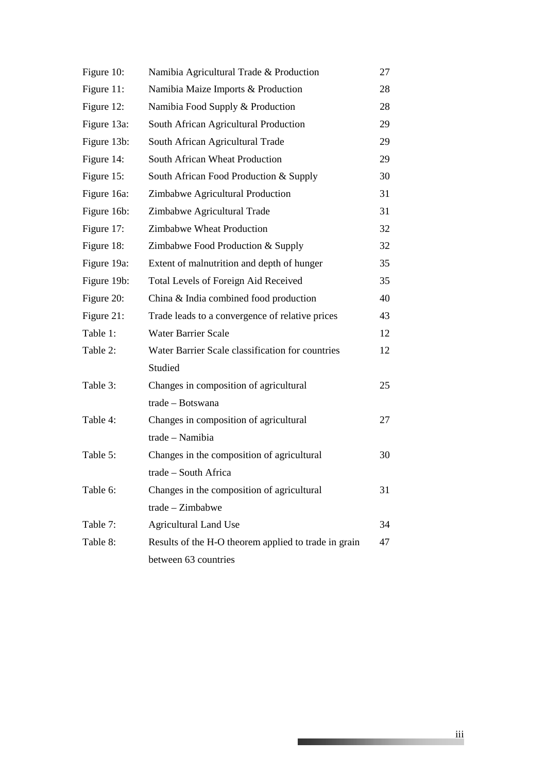| Figure 10:  | Namibia Agricultural Trade & Production              | 27 |
|-------------|------------------------------------------------------|----|
| Figure 11:  | Namibia Maize Imports & Production                   | 28 |
| Figure 12:  | Namibia Food Supply & Production                     | 28 |
| Figure 13a: | South African Agricultural Production                | 29 |
| Figure 13b: | South African Agricultural Trade                     | 29 |
| Figure 14:  | South African Wheat Production                       | 29 |
| Figure 15:  | South African Food Production & Supply               | 30 |
| Figure 16a: | Zimbabwe Agricultural Production                     | 31 |
| Figure 16b: | Zimbabwe Agricultural Trade                          | 31 |
| Figure 17:  | Zimbabwe Wheat Production                            | 32 |
| Figure 18:  | Zimbabwe Food Production & Supply                    | 32 |
| Figure 19a: | Extent of malnutrition and depth of hunger           | 35 |
| Figure 19b: | Total Levels of Foreign Aid Received                 | 35 |
| Figure 20:  | China & India combined food production               | 40 |
| Figure 21:  | Trade leads to a convergence of relative prices      | 43 |
| Table 1:    | <b>Water Barrier Scale</b>                           | 12 |
| Table 2:    | Water Barrier Scale classification for countries     | 12 |
|             | Studied                                              |    |
| Table 3:    | Changes in composition of agricultural               | 25 |
|             | trade - Botswana                                     |    |
| Table 4:    | Changes in composition of agricultural               | 27 |
|             | trade - Namibia                                      |    |
| Table 5:    | Changes in the composition of agricultural           | 30 |
|             | trade - South Africa                                 |    |
| Table 6:    | Changes in the composition of agricultural           | 31 |
|             | trade - Zimbabwe                                     |    |
| Table 7:    | <b>Agricultural Land Use</b>                         | 34 |
| Table 8:    | Results of the H-O theorem applied to trade in grain | 47 |
|             | between 63 countries                                 |    |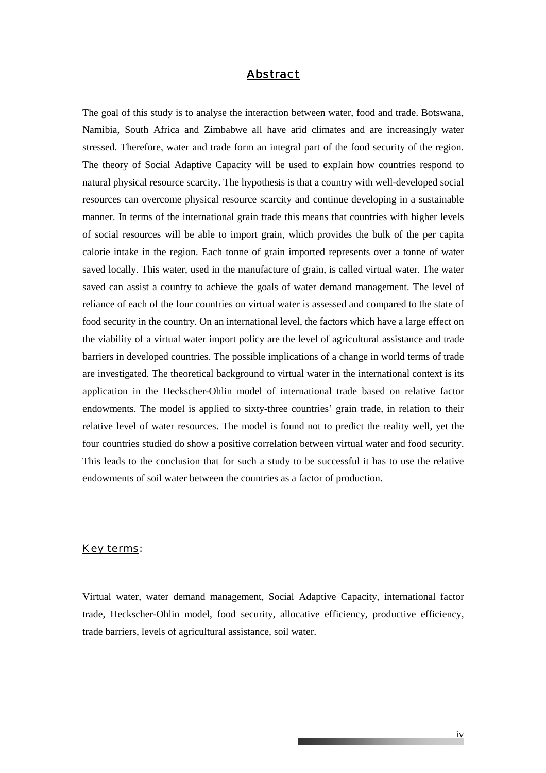#### *Abstract*

The goal of this study is to analyse the interaction between water, food and trade. Botswana, Namibia, South Africa and Zimbabwe all have arid climates and are increasingly water stressed. Therefore, water and trade form an integral part of the food security of the region. The theory of Social Adaptive Capacity will be used to explain how countries respond to natural physical resource scarcity. The hypothesis is that a country with well-developed social resources can overcome physical resource scarcity and continue developing in a sustainable manner. In terms of the international grain trade this means that countries with higher levels of social resources will be able to import grain, which provides the bulk of the per capita calorie intake in the region. Each tonne of grain imported represents over a tonne of water saved locally. This water, used in the manufacture of grain, is called virtual water. The water saved can assist a country to achieve the goals of water demand management. The level of reliance of each of the four countries on virtual water is assessed and compared to the state of food security in the country. On an international level, the factors which have a large effect on the viability of a virtual water import policy are the level of agricultural assistance and trade barriers in developed countries. The possible implications of a change in world terms of trade are investigated. The theoretical background to virtual water in the international context is its application in the Heckscher-Ohlin model of international trade based on relative factor endowments. The model is applied to sixty-three countries' grain trade, in relation to their relative level of water resources. The model is found not to predict the reality well, yet the four countries studied do show a positive correlation between virtual water and food security. This leads to the conclusion that for such a study to be successful it has to use the relative endowments of soil water between the countries as a factor of production.

#### *Key terms:*

Virtual water, water demand management, Social Adaptive Capacity, international factor trade, Heckscher-Ohlin model, food security, allocative efficiency, productive efficiency, trade barriers, levels of agricultural assistance, soil water.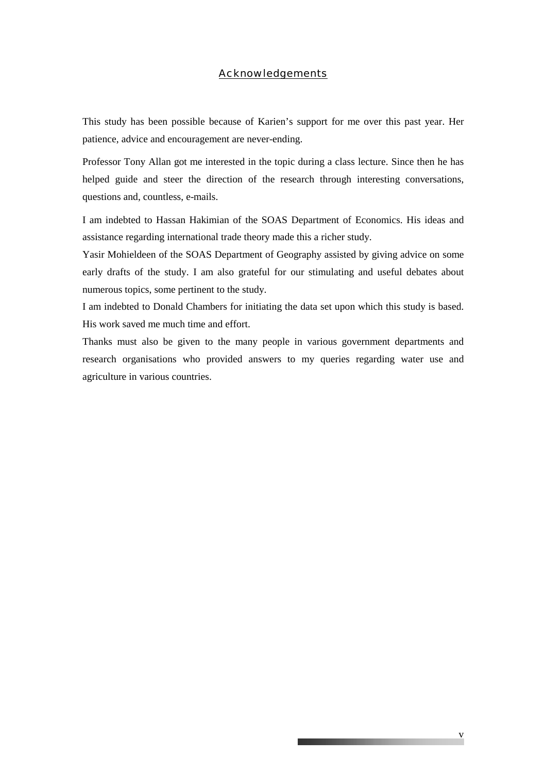#### *Acknowledgements*

This study has been possible because of Karien's support for me over this past year. Her patience, advice and encouragement are never-ending.

Professor Tony Allan got me interested in the topic during a class lecture. Since then he has helped guide and steer the direction of the research through interesting conversations, questions and, countless, e-mails.

I am indebted to Hassan Hakimian of the SOAS Department of Economics. His ideas and assistance regarding international trade theory made this a richer study.

Yasir Mohieldeen of the SOAS Department of Geography assisted by giving advice on some early drafts of the study. I am also grateful for our stimulating and useful debates about numerous topics, some pertinent to the study.

I am indebted to Donald Chambers for initiating the data set upon which this study is based. His work saved me much time and effort.

Thanks must also be given to the many people in various government departments and research organisations who provided answers to my queries regarding water use and agriculture in various countries.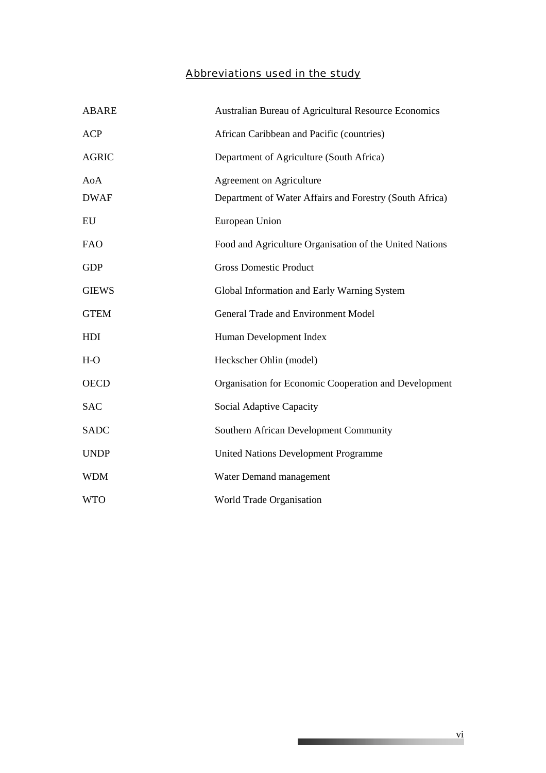## *Abbreviations used in the study*

| <b>ABARE</b> | Australian Bureau of Agricultural Resource Economics    |
|--------------|---------------------------------------------------------|
| <b>ACP</b>   | African Caribbean and Pacific (countries)               |
| <b>AGRIC</b> | Department of Agriculture (South Africa)                |
| AoA          | <b>Agreement on Agriculture</b>                         |
| <b>DWAF</b>  | Department of Water Affairs and Forestry (South Africa) |
| ${\rm EU}$   | European Union                                          |
| <b>FAO</b>   | Food and Agriculture Organisation of the United Nations |
| <b>GDP</b>   | <b>Gross Domestic Product</b>                           |
| <b>GIEWS</b> | Global Information and Early Warning System             |
| <b>GTEM</b>  | <b>General Trade and Environment Model</b>              |
| HDI          | Human Development Index                                 |
| $H-O$        | Heckscher Ohlin (model)                                 |
| <b>OECD</b>  | Organisation for Economic Cooperation and Development   |
| <b>SAC</b>   | Social Adaptive Capacity                                |
| SADC         | Southern African Development Community                  |
| <b>UNDP</b>  | <b>United Nations Development Programme</b>             |
| <b>WDM</b>   | Water Demand management                                 |
| <b>WTO</b>   | World Trade Organisation                                |

\_\_\_\_\_\_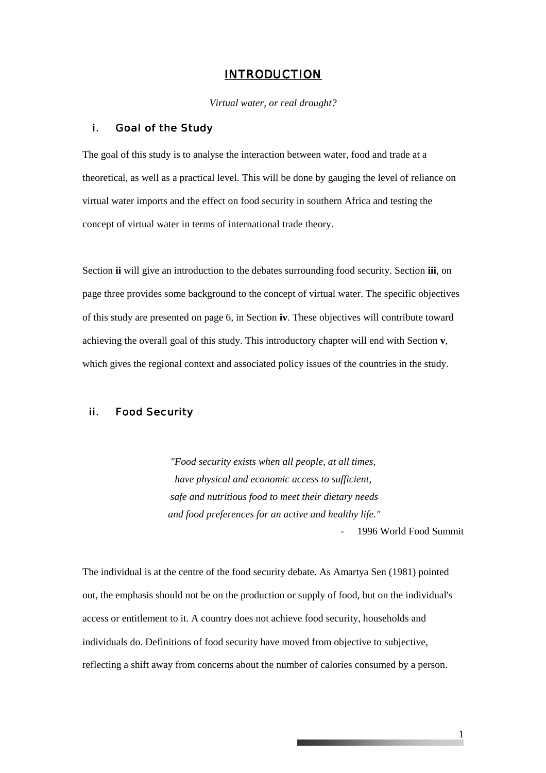#### *INTRODUCTION*

*Virtual water, or real drought?* 

#### i. Goal of the Study

The goal of this study is to analyse the interaction between water, food and trade at a theoretical, as well as a practical level. This will be done by gauging the level of reliance on virtual water imports and the effect on food security in southern Africa and testing the concept of virtual water in terms of international trade theory.

Section **ii** will give an introduction to the debates surrounding food security. Section **iii**, on page three provides some background to the concept of virtual water. The specific objectives of this study are presented on page 6, in Section **iv**. These objectives will contribute toward achieving the overall goal of this study. This introductory chapter will end with Section **v**, which gives the regional context and associated policy issues of the countries in the study.

#### ii. Food Security

*"Food security exists when all people, at all times, have physical and economic access to sufficient, safe and nutritious food to meet their dietary needs and food preferences for an active and healthy life."*  - 1996 World Food Summit

The individual is at the centre of the food security debate. As Amartya Sen (1981) pointed out, the emphasis should not be on the production or supply of food, but on the individual's access or entitlement to it. A country does not achieve food security, households and individuals do. Definitions of food security have moved from objective to subjective, reflecting a shift away from concerns about the number of calories consumed by a person.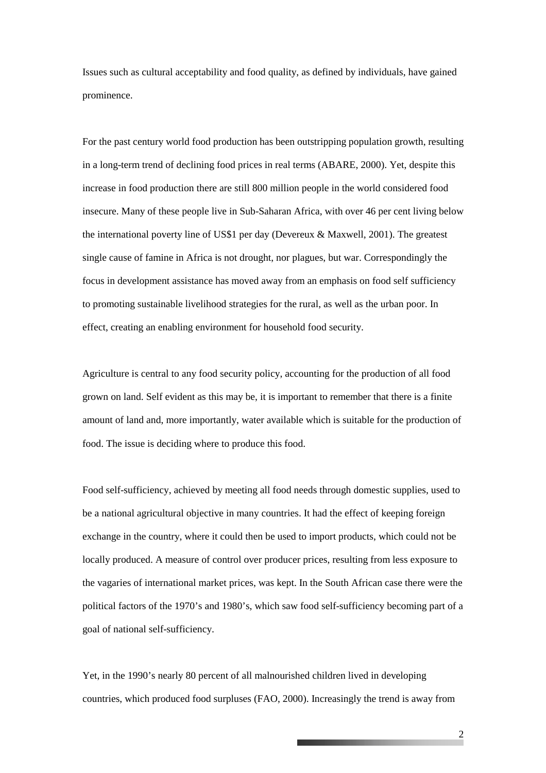Issues such as cultural acceptability and food quality, as defined by individuals, have gained prominence.

For the past century world food production has been outstripping population growth, resulting in a long-term trend of declining food prices in real terms (ABARE, 2000). Yet, despite this increase in food production there are still 800 million people in the world considered food insecure. Many of these people live in Sub-Saharan Africa, with over 46 per cent living below the international poverty line of US\$1 per day (Devereux & Maxwell, 2001). The greatest single cause of famine in Africa is not drought, nor plagues, but war. Correspondingly the focus in development assistance has moved away from an emphasis on food self sufficiency to promoting sustainable livelihood strategies for the rural, as well as the urban poor. In effect, creating an enabling environment for household food security.

Agriculture is central to any food security policy, accounting for the production of all food grown on land. Self evident as this may be, it is important to remember that there is a finite amount of land and, more importantly, water available which is suitable for the production of food. The issue is deciding where to produce this food.

Food self-sufficiency, achieved by meeting all food needs through domestic supplies, used to be a national agricultural objective in many countries. It had the effect of keeping foreign exchange in the country, where it could then be used to import products, which could not be locally produced. A measure of control over producer prices, resulting from less exposure to the vagaries of international market prices, was kept. In the South African case there were the political factors of the 1970's and 1980's, which saw food self-sufficiency becoming part of a goal of national self-sufficiency.

Yet, in the 1990's nearly 80 percent of all malnourished children lived in developing countries, which produced food surpluses (FAO, 2000). Increasingly the trend is away from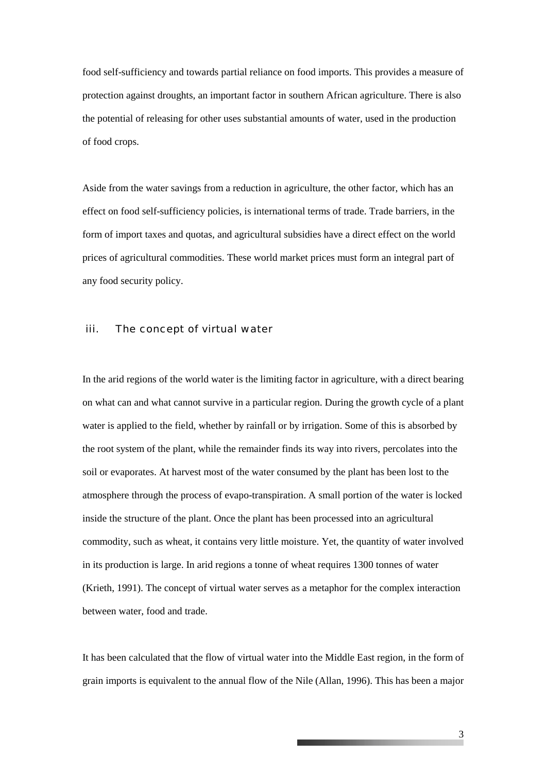food self-sufficiency and towards partial reliance on food imports. This provides a measure of protection against droughts, an important factor in southern African agriculture. There is also the potential of releasing for other uses substantial amounts of water, used in the production of food crops.

Aside from the water savings from a reduction in agriculture, the other factor, which has an effect on food self-sufficiency policies, is international terms of trade. Trade barriers, in the form of import taxes and quotas, and agricultural subsidies have a direct effect on the world prices of agricultural commodities. These world market prices must form an integral part of any food security policy.

#### iii. The concept of virtual water

In the arid regions of the world water is the limiting factor in agriculture, with a direct bearing on what can and what cannot survive in a particular region. During the growth cycle of a plant water is applied to the field, whether by rainfall or by irrigation. Some of this is absorbed by the root system of the plant, while the remainder finds its way into rivers, percolates into the soil or evaporates. At harvest most of the water consumed by the plant has been lost to the atmosphere through the process of evapo-transpiration. A small portion of the water is locked inside the structure of the plant. Once the plant has been processed into an agricultural commodity, such as wheat, it contains very little moisture. Yet, the quantity of water involved in its production is large. In arid regions a tonne of wheat requires 1300 tonnes of water (Krieth, 1991). The concept of virtual water serves as a metaphor for the complex interaction between water, food and trade.

It has been calculated that the flow of virtual water into the Middle East region, in the form of grain imports is equivalent to the annual flow of the Nile (Allan, 1996). This has been a major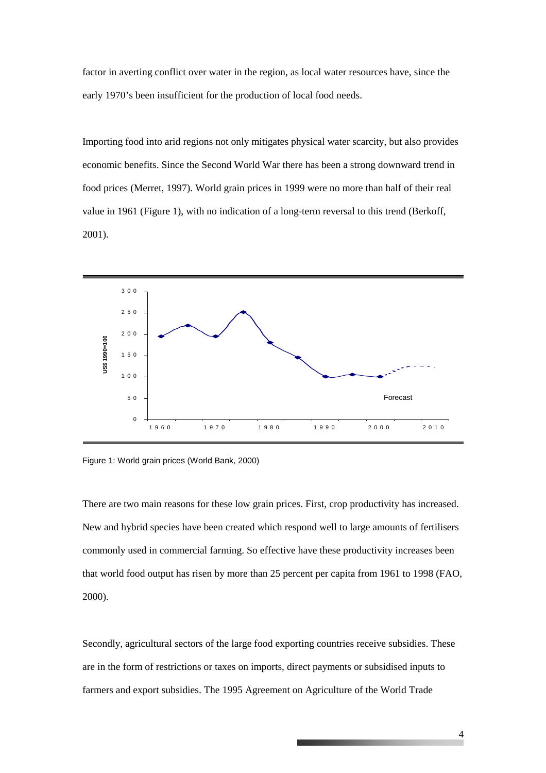factor in averting conflict over water in the region, as local water resources have, since the early 1970's been insufficient for the production of local food needs.

Importing food into arid regions not only mitigates physical water scarcity, but also provides economic benefits. Since the Second World War there has been a strong downward trend in food prices (Merret, 1997). World grain prices in 1999 were no more than half of their real value in 1961 (Figure 1), with no indication of a long-term reversal to this trend (Berkoff, 2001).



Figure 1: World grain prices (World Bank, 2000)

There are two main reasons for these low grain prices. First, crop productivity has increased. New and hybrid species have been created which respond well to large amounts of fertilisers commonly used in commercial farming. So effective have these productivity increases been that world food output has risen by more than 25 percent per capita from 1961 to 1998 (FAO, 2000).

Secondly, agricultural sectors of the large food exporting countries receive subsidies. These are in the form of restrictions or taxes on imports, direct payments or subsidised inputs to farmers and export subsidies. The 1995 Agreement on Agriculture of the World Trade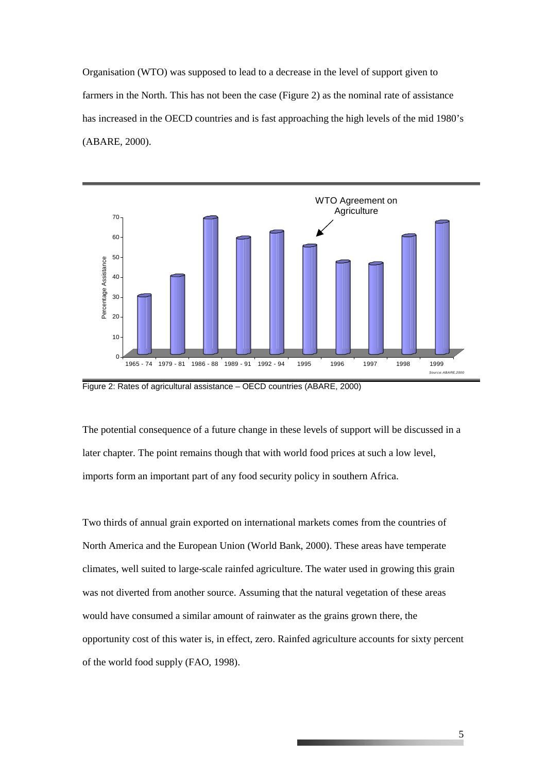Organisation (WTO) was supposed to lead to a decrease in the level of support given to farmers in the North. This has not been the case (Figure 2) as the nominal rate of assistance has increased in the OECD countries and is fast approaching the high levels of the mid 1980's (ABARE, 2000).



Figure 2: Rates of agricultural assistance – OECD countries (ABARE, 2000)

The potential consequence of a future change in these levels of support will be discussed in a later chapter. The point remains though that with world food prices at such a low level, imports form an important part of any food security policy in southern Africa.

Two thirds of annual grain exported on international markets comes from the countries of North America and the European Union (World Bank, 2000). These areas have temperate climates, well suited to large-scale rainfed agriculture. The water used in growing this grain was not diverted from another source. Assuming that the natural vegetation of these areas would have consumed a similar amount of rainwater as the grains grown there, the opportunity cost of this water is, in effect, zero. Rainfed agriculture accounts for sixty percent of the world food supply (FAO, 1998).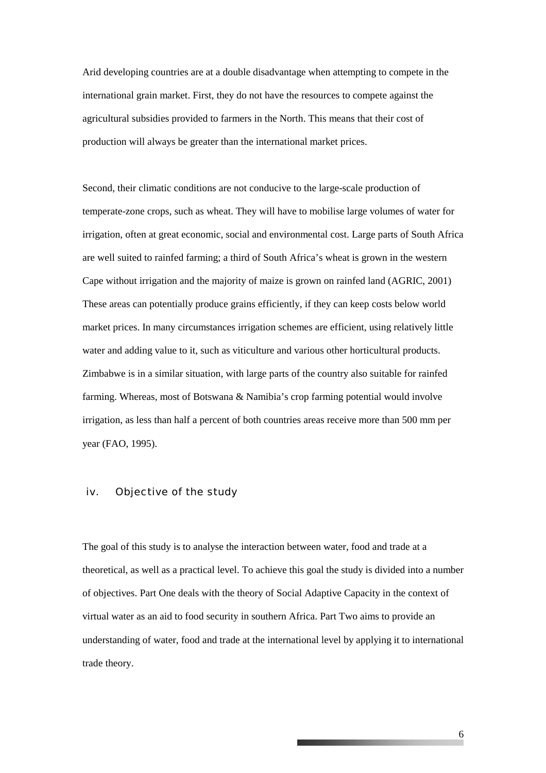Arid developing countries are at a double disadvantage when attempting to compete in the international grain market. First, they do not have the resources to compete against the agricultural subsidies provided to farmers in the North. This means that their cost of production will always be greater than the international market prices.

Second, their climatic conditions are not conducive to the large-scale production of temperate-zone crops, such as wheat. They will have to mobilise large volumes of water for irrigation, often at great economic, social and environmental cost. Large parts of South Africa are well suited to rainfed farming; a third of South Africa's wheat is grown in the western Cape without irrigation and the majority of maize is grown on rainfed land (AGRIC, 2001) These areas can potentially produce grains efficiently, if they can keep costs below world market prices. In many circumstances irrigation schemes are efficient, using relatively little water and adding value to it, such as viticulture and various other horticultural products. Zimbabwe is in a similar situation, with large parts of the country also suitable for rainfed farming. Whereas, most of Botswana & Namibia's crop farming potential would involve irrigation, as less than half a percent of both countries areas receive more than 500 mm per year (FAO, 1995).

#### iv. Objective of the study

The goal of this study is to analyse the interaction between water, food and trade at a theoretical, as well as a practical level. To achieve this goal the study is divided into a number of objectives. Part One deals with the theory of Social Adaptive Capacity in the context of virtual water as an aid to food security in southern Africa. Part Two aims to provide an understanding of water, food and trade at the international level by applying it to international trade theory.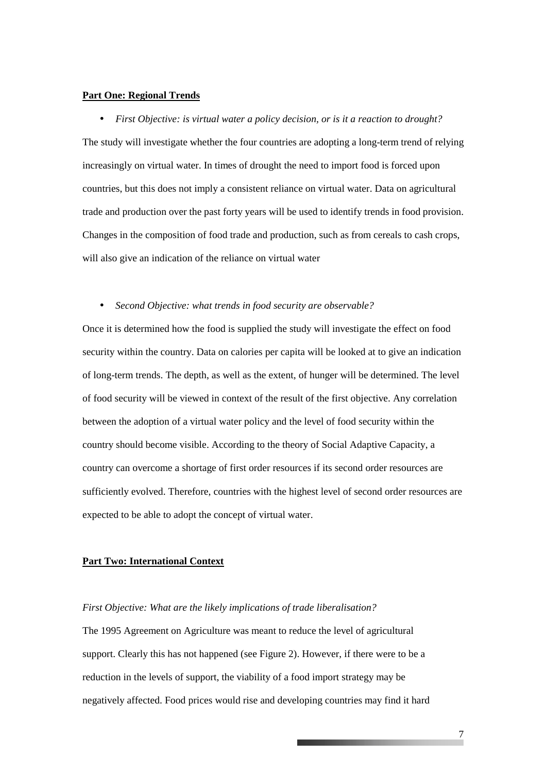#### **Part One: Regional Trends**

• *First Objective: is virtual water a policy decision, or is it a reaction to drought?*  The study will investigate whether the four countries are adopting a long-term trend of relying increasingly on virtual water. In times of drought the need to import food is forced upon countries, but this does not imply a consistent reliance on virtual water. Data on agricultural trade and production over the past forty years will be used to identify trends in food provision. Changes in the composition of food trade and production, such as from cereals to cash crops, will also give an indication of the reliance on virtual water

• *Second Objective: what trends in food security are observable?*

Once it is determined how the food is supplied the study will investigate the effect on food security within the country. Data on calories per capita will be looked at to give an indication of long-term trends. The depth, as well as the extent, of hunger will be determined. The level of food security will be viewed in context of the result of the first objective. Any correlation between the adoption of a virtual water policy and the level of food security within the country should become visible. According to the theory of Social Adaptive Capacity, a country can overcome a shortage of first order resources if its second order resources are sufficiently evolved. Therefore, countries with the highest level of second order resources are expected to be able to adopt the concept of virtual water.

#### **Part Two: International Context**

#### *First Objective: What are the likely implications of trade liberalisation?*

The 1995 Agreement on Agriculture was meant to reduce the level of agricultural support. Clearly this has not happened (see Figure 2). However, if there were to be a reduction in the levels of support, the viability of a food import strategy may be negatively affected. Food prices would rise and developing countries may find it hard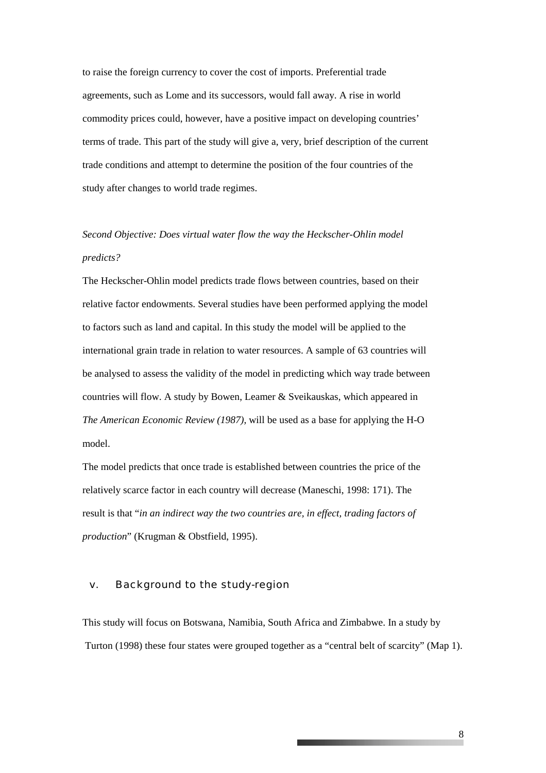to raise the foreign currency to cover the cost of imports. Preferential trade agreements, such as Lome and its successors, would fall away. A rise in world commodity prices could, however, have a positive impact on developing countries' terms of trade. This part of the study will give a, very, brief description of the current trade conditions and attempt to determine the position of the four countries of the study after changes to world trade regimes.

## *Second Objective: Does virtual water flow the way the Heckscher-Ohlin model predicts?*

The Heckscher-Ohlin model predicts trade flows between countries, based on their relative factor endowments. Several studies have been performed applying the model to factors such as land and capital. In this study the model will be applied to the international grain trade in relation to water resources. A sample of 63 countries will be analysed to assess the validity of the model in predicting which way trade between countries will flow. A study by Bowen, Leamer & Sveikauskas, which appeared in *The American Economic Review (1987),* will be used as a base for applying the H-O model.

The model predicts that once trade is established between countries the price of the relatively scarce factor in each country will decrease (Maneschi, 1998: 171). The result is that "*in an indirect way the two countries are, in effect, trading factors of production*" (Krugman & Obstfield, 1995).

#### v. Background to the study-region

This study will focus on Botswana, Namibia, South Africa and Zimbabwe. In a study by Turton (1998) these four states were grouped together as a "central belt of scarcity" (Map 1).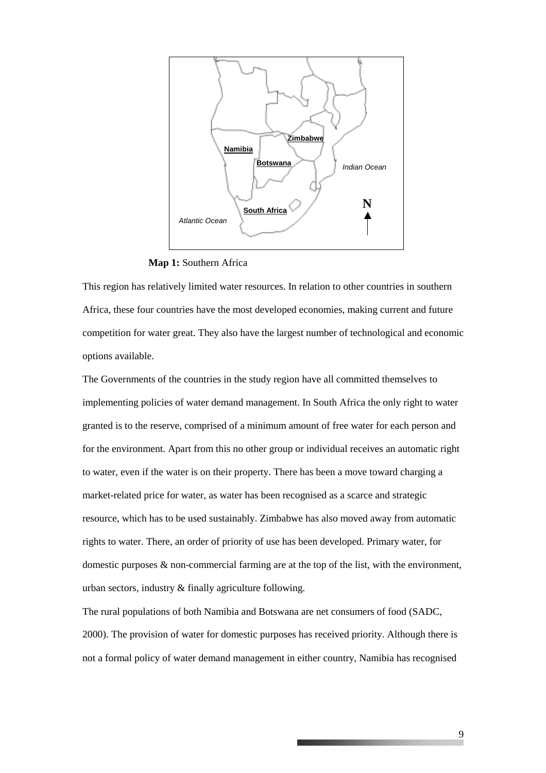

**Map 1:** Southern Africa

This region has relatively limited water resources. In relation to other countries in southern Africa, these four countries have the most developed economies, making current and future competition for water great. They also have the largest number of technological and economic options available.

The Governments of the countries in the study region have all committed themselves to implementing policies of water demand management. In South Africa the only right to water granted is to the reserve, comprised of a minimum amount of free water for each person and for the environment. Apart from this no other group or individual receives an automatic right to water, even if the water is on their property. There has been a move toward charging a market-related price for water, as water has been recognised as a scarce and strategic resource, which has to be used sustainably. Zimbabwe has also moved away from automatic rights to water. There, an order of priority of use has been developed. Primary water, for domestic purposes & non-commercial farming are at the top of the list, with the environment, urban sectors, industry & finally agriculture following.

The rural populations of both Namibia and Botswana are net consumers of food (SADC, 2000). The provision of water for domestic purposes has received priority. Although there is not a formal policy of water demand management in either country, Namibia has recognised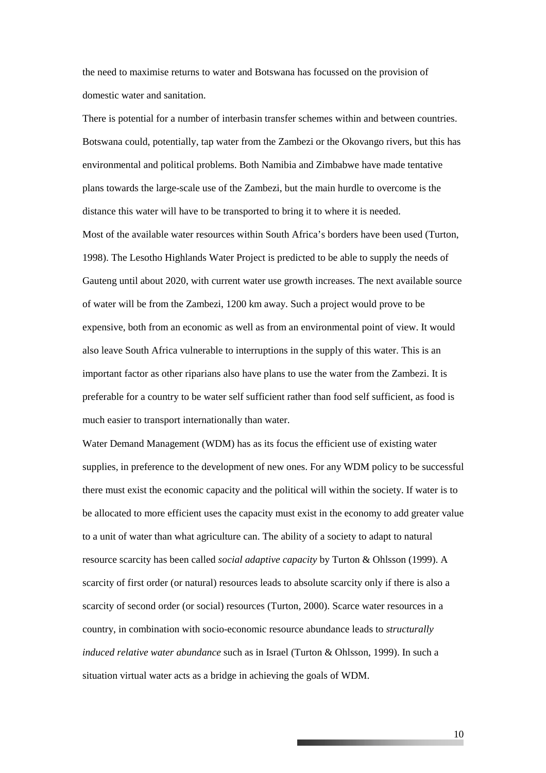the need to maximise returns to water and Botswana has focussed on the provision of domestic water and sanitation.

There is potential for a number of interbasin transfer schemes within and between countries. Botswana could, potentially, tap water from the Zambezi or the Okovango rivers, but this has environmental and political problems. Both Namibia and Zimbabwe have made tentative plans towards the large-scale use of the Zambezi, but the main hurdle to overcome is the distance this water will have to be transported to bring it to where it is needed.

Most of the available water resources within South Africa's borders have been used (Turton, 1998). The Lesotho Highlands Water Project is predicted to be able to supply the needs of Gauteng until about 2020, with current water use growth increases. The next available source of water will be from the Zambezi, 1200 km away. Such a project would prove to be expensive, both from an economic as well as from an environmental point of view. It would also leave South Africa vulnerable to interruptions in the supply of this water. This is an important factor as other riparians also have plans to use the water from the Zambezi. It is preferable for a country to be water self sufficient rather than food self sufficient, as food is much easier to transport internationally than water.

Water Demand Management (WDM) has as its focus the efficient use of existing water supplies, in preference to the development of new ones. For any WDM policy to be successful there must exist the economic capacity and the political will within the society. If water is to be allocated to more efficient uses the capacity must exist in the economy to add greater value to a unit of water than what agriculture can. The ability of a society to adapt to natural resource scarcity has been called *social adaptive capacity* by Turton & Ohlsson (1999). A scarcity of first order (or natural) resources leads to absolute scarcity only if there is also a scarcity of second order (or social) resources (Turton, 2000). Scarce water resources in a country, in combination with socio-economic resource abundance leads to *structurally induced relative water abundance* such as in Israel (Turton & Ohlsson, 1999). In such a situation virtual water acts as a bridge in achieving the goals of WDM.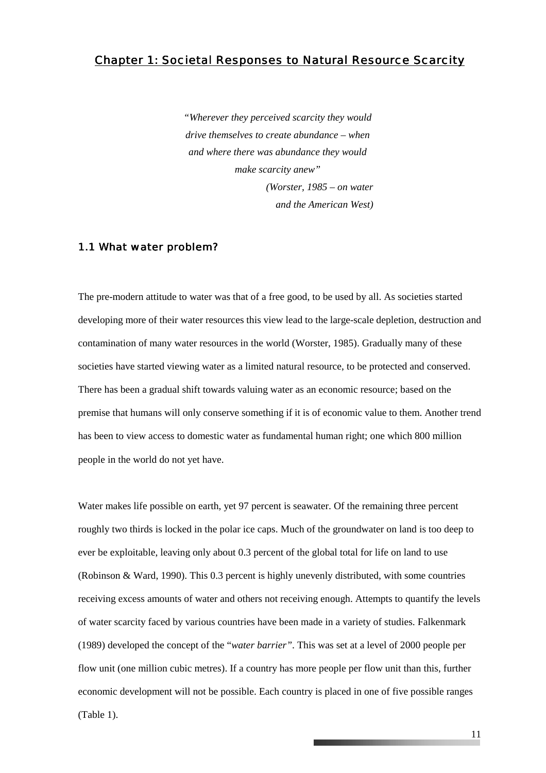### *Chapter 1: Societal Responses to Natural Resource Scarcity*

*"Wherever they perceived scarcity they would drive themselves to create abundance – when and where there was abundance they would make scarcity anew" (Worster, 1985 – on water and the American West)* 

#### 1.1 What water problem?

The pre-modern attitude to water was that of a free good, to be used by all. As societies started developing more of their water resources this view lead to the large-scale depletion, destruction and contamination of many water resources in the world (Worster, 1985). Gradually many of these societies have started viewing water as a limited natural resource, to be protected and conserved. There has been a gradual shift towards valuing water as an economic resource; based on the premise that humans will only conserve something if it is of economic value to them. Another trend has been to view access to domestic water as fundamental human right; one which 800 million people in the world do not yet have.

Water makes life possible on earth, yet 97 percent is seawater. Of the remaining three percent roughly two thirds is locked in the polar ice caps. Much of the groundwater on land is too deep to ever be exploitable, leaving only about 0.3 percent of the global total for life on land to use (Robinson & Ward, 1990). This 0.3 percent is highly unevenly distributed, with some countries receiving excess amounts of water and others not receiving enough. Attempts to quantify the levels of water scarcity faced by various countries have been made in a variety of studies. Falkenmark (1989) developed the concept of the "*water barrier"*. This was set at a level of 2000 people per flow unit (one million cubic metres). If a country has more people per flow unit than this, further economic development will not be possible. Each country is placed in one of five possible ranges (Table 1).

11

and the company's company's company's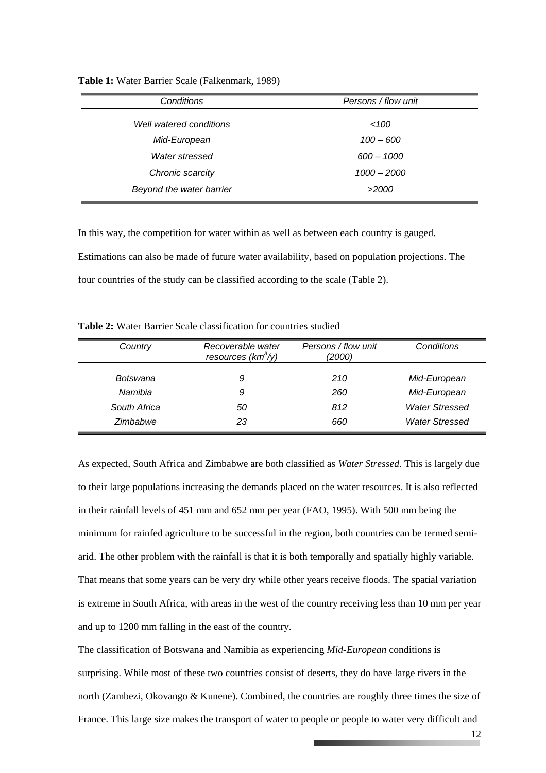| Conditions               | Persons / flow unit |  |  |
|--------------------------|---------------------|--|--|
| Well watered conditions  | 100                 |  |  |
| Mid-European             | $100 - 600$         |  |  |
| Water stressed           | $600 - 1000$        |  |  |
| Chronic scarcity         | $1000 - 2000$       |  |  |
| Beyond the water barrier | >2000               |  |  |

**Table 1:** Water Barrier Scale (Falkenmark, 1989)

In this way, the competition for water within as well as between each country is gauged. Estimations can also be made of future water availability, based on population projections. The four countries of the study can be classified according to the scale (Table 2).

**Table 2:** Water Barrier Scale classification for countries studied

| Country      | Recoverable water<br>resources ( $km^3$ /y) | Persons / flow unit<br>(2000) | Conditions            |  |
|--------------|---------------------------------------------|-------------------------------|-----------------------|--|
| Botswana     | 9                                           | 210                           | Mid-European          |  |
| Namibia      | 9                                           | 260                           | Mid-European          |  |
| South Africa | 50                                          | 812                           | <b>Water Stressed</b> |  |
| Zimbabwe     | 23                                          | 660                           | <b>Water Stressed</b> |  |

As expected, South Africa and Zimbabwe are both classified as *Water Stressed*. This is largely due to their large populations increasing the demands placed on the water resources. It is also reflected in their rainfall levels of 451 mm and 652 mm per year (FAO, 1995). With 500 mm being the minimum for rainfed agriculture to be successful in the region, both countries can be termed semiarid. The other problem with the rainfall is that it is both temporally and spatially highly variable. That means that some years can be very dry while other years receive floods. The spatial variation is extreme in South Africa, with areas in the west of the country receiving less than 10 mm per year and up to 1200 mm falling in the east of the country.

The classification of Botswana and Namibia as experiencing *Mid-European* conditions is surprising. While most of these two countries consist of deserts, they do have large rivers in the north (Zambezi, Okovango & Kunene). Combined, the countries are roughly three times the size of France. This large size makes the transport of water to people or people to water very difficult and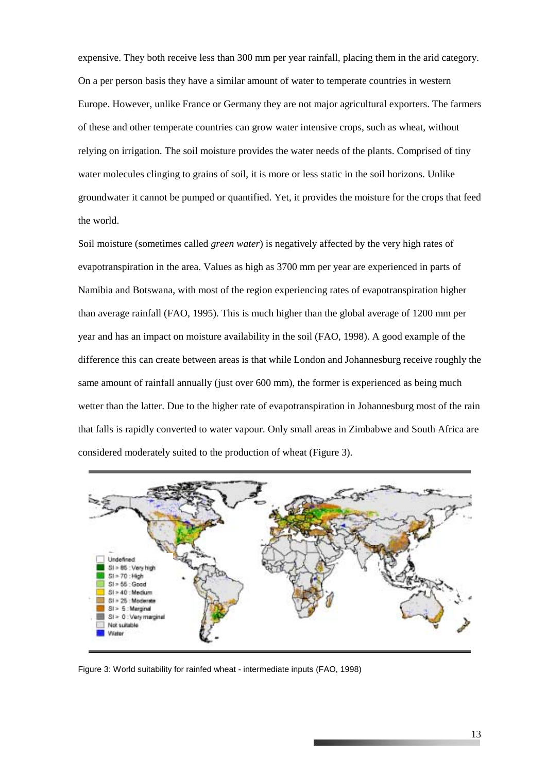expensive. They both receive less than 300 mm per year rainfall, placing them in the arid category. On a per person basis they have a similar amount of water to temperate countries in western Europe. However, unlike France or Germany they are not major agricultural exporters. The farmers of these and other temperate countries can grow water intensive crops, such as wheat, without relying on irrigation. The soil moisture provides the water needs of the plants. Comprised of tiny water molecules clinging to grains of soil, it is more or less static in the soil horizons. Unlike groundwater it cannot be pumped or quantified. Yet, it provides the moisture for the crops that feed the world.

Soil moisture (sometimes called *green water*) is negatively affected by the very high rates of evapotranspiration in the area. Values as high as 3700 mm per year are experienced in parts of Namibia and Botswana, with most of the region experiencing rates of evapotranspiration higher than average rainfall (FAO, 1995). This is much higher than the global average of 1200 mm per year and has an impact on moisture availability in the soil (FAO, 1998). A good example of the difference this can create between areas is that while London and Johannesburg receive roughly the same amount of rainfall annually (just over 600 mm), the former is experienced as being much wetter than the latter. Due to the higher rate of evapotranspiration in Johannesburg most of the rain that falls is rapidly converted to water vapour. Only small areas in Zimbabwe and South Africa are considered moderately suited to the production of wheat (Figure 3).



Figure 3: World suitability for rainfed wheat - intermediate inputs (FAO, 1998)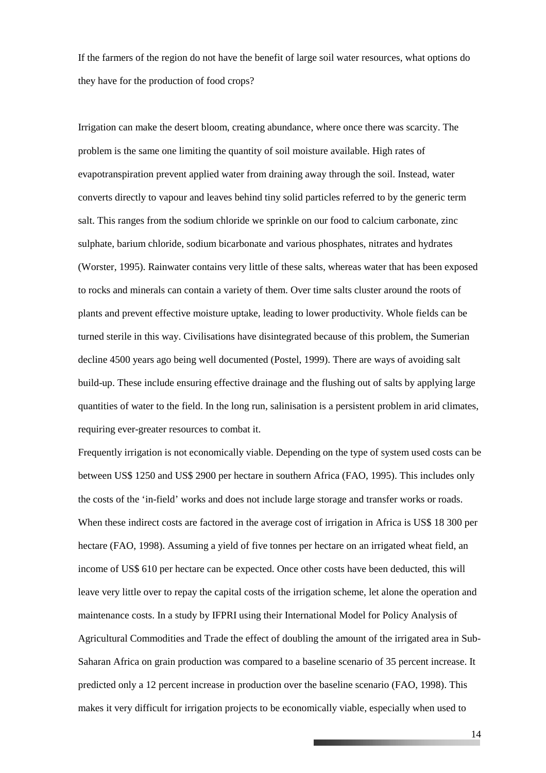If the farmers of the region do not have the benefit of large soil water resources, what options do they have for the production of food crops?

Irrigation can make the desert bloom, creating abundance, where once there was scarcity. The problem is the same one limiting the quantity of soil moisture available. High rates of evapotranspiration prevent applied water from draining away through the soil. Instead, water converts directly to vapour and leaves behind tiny solid particles referred to by the generic term salt. This ranges from the sodium chloride we sprinkle on our food to calcium carbonate, zinc sulphate, barium chloride, sodium bicarbonate and various phosphates, nitrates and hydrates (Worster, 1995). Rainwater contains very little of these salts, whereas water that has been exposed to rocks and minerals can contain a variety of them. Over time salts cluster around the roots of plants and prevent effective moisture uptake, leading to lower productivity. Whole fields can be turned sterile in this way. Civilisations have disintegrated because of this problem, the Sumerian decline 4500 years ago being well documented (Postel, 1999). There are ways of avoiding salt build-up. These include ensuring effective drainage and the flushing out of salts by applying large quantities of water to the field. In the long run, salinisation is a persistent problem in arid climates, requiring ever-greater resources to combat it.

Frequently irrigation is not economically viable. Depending on the type of system used costs can be between US\$ 1250 and US\$ 2900 per hectare in southern Africa (FAO, 1995). This includes only the costs of the 'in-field' works and does not include large storage and transfer works or roads. When these indirect costs are factored in the average cost of irrigation in Africa is US\$ 18 300 per hectare (FAO, 1998). Assuming a yield of five tonnes per hectare on an irrigated wheat field, an income of US\$ 610 per hectare can be expected. Once other costs have been deducted, this will leave very little over to repay the capital costs of the irrigation scheme, let alone the operation and maintenance costs. In a study by IFPRI using their International Model for Policy Analysis of Agricultural Commodities and Trade the effect of doubling the amount of the irrigated area in Sub-Saharan Africa on grain production was compared to a baseline scenario of 35 percent increase. It predicted only a 12 percent increase in production over the baseline scenario (FAO, 1998). This makes it very difficult for irrigation projects to be economically viable, especially when used to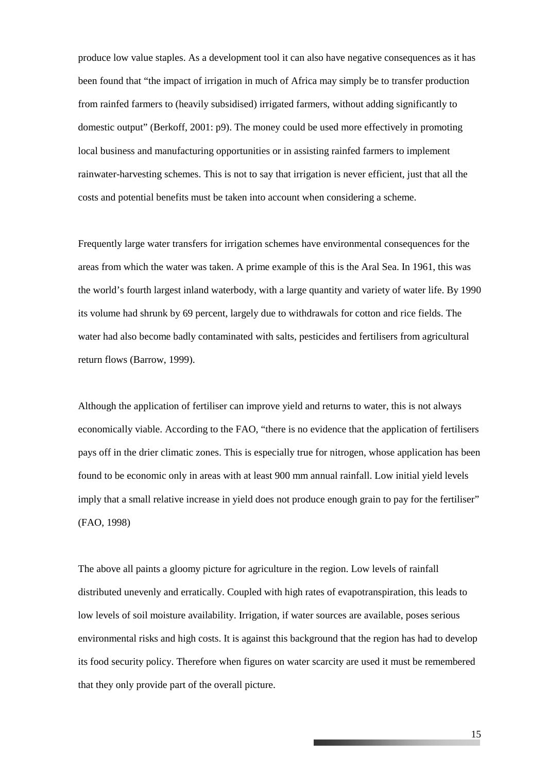produce low value staples. As a development tool it can also have negative consequences as it has been found that "the impact of irrigation in much of Africa may simply be to transfer production from rainfed farmers to (heavily subsidised) irrigated farmers, without adding significantly to domestic output" (Berkoff, 2001: p9). The money could be used more effectively in promoting local business and manufacturing opportunities or in assisting rainfed farmers to implement rainwater-harvesting schemes. This is not to say that irrigation is never efficient, just that all the costs and potential benefits must be taken into account when considering a scheme.

Frequently large water transfers for irrigation schemes have environmental consequences for the areas from which the water was taken. A prime example of this is the Aral Sea. In 1961, this was the world's fourth largest inland waterbody, with a large quantity and variety of water life. By 1990 its volume had shrunk by 69 percent, largely due to withdrawals for cotton and rice fields. The water had also become badly contaminated with salts, pesticides and fertilisers from agricultural return flows (Barrow, 1999).

Although the application of fertiliser can improve yield and returns to water, this is not always economically viable. According to the FAO, "there is no evidence that the application of fertilisers pays off in the drier climatic zones. This is especially true for nitrogen, whose application has been found to be economic only in areas with at least 900 mm annual rainfall. Low initial yield levels imply that a small relative increase in yield does not produce enough grain to pay for the fertiliser" (FAO, 1998)

The above all paints a gloomy picture for agriculture in the region. Low levels of rainfall distributed unevenly and erratically. Coupled with high rates of evapotranspiration, this leads to low levels of soil moisture availability. Irrigation, if water sources are available, poses serious environmental risks and high costs. It is against this background that the region has had to develop its food security policy. Therefore when figures on water scarcity are used it must be remembered that they only provide part of the overall picture.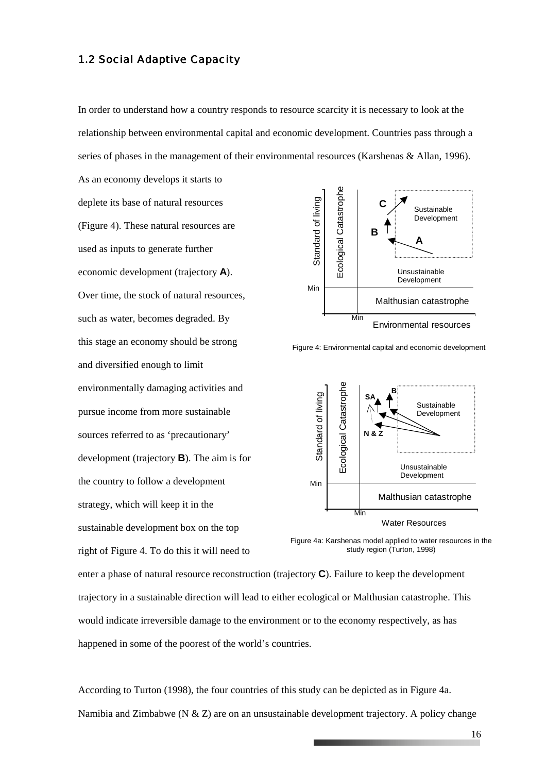#### 1.2 Social Adaptive Capacity

As an economy develops it starts to

In order to understand how a country responds to resource scarcity it is necessary to look at the relationship between environmental capital and economic development. Countries pass through a series of phases in the management of their environmental resources (Karshenas & Allan, 1996).

deplete its base of natural resources (Figure 4). These natural resources are used as inputs to generate further economic development (trajectory **A**). Over time, the stock of natural resources, such as water, becomes degraded. By this stage an economy should be strong and diversified enough to limit environmentally damaging activities and pursue income from more sustainable sources referred to as 'precautionary' development (trajectory **B**). The aim is for the country to follow a development strategy, which will keep it in the sustainable development box on the top right of Figure 4. To do this it will need to deplete its base of natural resources are<br>
Urgure 4). These natural resources are<br>
used as inputs to generate further<br>
economic development (trajectory **A**).<br>
Over time, the stock of natural resources,<br>
with as water, hec



Figure 4: Environmental capital and economic development



Figure 4a: Karshenas model applied to water resources in the study region (Turton, 1998)

enter a phase of natural resource reconstruction (trajectory **C**). Failure to keep the development trajectory in a sustainable direction will lead to either ecological or Malthusian catastrophe. This would indicate irreversible damage to the environment or to the economy respectively, as has happened in some of the poorest of the world's countries.

According to Turton (1998), the four countries of this study can be depicted as in Figure 4a.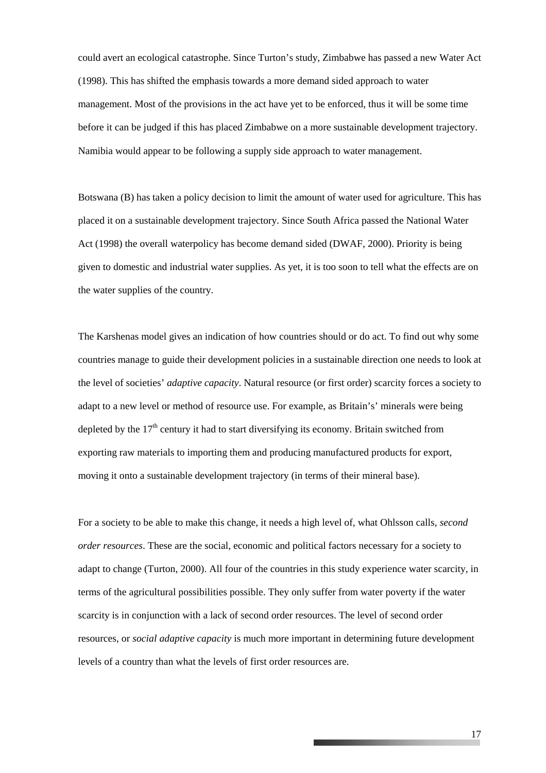could avert an ecological catastrophe. Since Turton's study, Zimbabwe has passed a new Water Act (1998). This has shifted the emphasis towards a more demand sided approach to water management. Most of the provisions in the act have yet to be enforced, thus it will be some time before it can be judged if this has placed Zimbabwe on a more sustainable development trajectory. Namibia would appear to be following a supply side approach to water management.

Botswana (B) has taken a policy decision to limit the amount of water used for agriculture. This has placed it on a sustainable development trajectory. Since South Africa passed the National Water Act (1998) the overall waterpolicy has become demand sided (DWAF, 2000). Priority is being given to domestic and industrial water supplies. As yet, it is too soon to tell what the effects are on the water supplies of the country.

The Karshenas model gives an indication of how countries should or do act. To find out why some countries manage to guide their development policies in a sustainable direction one needs to look at the level of societies' *adaptive capacity*. Natural resource (or first order) scarcity forces a society to adapt to a new level or method of resource use. For example, as Britain's' minerals were being depleted by the  $17<sup>th</sup>$  century it had to start diversifying its economy. Britain switched from exporting raw materials to importing them and producing manufactured products for export, moving it onto a sustainable development trajectory (in terms of their mineral base).

For a society to be able to make this change, it needs a high level of, what Ohlsson calls, *second order resources*. These are the social, economic and political factors necessary for a society to adapt to change (Turton, 2000). All four of the countries in this study experience water scarcity, in terms of the agricultural possibilities possible. They only suffer from water poverty if the water scarcity is in conjunction with a lack of second order resources. The level of second order resources, or *social adaptive capacity* is much more important in determining future development levels of a country than what the levels of first order resources are.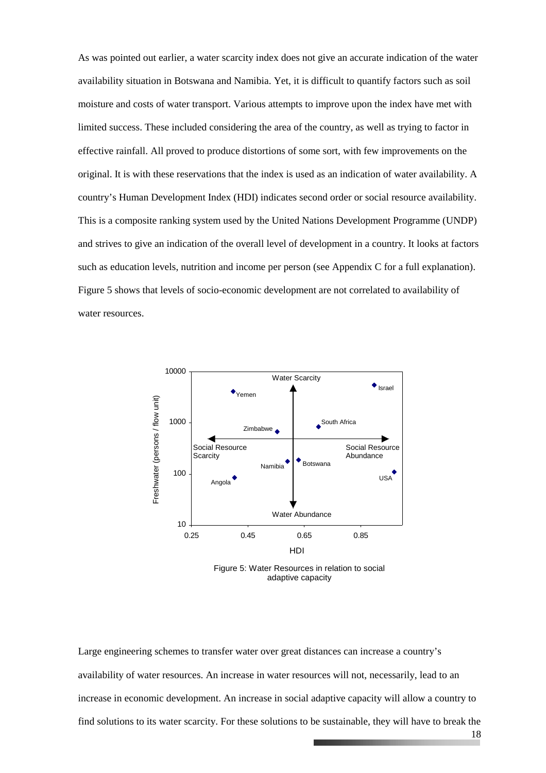As was pointed out earlier, a water scarcity index does not give an accurate indication of the water availability situation in Botswana and Namibia. Yet, it is difficult to quantify factors such as soil moisture and costs of water transport. Various attempts to improve upon the index have met with limited success. These included considering the area of the country, as well as trying to factor in effective rainfall. All proved to produce distortions of some sort, with few improvements on the original. It is with these reservations that the index is used as an indication of water availability. A country's Human Development Index (HDI) indicates second order or social resource availability. This is a composite ranking system used by the United Nations Development Programme (UNDP) and strives to give an indication of the overall level of development in a country. It looks at factors such as education levels, nutrition and income per person (see Appendix C for a full explanation). Figure 5 shows that levels of socio-economic development are not correlated to availability of water resources.



Figure 5: Water Resources in relation to social adaptive capacity

Large engineering schemes to transfer water over great distances can increase a country's availability of water resources. An increase in water resources will not, necessarily, lead to an increase in economic development. An increase in social adaptive capacity will allow a country to find solutions to its water scarcity. For these solutions to be sustainable, they will have to break the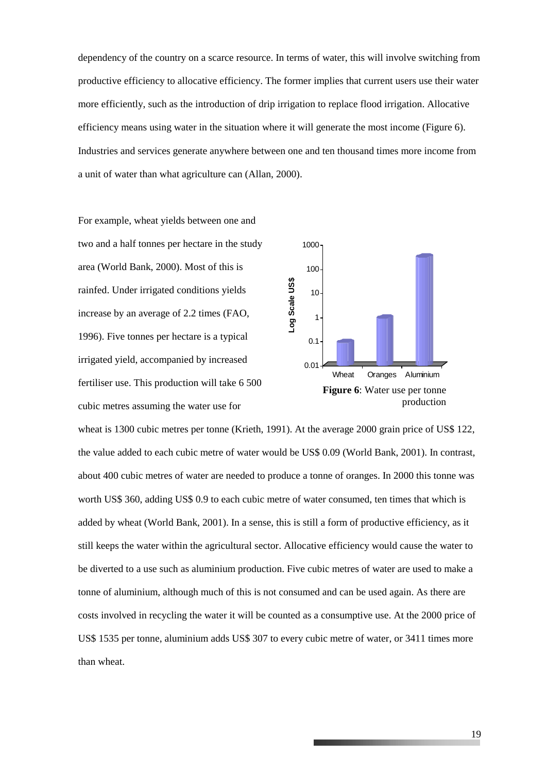dependency of the country on a scarce resource. In terms of water, this will involve switching from productive efficiency to allocative efficiency. The former implies that current users use their water more efficiently, such as the introduction of drip irrigation to replace flood irrigation. Allocative efficiency means using water in the situation where it will generate the most income (Figure 6). Industries and services generate anywhere between one and ten thousand times more income from a unit of water than what agriculture can (Allan, 2000).

For example, wheat yields between one and two and a half tonnes per hectare in the study area (World Bank, 2000). Most of this is rainfed. Under irrigated conditions yields increase by an average of 2.2 times (FAO, 1996). Five tonnes per hectare is a typical irrigated yield, accompanied by increased fertiliser use. This production will take 6 500 cubic metres assuming the water use for



wheat is 1300 cubic metres per tonne (Krieth, 1991). At the average 2000 grain price of US\$ 122, the value added to each cubic metre of water would be US\$ 0.09 (World Bank, 2001). In contrast, about 400 cubic metres of water are needed to produce a tonne of oranges. In 2000 this tonne was worth US\$ 360, adding US\$ 0.9 to each cubic metre of water consumed, ten times that which is added by wheat (World Bank, 2001). In a sense, this is still a form of productive efficiency, as it still keeps the water within the agricultural sector. Allocative efficiency would cause the water to be diverted to a use such as aluminium production. Five cubic metres of water are used to make a tonne of aluminium, although much of this is not consumed and can be used again. As there are costs involved in recycling the water it will be counted as a consumptive use. At the 2000 price of US\$ 1535 per tonne, aluminium adds US\$ 307 to every cubic metre of water, or 3411 times more than wheat.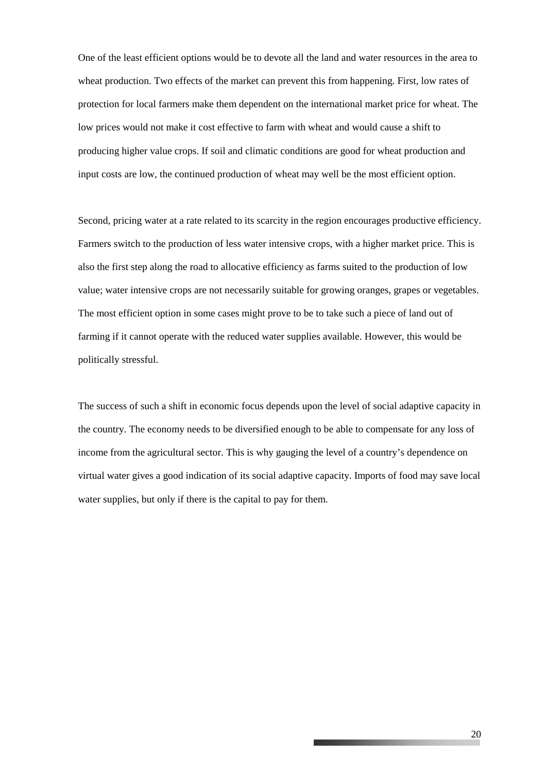One of the least efficient options would be to devote all the land and water resources in the area to wheat production. Two effects of the market can prevent this from happening. First, low rates of protection for local farmers make them dependent on the international market price for wheat. The low prices would not make it cost effective to farm with wheat and would cause a shift to producing higher value crops. If soil and climatic conditions are good for wheat production and input costs are low, the continued production of wheat may well be the most efficient option.

Second, pricing water at a rate related to its scarcity in the region encourages productive efficiency. Farmers switch to the production of less water intensive crops, with a higher market price. This is also the first step along the road to allocative efficiency as farms suited to the production of low value; water intensive crops are not necessarily suitable for growing oranges, grapes or vegetables. The most efficient option in some cases might prove to be to take such a piece of land out of farming if it cannot operate with the reduced water supplies available. However, this would be politically stressful.

The success of such a shift in economic focus depends upon the level of social adaptive capacity in the country. The economy needs to be diversified enough to be able to compensate for any loss of income from the agricultural sector. This is why gauging the level of a country's dependence on virtual water gives a good indication of its social adaptive capacity. Imports of food may save local water supplies, but only if there is the capital to pay for them.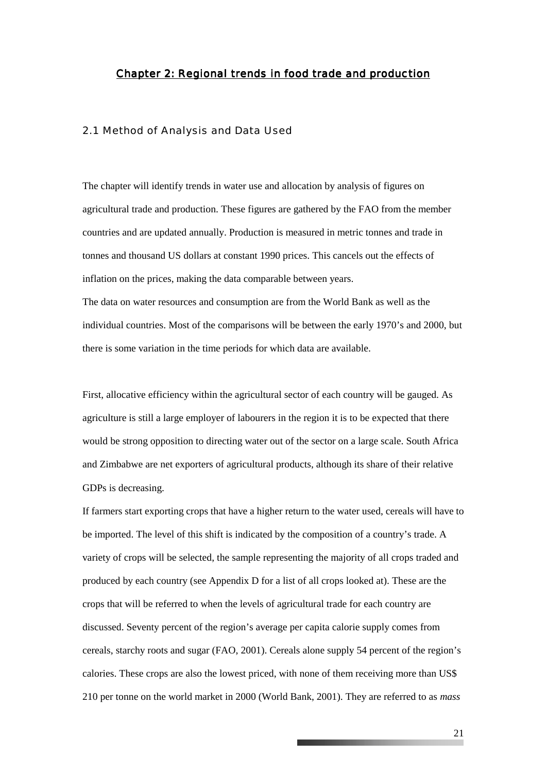#### *Chapter 2: Regional trends in food trade and production*

#### 2.1 Method of Analysis and Data Used

The chapter will identify trends in water use and allocation by analysis of figures on agricultural trade and production. These figures are gathered by the FAO from the member countries and are updated annually. Production is measured in metric tonnes and trade in tonnes and thousand US dollars at constant 1990 prices. This cancels out the effects of inflation on the prices, making the data comparable between years.

The data on water resources and consumption are from the World Bank as well as the individual countries. Most of the comparisons will be between the early 1970's and 2000, but there is some variation in the time periods for which data are available.

First, allocative efficiency within the agricultural sector of each country will be gauged. As agriculture is still a large employer of labourers in the region it is to be expected that there would be strong opposition to directing water out of the sector on a large scale. South Africa and Zimbabwe are net exporters of agricultural products, although its share of their relative GDPs is decreasing.

If farmers start exporting crops that have a higher return to the water used, cereals will have to be imported. The level of this shift is indicated by the composition of a country's trade. A variety of crops will be selected, the sample representing the majority of all crops traded and produced by each country (see Appendix D for a list of all crops looked at). These are the crops that will be referred to when the levels of agricultural trade for each country are discussed. Seventy percent of the region's average per capita calorie supply comes from cereals, starchy roots and sugar (FAO, 2001). Cereals alone supply 54 percent of the region's calories. These crops are also the lowest priced, with none of them receiving more than US\$ 210 per tonne on the world market in 2000 (World Bank, 2001). They are referred to as *mass*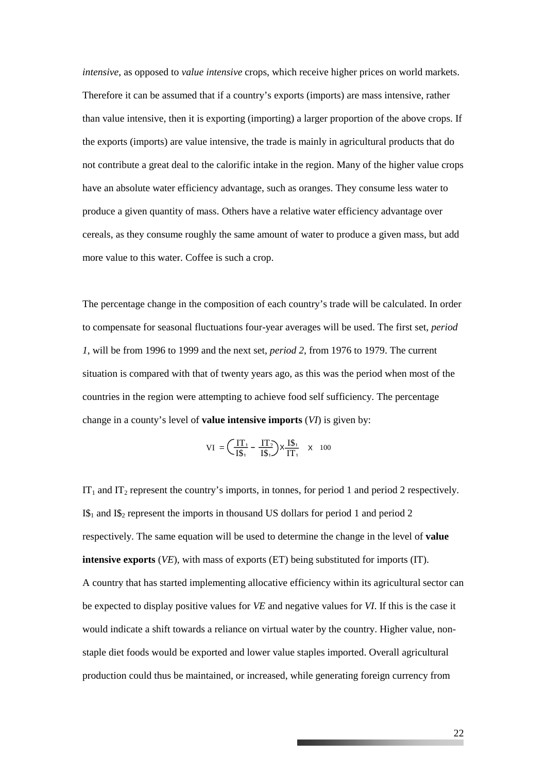*intensive*, as opposed to *value intensive* crops, which receive higher prices on world markets. Therefore it can be assumed that if a country's exports (imports) are mass intensive, rather than value intensive, then it is exporting (importing) a larger proportion of the above crops. If the exports (imports) are value intensive, the trade is mainly in agricultural products that do not contribute a great deal to the calorific intake in the region. Many of the higher value crops have an absolute water efficiency advantage, such as oranges. They consume less water to produce a given quantity of mass. Others have a relative water efficiency advantage over cereals, as they consume roughly the same amount of water to produce a given mass, but add more value to this water. Coffee is such a crop.

The percentage change in the composition of each country's trade will be calculated. In order to compensate for seasonal fluctuations four-year averages will be used. The first set, *period 1*, will be from 1996 to 1999 and the next set, *period 2*, from 1976 to 1979. The current situation is compared with that of twenty years ago, as this was the period when most of the countries in the region were attempting to achieve food self sufficiency. The percentage change in a county's level of **value intensive imports** (*VI*) is given by:

$$
VI = \left(\frac{IT_1}{IS_1} - \frac{IT_2}{IS_1}\right) \times \frac{IS_1}{IT_1} \quad \times \quad 100
$$

 $IT_1$  and  $IT_2$  represent the country's imports, in tonnes, for period 1 and period 2 respectively.  $I\$ <sub>1</sub> and  $I\$ <sub>2</sub> represent the imports in thousand US dollars for period 1 and period 2 respectively. The same equation will be used to determine the change in the level of **value intensive exports** (*VE*), with mass of exports (ET) being substituted for imports (IT). A country that has started implementing allocative efficiency within its agricultural sector can be expected to display positive values for *VE* and negative values for *VI*. If this is the case it would indicate a shift towards a reliance on virtual water by the country. Higher value, nonstaple diet foods would be exported and lower value staples imported. Overall agricultural production could thus be maintained, or increased, while generating foreign currency from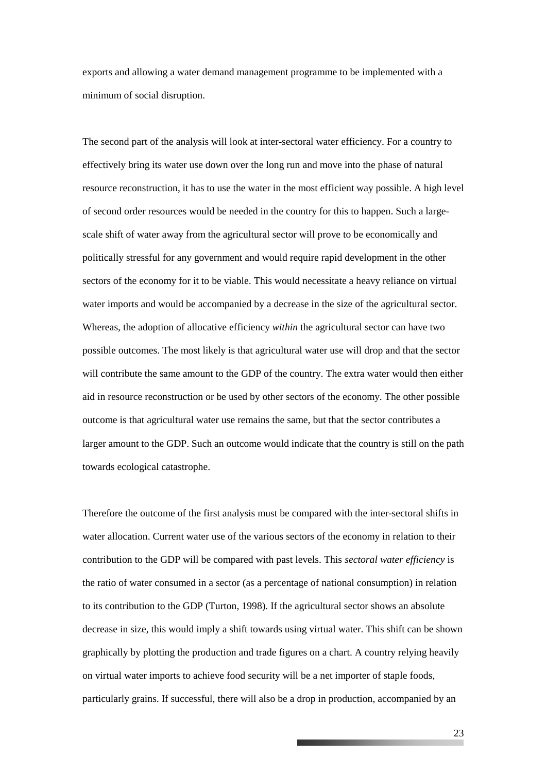exports and allowing a water demand management programme to be implemented with a minimum of social disruption.

The second part of the analysis will look at inter-sectoral water efficiency. For a country to effectively bring its water use down over the long run and move into the phase of natural resource reconstruction, it has to use the water in the most efficient way possible. A high level of second order resources would be needed in the country for this to happen. Such a largescale shift of water away from the agricultural sector will prove to be economically and politically stressful for any government and would require rapid development in the other sectors of the economy for it to be viable. This would necessitate a heavy reliance on virtual water imports and would be accompanied by a decrease in the size of the agricultural sector. Whereas, the adoption of allocative efficiency *within* the agricultural sector can have two possible outcomes. The most likely is that agricultural water use will drop and that the sector will contribute the same amount to the GDP of the country. The extra water would then either aid in resource reconstruction or be used by other sectors of the economy. The other possible outcome is that agricultural water use remains the same, but that the sector contributes a larger amount to the GDP. Such an outcome would indicate that the country is still on the path towards ecological catastrophe.

Therefore the outcome of the first analysis must be compared with the inter-sectoral shifts in water allocation. Current water use of the various sectors of the economy in relation to their contribution to the GDP will be compared with past levels. This *sectoral water efficiency* is the ratio of water consumed in a sector (as a percentage of national consumption) in relation to its contribution to the GDP (Turton, 1998). If the agricultural sector shows an absolute decrease in size, this would imply a shift towards using virtual water. This shift can be shown graphically by plotting the production and trade figures on a chart. A country relying heavily on virtual water imports to achieve food security will be a net importer of staple foods, particularly grains. If successful, there will also be a drop in production, accompanied by an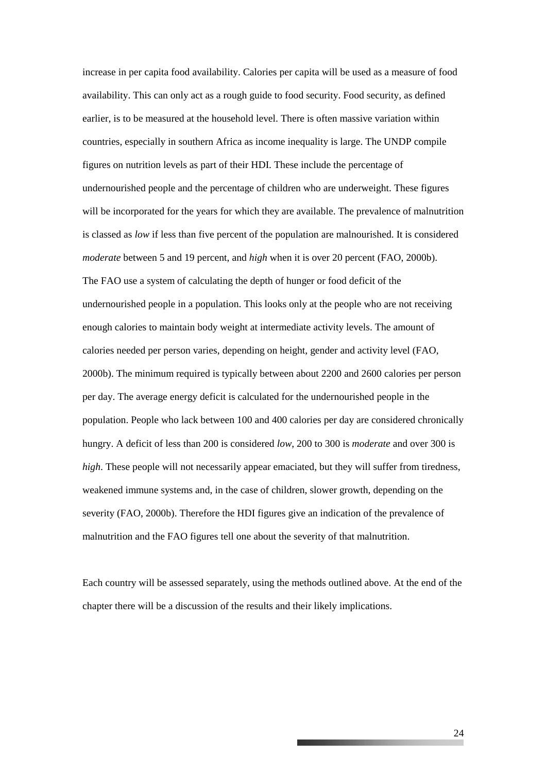increase in per capita food availability. Calories per capita will be used as a measure of food availability. This can only act as a rough guide to food security. Food security, as defined earlier, is to be measured at the household level. There is often massive variation within countries, especially in southern Africa as income inequality is large. The UNDP compile figures on nutrition levels as part of their HDI. These include the percentage of undernourished people and the percentage of children who are underweight. These figures will be incorporated for the years for which they are available. The prevalence of malnutrition is classed as *low* if less than five percent of the population are malnourished. It is considered *moderate* between 5 and 19 percent, and *high* when it is over 20 percent (FAO, 2000b). The FAO use a system of calculating the depth of hunger or food deficit of the undernourished people in a population. This looks only at the people who are not receiving enough calories to maintain body weight at intermediate activity levels. The amount of calories needed per person varies, depending on height, gender and activity level (FAO, 2000b). The minimum required is typically between about 2200 and 2600 calories per person per day. The average energy deficit is calculated for the undernourished people in the population. People who lack between 100 and 400 calories per day are considered chronically hungry. A deficit of less than 200 is considered *low*, 200 to 300 is *moderate* and over 300 is *high*. These people will not necessarily appear emaciated, but they will suffer from tiredness, weakened immune systems and, in the case of children, slower growth, depending on the severity (FAO, 2000b). Therefore the HDI figures give an indication of the prevalence of malnutrition and the FAO figures tell one about the severity of that malnutrition.

Each country will be assessed separately, using the methods outlined above. At the end of the chapter there will be a discussion of the results and their likely implications.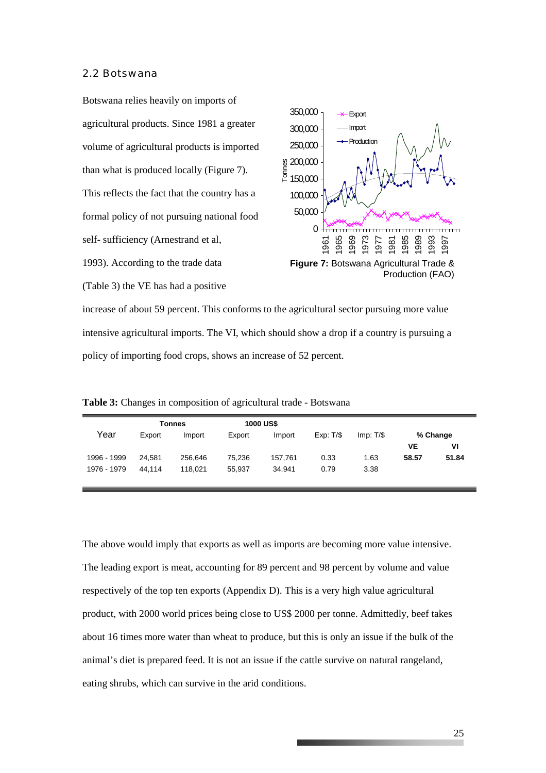#### 2.2 Botswana

Botswana relies heavily on imports of agricultural products. Since 1981 a greater volume of agricultural products is imported than what is produced locally (Figure 7). This reflects the fact that the country has a formal policy of not pursuing national food self- sufficiency (Arnestrand et al, 1993). According to the trade data (Table 3) the VE has had a positive



increase of about 59 percent. This conforms to the agricultural sector pursuing more value intensive agricultural imports. The VI, which should show a drop if a country is pursuing a policy of importing food crops, shows an increase of 52 percent.

**Table 3:** Changes in composition of agricultural trade - Botswana

|             | <b>Tonnes</b> |         | <b>1000 US\$</b> |         |          |          |       |          |
|-------------|---------------|---------|------------------|---------|----------|----------|-------|----------|
| Year        | Export        | Import  | Export           | Import  | Exp: T/S | Imp: T/S |       | % Change |
|             |               |         |                  |         |          |          | VE    | ۷ı       |
| 1996 - 1999 | 24.581        | 256,646 | 75,236           | 157,761 | 0.33     | 1.63     | 58.57 | 51.84    |
| 1976 - 1979 | 44.114        | 118.021 | 55.937           | 34.941  | 0.79     | 3.38     |       |          |
|             |               |         |                  |         |          |          |       |          |

The above would imply that exports as well as imports are becoming more value intensive. The leading export is meat, accounting for 89 percent and 98 percent by volume and value respectively of the top ten exports (Appendix D). This is a very high value agricultural product, with 2000 world prices being close to US\$ 2000 per tonne. Admittedly, beef takes about 16 times more water than wheat to produce, but this is only an issue if the bulk of the animal's diet is prepared feed. It is not an issue if the cattle survive on natural rangeland, eating shrubs, which can survive in the arid conditions.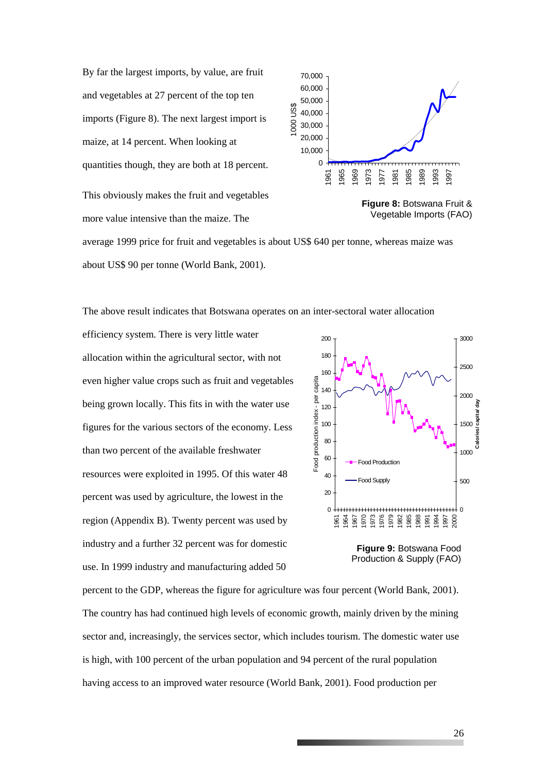By far the largest imports, by value, are fruit and vegetables at 27 percent of the top ten imports (Figure 8). The next largest import is maize, at 14 percent. When looking at quantities though, they are both at 18 percent. This obviously makes the fruit and vegetables more value intensive than the maize. The





average 1999 price for fruit and vegetables is about US\$ 640 per tonne, whereas maize was about US\$ 90 per tonne (World Bank, 2001).

The above result indicates that Botswana operates on an inter-sectoral water allocation

efficiency system. There is very little water allocation within the agricultural sector, with not even higher value crops such as fruit and vegetables being grown locally. This fits in with the water use figures for the various sectors of the economy. Less than two percent of the available freshwater resources were exploited in 1995. Of this water 48 percent was used by agriculture, the lowest in the region (Appendix B). Twenty percent was used by industry and a further 32 percent was for domestic use. In 1999 industry and manufacturing added 50



Production & Supply (FAO)

percent to the GDP, whereas the figure for agriculture was four percent (World Bank, 2001). The country has had continued high levels of economic growth, mainly driven by the mining sector and, increasingly, the services sector, which includes tourism. The domestic water use is high, with 100 percent of the urban population and 94 percent of the rural population having access to an improved water resource (World Bank, 2001). Food production per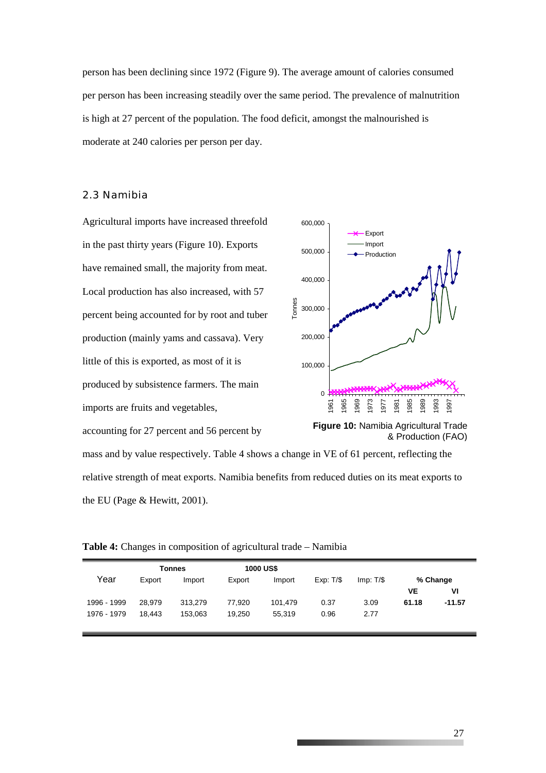person has been declining since 1972 (Figure 9). The average amount of calories consumed per person has been increasing steadily over the same period. The prevalence of malnutrition is high at 27 percent of the population. The food deficit, amongst the malnourished is moderate at 240 calories per person per day.

#### 2.3 Namibia

Agricultural imports have increased threefold in the past thirty years (Figure 10). Exports have remained small, the majority from meat. Local production has also increased, with 57 percent being accounted for by root and tuber production (mainly yams and cassava). Very little of this is exported, as most of it is produced by subsistence farmers. The main imports are fruits and vegetables, accounting for 27 percent and 56 percent by



mass and by value respectively. Table 4 shows a change in VE of 61 percent, reflecting the relative strength of meat exports. Namibia benefits from reduced duties on its meat exports to the EU (Page & Hewitt, 2001).

|  |  | Table 4: Changes in composition of agricultural trade - Namibia |
|--|--|-----------------------------------------------------------------|
|  |  |                                                                 |

|             |        | Tonnes  |        | <b>1000 US\$</b> |          |          |       |          |
|-------------|--------|---------|--------|------------------|----------|----------|-------|----------|
| Year        | Export | Import  | Export | Import           | Exp: T/S | Imp: T/S |       | % Change |
|             |        |         |        |                  |          |          | VE    | VI       |
| 1996 - 1999 | 28.979 | 313,279 | 77.920 | 101,479          | 0.37     | 3.09     | 61.18 | $-11.57$ |
| 1976 - 1979 | 18.443 | 153.063 | 19.250 | 55.319           | 0.96     | 2.77     |       |          |
|             |        |         |        |                  |          |          |       |          |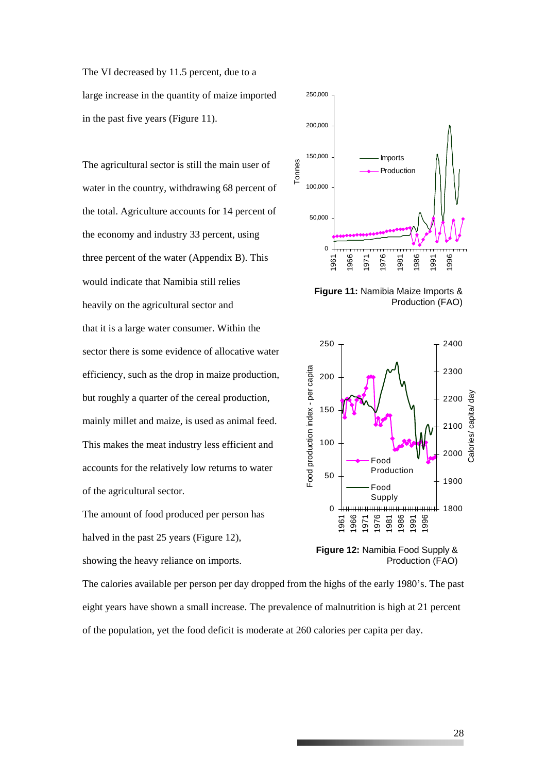The VI decreased by 11.5 percent, due to a large increase in the quantity of maize imported in the past five years (Figure 11).

The agricultural sector is still the main user of water in the country, withdrawing 68 percent of the total. Agriculture accounts for 14 percent of the economy and industry 33 percent, using three percent of the water (Appendix B). This would indicate that Namibia still relies heavily on the agricultural sector and that it is a large water consumer. Within the sector there is some evidence of allocative water efficiency, such as the drop in maize production, but roughly a quarter of the cereal production, mainly millet and maize, is used as animal feed. This makes the meat industry less efficient and accounts for the relatively low returns to water of the agricultural sector.

The amount of food produced per person has halved in the past 25 years (Figure 12), showing the heavy reliance on imports.



**Figure 11:** Namibia Maize Imports & Production (FAO)



Production (FAO)

The calories available per person per day dropped from the highs of the early 1980's. The past eight years have shown a small increase. The prevalence of malnutrition is high at 21 percent of the population, yet the food deficit is moderate at 260 calories per capita per day.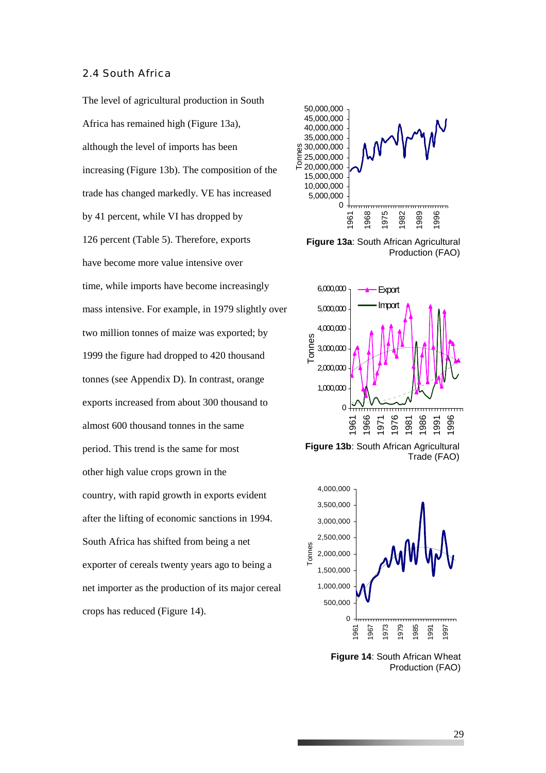#### 2.4 South Africa

The level of agricultural production in South Africa has remained high (Figure 13a), although the level of imports has been increasing (Figure 13b). The composition of the trade has changed markedly. VE has increased by 41 percent, while VI has dropped by 126 percent (Table 5). Therefore, exports have become more value intensive over time, while imports have become increasingly mass intensive. For example, in 1979 slightly over two million tonnes of maize was exported; by 1999 the figure had dropped to 420 thousand tonnes (see Appendix D). In contrast, orange exports increased from about 300 thousand to almost 600 thousand tonnes in the same period. This trend is the same for most other high value crops grown in the country, with rapid growth in exports evident after the lifting of economic sanctions in 1994. South Africa has shifted from being a net exporter of cereals twenty years ago to being a net importer as the production of its major cereal crops has reduced (Figure 14).



**Figure 13a**: South African Agricultural Production (FAO)



**Figure 13b**: South African Agricultural Trade (FAO)



**Figure 14**: South African Wheat Production (FAO)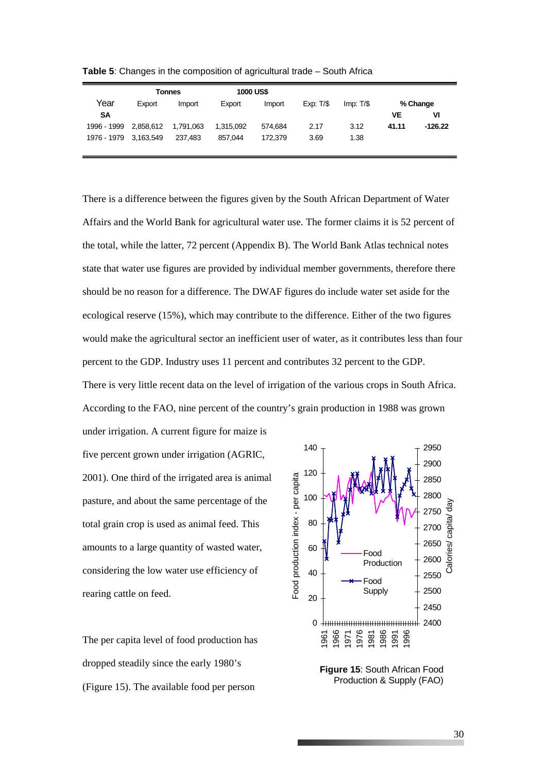|                       |           | Tonnes    | <b>1000 US\$</b> |         |          |             |       |           |
|-----------------------|-----------|-----------|------------------|---------|----------|-------------|-------|-----------|
| Year                  | Export    | Import    | Export           | Import  | Exp: T/S | $Imp: T/\$$ |       | % Change  |
| <b>SA</b>             |           |           |                  |         |          |             | VE    | VI        |
| 1996 - 1999           | 2,858,612 | 1,791,063 | 1,315,092        | 574.684 | 2.17     | 3.12        | 41.11 | $-126.22$ |
| 1976 - 1979 3.163.549 |           | 237.483   | 857.044          | 172.379 | 3.69     | 1.38        |       |           |
|                       |           |           |                  |         |          |             |       |           |

**Table 5**: Changes in the composition of agricultural trade – South Africa

There is a difference between the figures given by the South African Department of Water Affairs and the World Bank for agricultural water use. The former claims it is 52 percent of the total, while the latter, 72 percent (Appendix B). The World Bank Atlas technical notes state that water use figures are provided by individual member governments, therefore there should be no reason for a difference. The DWAF figures do include water set aside for the ecological reserve (15%), which may contribute to the difference. Either of the two figures would make the agricultural sector an inefficient user of water, as it contributes less than four percent to the GDP. Industry uses 11 percent and contributes 32 percent to the GDP. There is very little recent data on the level of irrigation of the various crops in South Africa. According to the FAO, nine percent of the country's grain production in 1988 was grown under irrigation. A current figure for maize is

five percent grown under irrigation (AGRIC, 2001). One third of the irrigated area is animal pasture, and about the same percentage of the total grain crop is used as animal feed. This amounts to a large quantity of wasted water, considering the low water use efficiency of rearing cattle on feed.

The per capita level of food production has dropped steadily since the early 1980's (Figure 15). The available food per person



**Figure 15**: South African Food Production & Supply (FAO)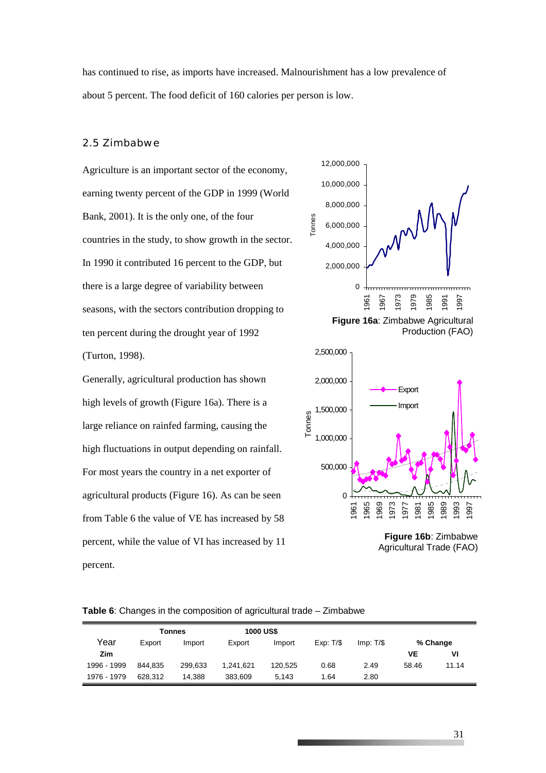has continued to rise, as imports have increased. Malnourishment has a low prevalence of about 5 percent. The food deficit of 160 calories per person is low.

Tonnes

#### 2.5 Zimbabwe

Agriculture is an important sector of the economy, earning twenty percent of the GDP in 1999 (World Bank, 2001). It is the only one, of the four countries in the study, to show growth in the sector. In 1990 it contributed 16 percent to the GDP, but there is a large degree of variability between seasons, with the sectors contribution dropping to ten percent during the drought year of 1992 (Turton, 1998).

Generally, agricultural production has shown high levels of growth (Figure 16a). There is a large reliance on rainfed farming, causing the high fluctuations in output depending on rainfall. For most years the country in a net exporter of agricultural products (Figure 16). As can be seen from Table 6 the value of VE has increased by 58 percent, while the value of VI has increased by 11 percent.



Production (FAO)



**Figure 16b**: Zimbabwe Agricultural Trade (FAO)

|  |  | Table 6: Changes in the composition of agricultural trade - Zimbabwe |
|--|--|----------------------------------------------------------------------|
|  |  |                                                                      |

|             |         | Tonnes  | <b>1000 US\$</b> |         |          |          |       |          |
|-------------|---------|---------|------------------|---------|----------|----------|-------|----------|
| Year        | Export  | Import  | Export           | Import  | Exp: T/S | Imp: T/S |       | % Change |
| Zim         |         |         |                  |         |          |          | VE    | ٧ı       |
| 1996 - 1999 | 844.835 | 299.633 | 1.241.621        | 120.525 | 0.68     | 2.49     | 58.46 | 11.14    |
| 1976 - 1979 | 628.312 | 14.388  | 383.609          | 5.143   | 1.64     | 2.80     |       |          |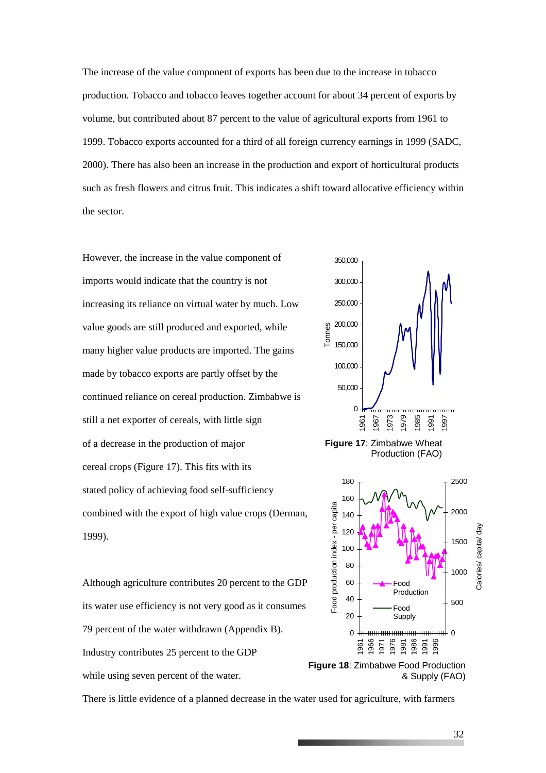The increase of the value component of exports has been due to the increase in tobacco production. Tobacco and tobacco leaves together account for about 34 percent of exports by volume, but contributed about 87 percent to the value of agricultural exports from 1961 to 1999. Tobacco exports accounted for a third of all foreign currency earnings in 1999 (SADC, 2000). There has also been an increase in the production and export of horticultural products such as fresh flowers and citrus fruit. This indicates a shift toward allocative efficiency within the sector.

However, the increase in the value component of imports would indicate that the country is not increasing its reliance on virtual water by much. Low value goods are still produced and exported, while many higher value products are imported. The gains made by tobacco exports are partly offset by the continued reliance on cereal production. Zimbabwe is still a net exporter of cereals, with little sign of a decrease in the production of major cereal crops (Figure 17). This fits with its stated policy of achieving food self-sufficiency combined with the export of high value crops (Derman, 1999).





Although agriculture contributes 20 percent to the GDP its water use efficiency is not very good as it consumes 79 percent of the water withdrawn (Appendix B). Industry contributes 25 percent to the GDP while using seven percent of the water.

There is little evidence of a planned decrease in the water used for agriculture, with farmers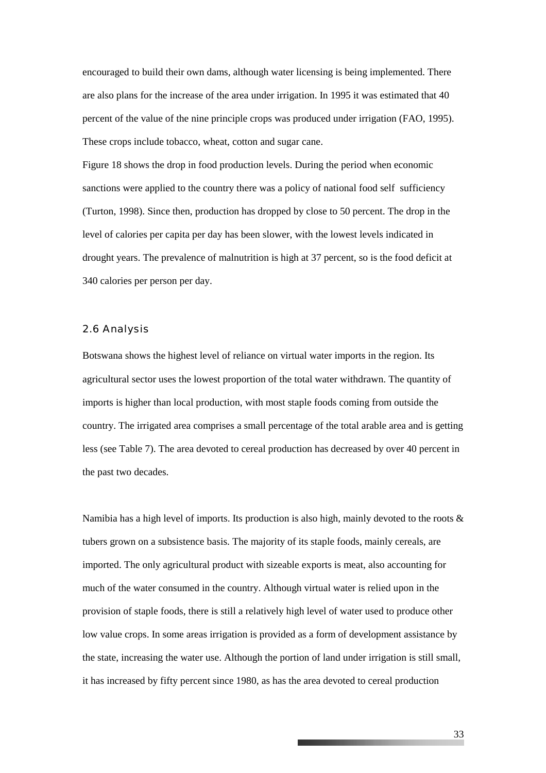encouraged to build their own dams, although water licensing is being implemented. There are also plans for the increase of the area under irrigation. In 1995 it was estimated that 40 percent of the value of the nine principle crops was produced under irrigation (FAO, 1995). These crops include tobacco, wheat, cotton and sugar cane.

Figure 18 shows the drop in food production levels. During the period when economic sanctions were applied to the country there was a policy of national food self sufficiency (Turton, 1998). Since then, production has dropped by close to 50 percent. The drop in the level of calories per capita per day has been slower, with the lowest levels indicated in drought years. The prevalence of malnutrition is high at 37 percent, so is the food deficit at 340 calories per person per day.

#### 2.6 Analysis

Botswana shows the highest level of reliance on virtual water imports in the region. Its agricultural sector uses the lowest proportion of the total water withdrawn. The quantity of imports is higher than local production, with most staple foods coming from outside the country. The irrigated area comprises a small percentage of the total arable area and is getting less (see Table 7). The area devoted to cereal production has decreased by over 40 percent in the past two decades.

Namibia has a high level of imports. Its production is also high, mainly devoted to the roots  $\&$ tubers grown on a subsistence basis. The majority of its staple foods, mainly cereals, are imported. The only agricultural product with sizeable exports is meat, also accounting for much of the water consumed in the country. Although virtual water is relied upon in the provision of staple foods, there is still a relatively high level of water used to produce other low value crops. In some areas irrigation is provided as a form of development assistance by the state, increasing the water use. Although the portion of land under irrigation is still small, it has increased by fifty percent since 1980, as has the area devoted to cereal production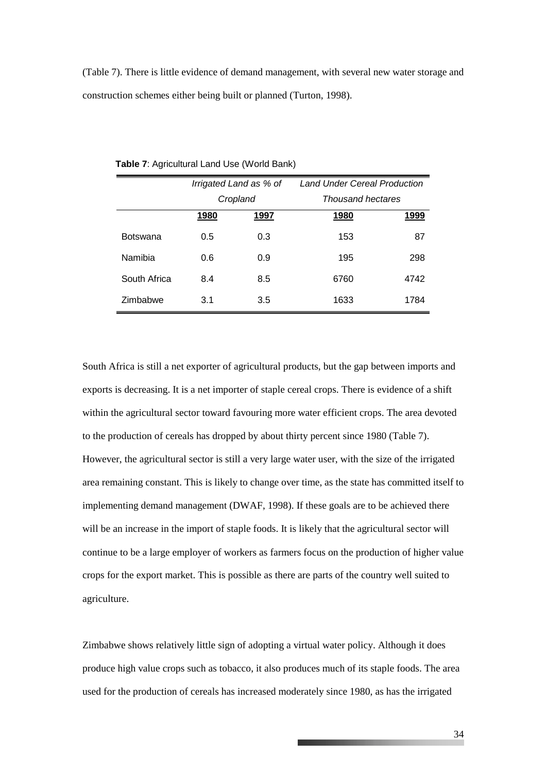(Table 7). There is little evidence of demand management, with several new water storage and construction schemes either being built or planned (Turton, 1998).

|                 |      | Irrigated Land as % of | <b>Land Under Cereal Production</b> |      |  |  |
|-----------------|------|------------------------|-------------------------------------|------|--|--|
|                 |      | Cropland               | <b>Thousand hectares</b>            |      |  |  |
|                 | 1980 | 1997                   | 1980                                | 1999 |  |  |
| <b>Botswana</b> | 0.5  | 0.3                    | 153                                 | 87   |  |  |
| Namibia         | 0.6  | 0.9                    | 195                                 | 298  |  |  |
| South Africa    | 8.4  | 8.5                    | 6760                                | 4742 |  |  |
| Zimbabwe        | 3.1  | 3.5                    | 1633                                | 1784 |  |  |

**Table 7**: Agricultural Land Use (World Bank)

South Africa is still a net exporter of agricultural products, but the gap between imports and exports is decreasing. It is a net importer of staple cereal crops. There is evidence of a shift within the agricultural sector toward favouring more water efficient crops. The area devoted to the production of cereals has dropped by about thirty percent since 1980 (Table 7). However, the agricultural sector is still a very large water user, with the size of the irrigated area remaining constant. This is likely to change over time, as the state has committed itself to implementing demand management (DWAF, 1998). If these goals are to be achieved there will be an increase in the import of staple foods. It is likely that the agricultural sector will continue to be a large employer of workers as farmers focus on the production of higher value crops for the export market. This is possible as there are parts of the country well suited to agriculture.

Zimbabwe shows relatively little sign of adopting a virtual water policy. Although it does produce high value crops such as tobacco, it also produces much of its staple foods. The area used for the production of cereals has increased moderately since 1980, as has the irrigated

**The Committee of the Committee**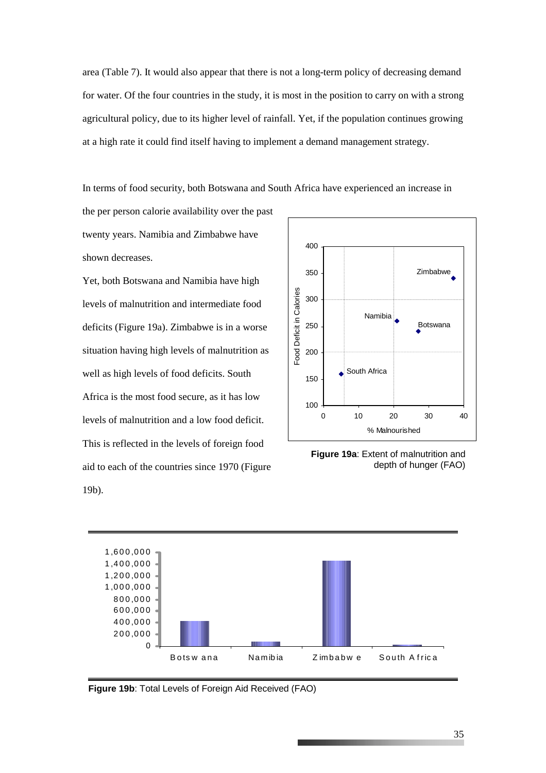area (Table 7). It would also appear that there is not a long-term policy of decreasing demand for water. Of the four countries in the study, it is most in the position to carry on with a strong agricultural policy, due to its higher level of rainfall. Yet, if the population continues growing at a high rate it could find itself having to implement a demand management strategy.

In terms of food security, both Botswana and South Africa have experienced an increase in

the per person calorie availability over the past twenty years. Namibia and Zimbabwe have shown decreases.

Yet, both Botswana and Namibia have high levels of malnutrition and intermediate food deficits (Figure 19a). Zimbabwe is in a worse situation having high levels of malnutrition as well as high levels of food deficits. South Africa is the most food secure, as it has low levels of malnutrition and a low food deficit. This is reflected in the levels of foreign food aid to each of the countries since 1970 (Figure 19b).



**Figure 19a**: Extent of malnutrition and depth of hunger (FAO)



**Figure 19b**: Total Levels of Foreign Aid Received (FAO)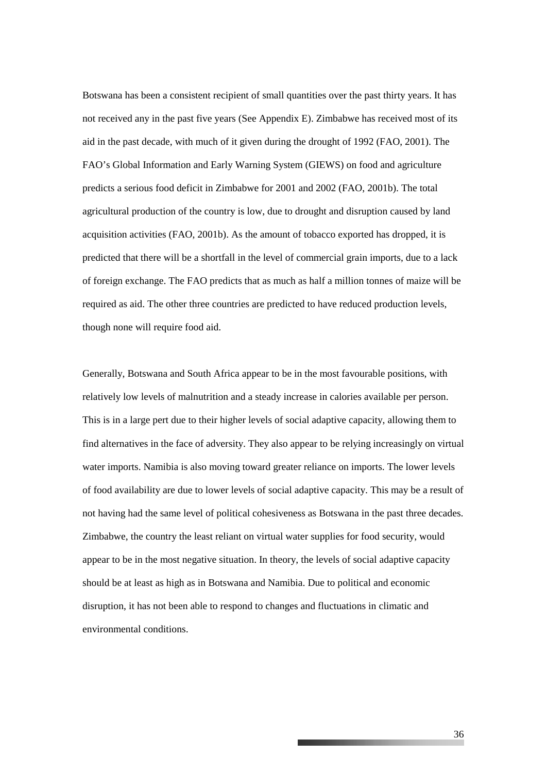Botswana has been a consistent recipient of small quantities over the past thirty years. It has not received any in the past five years (See Appendix E). Zimbabwe has received most of its aid in the past decade, with much of it given during the drought of 1992 (FAO, 2001). The FAO's Global Information and Early Warning System (GIEWS) on food and agriculture predicts a serious food deficit in Zimbabwe for 2001 and 2002 (FAO, 2001b). The total agricultural production of the country is low, due to drought and disruption caused by land acquisition activities (FAO, 2001b). As the amount of tobacco exported has dropped, it is predicted that there will be a shortfall in the level of commercial grain imports, due to a lack of foreign exchange. The FAO predicts that as much as half a million tonnes of maize will be required as aid. The other three countries are predicted to have reduced production levels, though none will require food aid.

Generally, Botswana and South Africa appear to be in the most favourable positions, with relatively low levels of malnutrition and a steady increase in calories available per person. This is in a large pert due to their higher levels of social adaptive capacity, allowing them to find alternatives in the face of adversity. They also appear to be relying increasingly on virtual water imports. Namibia is also moving toward greater reliance on imports. The lower levels of food availability are due to lower levels of social adaptive capacity. This may be a result of not having had the same level of political cohesiveness as Botswana in the past three decades. Zimbabwe, the country the least reliant on virtual water supplies for food security, would appear to be in the most negative situation. In theory, the levels of social adaptive capacity should be at least as high as in Botswana and Namibia. Due to political and economic disruption, it has not been able to respond to changes and fluctuations in climatic and environmental conditions.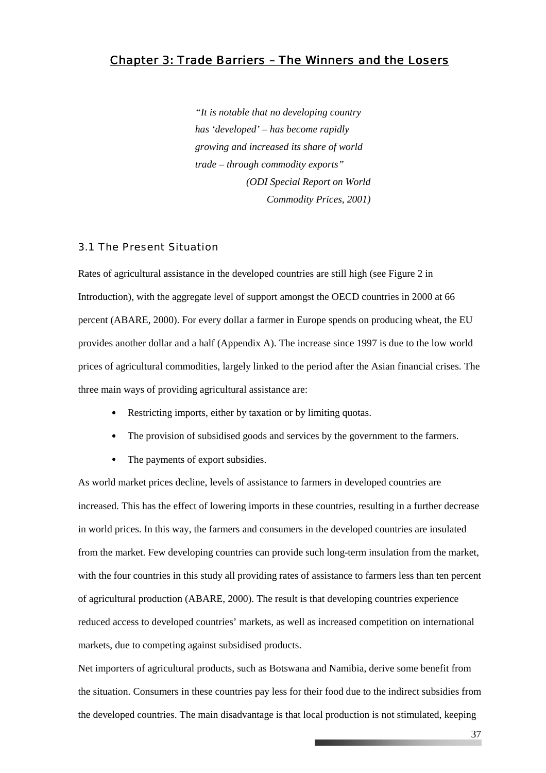### *Chapter 3: Trade Barriers – The Winners and the Losers*

*"It is notable that no developing country has 'developed' – has become rapidly growing and increased its share of world trade – through commodity exports" (ODI Special Report on World Commodity Prices, 2001)* 

#### 3.1 The Present Situation

Rates of agricultural assistance in the developed countries are still high (see Figure 2 in Introduction), with the aggregate level of support amongst the OECD countries in 2000 at 66 percent (ABARE, 2000). For every dollar a farmer in Europe spends on producing wheat, the EU provides another dollar and a half (Appendix A). The increase since 1997 is due to the low world prices of agricultural commodities, largely linked to the period after the Asian financial crises. The three main ways of providing agricultural assistance are:

- Restricting imports, either by taxation or by limiting quotas.
- The provision of subsidised goods and services by the government to the farmers.
- The payments of export subsidies.

As world market prices decline, levels of assistance to farmers in developed countries are increased. This has the effect of lowering imports in these countries, resulting in a further decrease in world prices. In this way, the farmers and consumers in the developed countries are insulated from the market. Few developing countries can provide such long-term insulation from the market, with the four countries in this study all providing rates of assistance to farmers less than ten percent of agricultural production (ABARE, 2000). The result is that developing countries experience reduced access to developed countries' markets, as well as increased competition on international markets, due to competing against subsidised products.

Net importers of agricultural products, such as Botswana and Namibia, derive some benefit from the situation. Consumers in these countries pay less for their food due to the indirect subsidies from the developed countries. The main disadvantage is that local production is not stimulated, keeping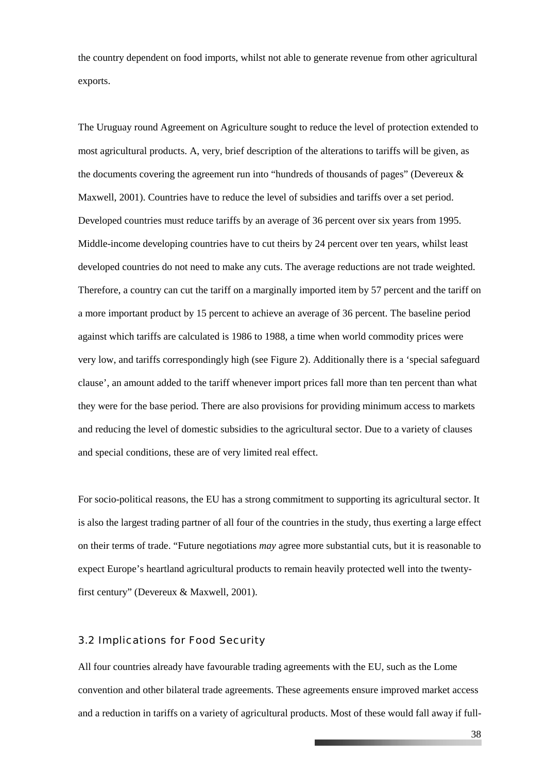the country dependent on food imports, whilst not able to generate revenue from other agricultural exports.

The Uruguay round Agreement on Agriculture sought to reduce the level of protection extended to most agricultural products. A, very, brief description of the alterations to tariffs will be given, as the documents covering the agreement run into "hundreds of thousands of pages" (Devereux & Maxwell, 2001). Countries have to reduce the level of subsidies and tariffs over a set period. Developed countries must reduce tariffs by an average of 36 percent over six years from 1995. Middle-income developing countries have to cut theirs by 24 percent over ten years, whilst least developed countries do not need to make any cuts. The average reductions are not trade weighted. Therefore, a country can cut the tariff on a marginally imported item by 57 percent and the tariff on a more important product by 15 percent to achieve an average of 36 percent. The baseline period against which tariffs are calculated is 1986 to 1988, a time when world commodity prices were very low, and tariffs correspondingly high (see Figure 2). Additionally there is a 'special safeguard clause', an amount added to the tariff whenever import prices fall more than ten percent than what they were for the base period. There are also provisions for providing minimum access to markets and reducing the level of domestic subsidies to the agricultural sector. Due to a variety of clauses and special conditions, these are of very limited real effect.

For socio-political reasons, the EU has a strong commitment to supporting its agricultural sector. It is also the largest trading partner of all four of the countries in the study, thus exerting a large effect on their terms of trade. "Future negotiations *may* agree more substantial cuts, but it is reasonable to expect Europe's heartland agricultural products to remain heavily protected well into the twentyfirst century" (Devereux & Maxwell, 2001).

#### 3.2 Implications for Food Security

All four countries already have favourable trading agreements with the EU, such as the Lome convention and other bilateral trade agreements. These agreements ensure improved market access and a reduction in tariffs on a variety of agricultural products. Most of these would fall away if full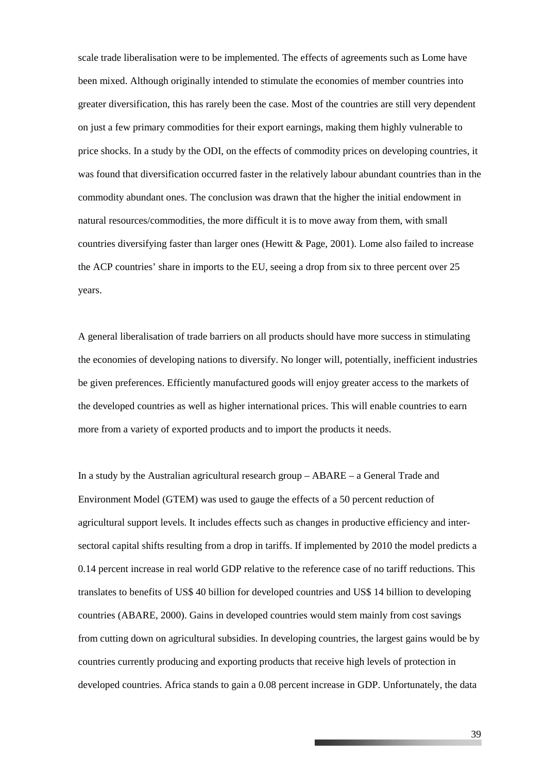scale trade liberalisation were to be implemented. The effects of agreements such as Lome have been mixed. Although originally intended to stimulate the economies of member countries into greater diversification, this has rarely been the case. Most of the countries are still very dependent on just a few primary commodities for their export earnings, making them highly vulnerable to price shocks. In a study by the ODI, on the effects of commodity prices on developing countries, it was found that diversification occurred faster in the relatively labour abundant countries than in the commodity abundant ones. The conclusion was drawn that the higher the initial endowment in natural resources/commodities, the more difficult it is to move away from them, with small countries diversifying faster than larger ones (Hewitt & Page, 2001). Lome also failed to increase the ACP countries' share in imports to the EU, seeing a drop from six to three percent over 25 years.

A general liberalisation of trade barriers on all products should have more success in stimulating the economies of developing nations to diversify. No longer will, potentially, inefficient industries be given preferences. Efficiently manufactured goods will enjoy greater access to the markets of the developed countries as well as higher international prices. This will enable countries to earn more from a variety of exported products and to import the products it needs.

In a study by the Australian agricultural research group – ABARE – a General Trade and Environment Model (GTEM) was used to gauge the effects of a 50 percent reduction of agricultural support levels. It includes effects such as changes in productive efficiency and intersectoral capital shifts resulting from a drop in tariffs. If implemented by 2010 the model predicts a 0.14 percent increase in real world GDP relative to the reference case of no tariff reductions. This translates to benefits of US\$ 40 billion for developed countries and US\$ 14 billion to developing countries (ABARE, 2000). Gains in developed countries would stem mainly from cost savings from cutting down on agricultural subsidies. In developing countries, the largest gains would be by countries currently producing and exporting products that receive high levels of protection in developed countries. Africa stands to gain a 0.08 percent increase in GDP. Unfortunately, the data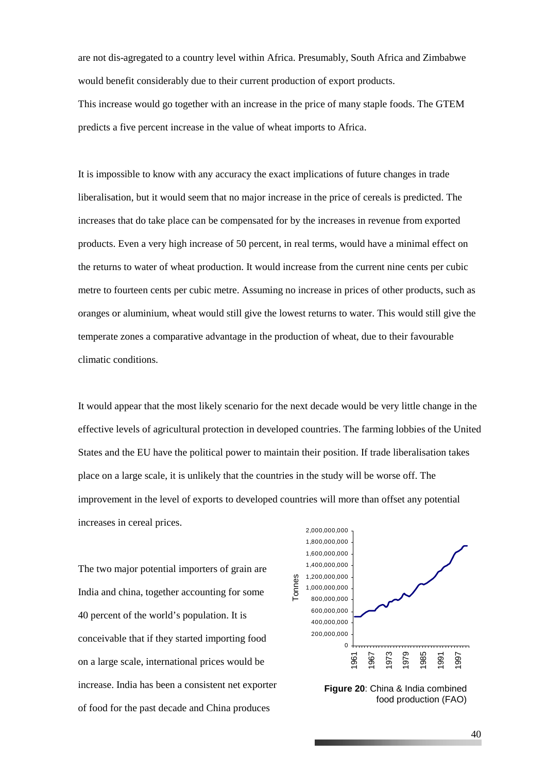are not dis-agregated to a country level within Africa. Presumably, South Africa and Zimbabwe would benefit considerably due to their current production of export products. This increase would go together with an increase in the price of many staple foods. The GTEM predicts a five percent increase in the value of wheat imports to Africa.

It is impossible to know with any accuracy the exact implications of future changes in trade liberalisation, but it would seem that no major increase in the price of cereals is predicted. The increases that do take place can be compensated for by the increases in revenue from exported products. Even a very high increase of 50 percent, in real terms, would have a minimal effect on the returns to water of wheat production. It would increase from the current nine cents per cubic metre to fourteen cents per cubic metre. Assuming no increase in prices of other products, such as oranges or aluminium, wheat would still give the lowest returns to water. This would still give the temperate zones a comparative advantage in the production of wheat, due to their favourable climatic conditions.

It would appear that the most likely scenario for the next decade would be very little change in the effective levels of agricultural protection in developed countries. The farming lobbies of the United States and the EU have the political power to maintain their position. If trade liberalisation takes place on a large scale, it is unlikely that the countries in the study will be worse off. The improvement in the level of exports to developed countries will more than offset any potential increases in cereal prices.

The two major potential importers of grain are India and china, together accounting for some 40 percent of the world's population. It is conceivable that if they started importing food on a large scale, international prices would be increase. India has been a consistent net exporter of food for the past decade and China produces



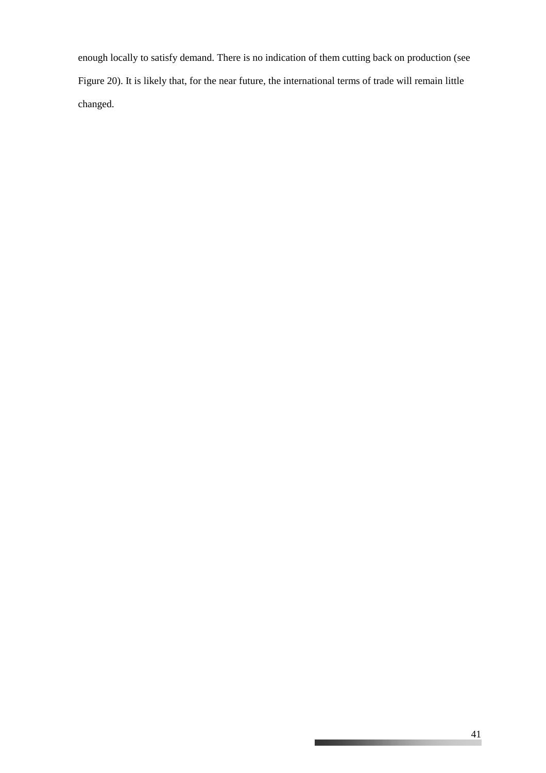enough locally to satisfy demand. There is no indication of them cutting back on production (see Figure 20). It is likely that, for the near future, the international terms of trade will remain little changed.

\_\_\_\_\_\_\_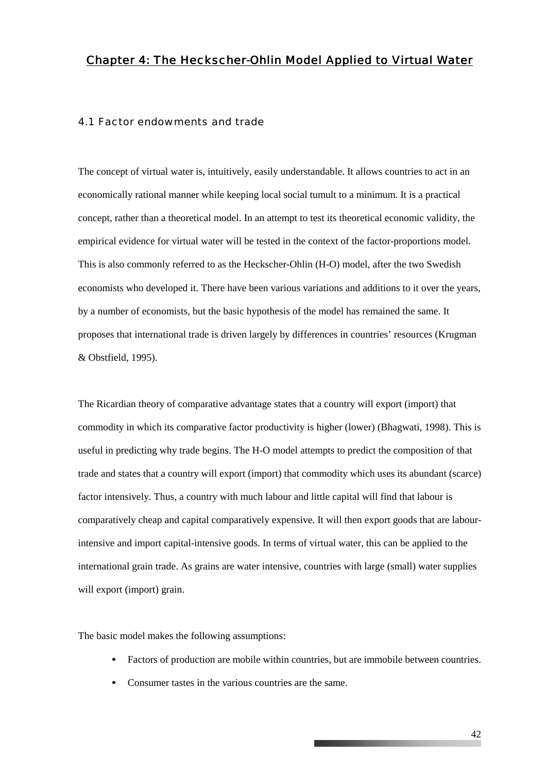### *Chapter 4: The Heckscher-Ohlin Model Applied to Virtual Water*

#### 4.1 Factor endowments and trade

The concept of virtual water is, intuitively, easily understandable. It allows countries to act in an economically rational manner while keeping local social tumult to a minimum. It is a practical concept, rather than a theoretical model. In an attempt to test its theoretical economic validity, the empirical evidence for virtual water will be tested in the context of the factor-proportions model. This is also commonly referred to as the Heckscher-Ohlin (H-O) model, after the two Swedish economists who developed it. There have been various variations and additions to it over the years, by a number of economists, but the basic hypothesis of the model has remained the same. It proposes that international trade is driven largely by differences in countries' resources (Krugman & Obstfield, 1995).

The Ricardian theory of comparative advantage states that a country will export (import) that commodity in which its comparative factor productivity is higher (lower) (Bhagwati, 1998). This is useful in predicting why trade begins. The H-O model attempts to predict the composition of that trade and states that a country will export (import) that commodity which uses its abundant (scarce) factor intensively. Thus, a country with much labour and little capital will find that labour is comparatively cheap and capital comparatively expensive. It will then export goods that are labourintensive and import capital-intensive goods. In terms of virtual water, this can be applied to the international grain trade. As grains are water intensive, countries with large (small) water supplies will export (import) grain.

The basic model makes the following assumptions:

- Factors of production are mobile within countries, but are immobile between countries.
- Consumer tastes in the various countries are the same.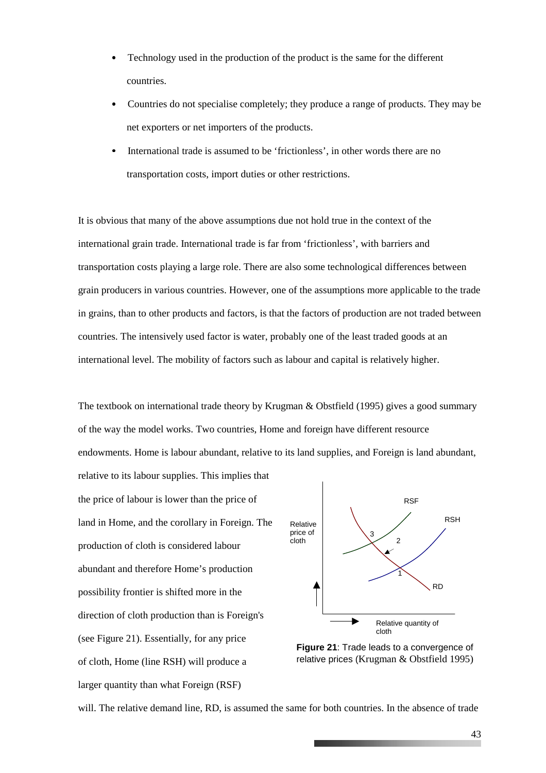- Technology used in the production of the product is the same for the different countries.
- Countries do not specialise completely; they produce a range of products. They may be net exporters or net importers of the products.
- International trade is assumed to be 'frictionless', in other words there are no transportation costs, import duties or other restrictions.

It is obvious that many of the above assumptions due not hold true in the context of the international grain trade. International trade is far from 'frictionless', with barriers and transportation costs playing a large role. There are also some technological differences between grain producers in various countries. However, one of the assumptions more applicable to the trade in grains, than to other products and factors, is that the factors of production are not traded between countries. The intensively used factor is water, probably one of the least traded goods at an international level. The mobility of factors such as labour and capital is relatively higher.

The textbook on international trade theory by Krugman & Obstfield (1995) gives a good summary of the way the model works. Two countries, Home and foreign have different resource endowments. Home is labour abundant, relative to its land supplies, and Foreign is land abundant,

the price of labour is lower than the price of land in Home, and the corollary in Foreign. The production of cloth is considered labour abundant and therefore Home's production possibility frontier is shifted more in the direction of cloth production than is Foreign's (see Figure 21). Essentially, for any price of cloth, Home (line RSH) will produce a larger quantity than what Foreign (RSF)

relative to its labour supplies. This implies that



**Figure 21**: Trade leads to a convergence of relative prices (Krugman & Obstfield 1995)

will. The relative demand line, RD, is assumed the same for both countries. In the absence of trade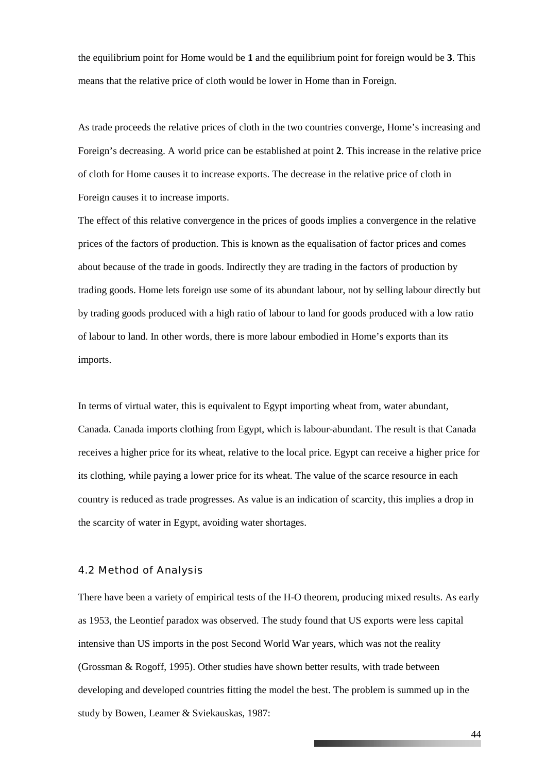the equilibrium point for Home would be **1** and the equilibrium point for foreign would be **3**. This means that the relative price of cloth would be lower in Home than in Foreign.

As trade proceeds the relative prices of cloth in the two countries converge, Home's increasing and Foreign's decreasing. A world price can be established at point **2**. This increase in the relative price of cloth for Home causes it to increase exports. The decrease in the relative price of cloth in Foreign causes it to increase imports.

The effect of this relative convergence in the prices of goods implies a convergence in the relative prices of the factors of production. This is known as the equalisation of factor prices and comes about because of the trade in goods. Indirectly they are trading in the factors of production by trading goods. Home lets foreign use some of its abundant labour, not by selling labour directly but by trading goods produced with a high ratio of labour to land for goods produced with a low ratio of labour to land. In other words, there is more labour embodied in Home's exports than its imports.

In terms of virtual water, this is equivalent to Egypt importing wheat from, water abundant, Canada. Canada imports clothing from Egypt, which is labour-abundant. The result is that Canada receives a higher price for its wheat, relative to the local price. Egypt can receive a higher price for its clothing, while paying a lower price for its wheat. The value of the scarce resource in each country is reduced as trade progresses. As value is an indication of scarcity, this implies a drop in the scarcity of water in Egypt, avoiding water shortages.

#### 4.2 Method of Analysis

There have been a variety of empirical tests of the H-O theorem, producing mixed results. As early as 1953, the Leontief paradox was observed. The study found that US exports were less capital intensive than US imports in the post Second World War years, which was not the reality (Grossman & Rogoff, 1995). Other studies have shown better results, with trade between developing and developed countries fitting the model the best. The problem is summed up in the study by Bowen, Leamer & Sviekauskas, 1987: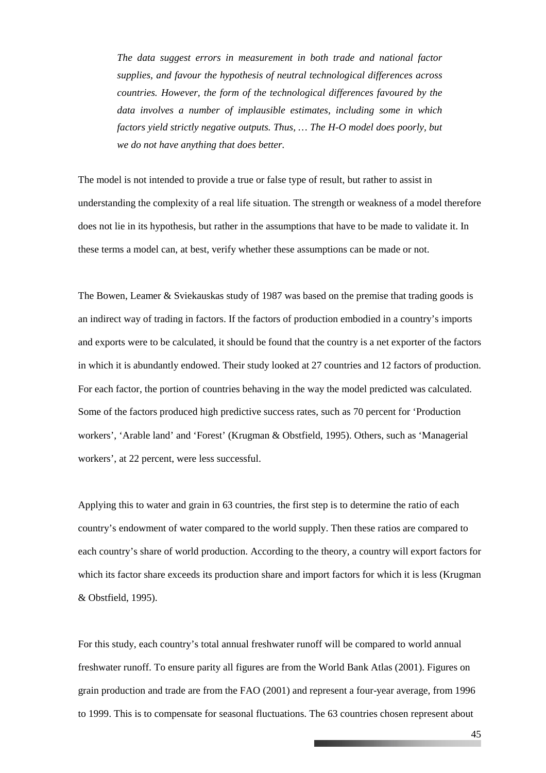*The data suggest errors in measurement in both trade and national factor supplies, and favour the hypothesis of neutral technological differences across countries. However, the form of the technological differences favoured by the data involves a number of implausible estimates, including some in which factors yield strictly negative outputs. Thus, … The H-O model does poorly, but we do not have anything that does better.* 

The model is not intended to provide a true or false type of result, but rather to assist in understanding the complexity of a real life situation. The strength or weakness of a model therefore does not lie in its hypothesis, but rather in the assumptions that have to be made to validate it. In these terms a model can, at best, verify whether these assumptions can be made or not.

The Bowen, Leamer & Sviekauskas study of 1987 was based on the premise that trading goods is an indirect way of trading in factors. If the factors of production embodied in a country's imports and exports were to be calculated, it should be found that the country is a net exporter of the factors in which it is abundantly endowed. Their study looked at 27 countries and 12 factors of production. For each factor, the portion of countries behaving in the way the model predicted was calculated. Some of the factors produced high predictive success rates, such as 70 percent for 'Production workers', 'Arable land' and 'Forest' (Krugman & Obstfield, 1995). Others, such as 'Managerial workers', at 22 percent, were less successful.

Applying this to water and grain in 63 countries, the first step is to determine the ratio of each country's endowment of water compared to the world supply. Then these ratios are compared to each country's share of world production. According to the theory, a country will export factors for which its factor share exceeds its production share and import factors for which it is less (Krugman & Obstfield, 1995).

For this study, each country's total annual freshwater runoff will be compared to world annual freshwater runoff. To ensure parity all figures are from the World Bank Atlas (2001). Figures on grain production and trade are from the FAO (2001) and represent a four-year average, from 1996 to 1999. This is to compensate for seasonal fluctuations. The 63 countries chosen represent about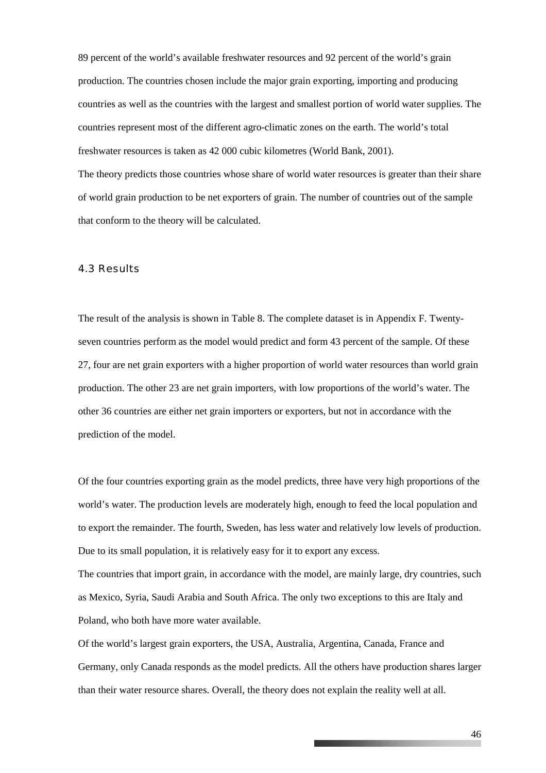89 percent of the world's available freshwater resources and 92 percent of the world's grain production. The countries chosen include the major grain exporting, importing and producing countries as well as the countries with the largest and smallest portion of world water supplies. The countries represent most of the different agro-climatic zones on the earth. The world's total freshwater resources is taken as 42 000 cubic kilometres (World Bank, 2001). The theory predicts those countries whose share of world water resources is greater than their share of world grain production to be net exporters of grain. The number of countries out of the sample that conform to the theory will be calculated.

#### 4.3 Results

The result of the analysis is shown in Table 8. The complete dataset is in Appendix F. Twentyseven countries perform as the model would predict and form 43 percent of the sample. Of these 27, four are net grain exporters with a higher proportion of world water resources than world grain production. The other 23 are net grain importers, with low proportions of the world's water. The other 36 countries are either net grain importers or exporters, but not in accordance with the prediction of the model.

Of the four countries exporting grain as the model predicts, three have very high proportions of the world's water. The production levels are moderately high, enough to feed the local population and to export the remainder. The fourth, Sweden, has less water and relatively low levels of production. Due to its small population, it is relatively easy for it to export any excess.

The countries that import grain, in accordance with the model, are mainly large, dry countries, such as Mexico, Syria, Saudi Arabia and South Africa. The only two exceptions to this are Italy and Poland, who both have more water available.

Of the world's largest grain exporters, the USA, Australia, Argentina, Canada, France and Germany, only Canada responds as the model predicts. All the others have production shares larger than their water resource shares. Overall, the theory does not explain the reality well at all.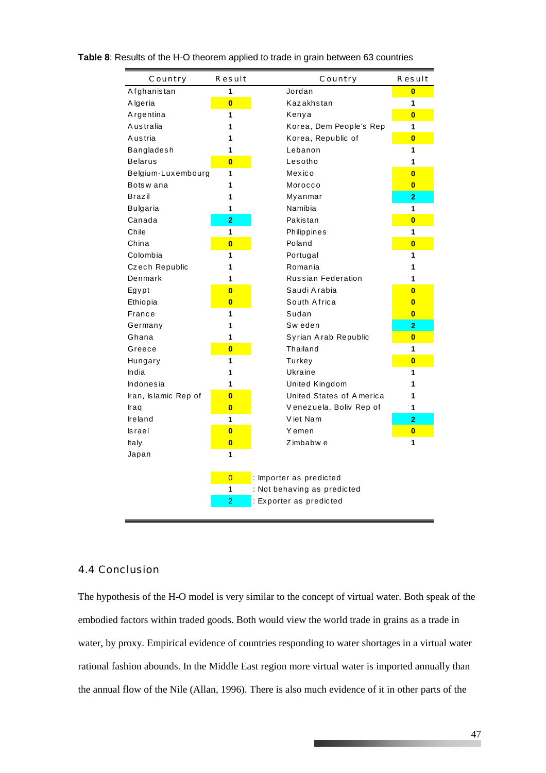| Country              | Result                  | Country                     | Result                  |
|----------------------|-------------------------|-----------------------------|-------------------------|
| Afghanistan          | 1                       | Jordan                      | $\bf{0}$                |
| Algeria              | $\overline{\mathbf{0}}$ | Kazakhstan                  | 1                       |
| Argentina            | 1                       | Kenya                       | $\overline{\mathbf{0}}$ |
| <b>Australia</b>     | 1                       | Korea, Dem People's Rep     | 1                       |
| A ustria             | 1                       | Korea, Republic of          | $\overline{\mathbf{0}}$ |
| Bangladesh           | 1                       | Lebanon                     | 1                       |
| <b>Belarus</b>       | $\overline{\mathbf{0}}$ | Lesotho                     | 1                       |
| Belgium-Luxembourg   | 1                       | Mexico                      | $\overline{\mathbf{0}}$ |
| Botswana             | 1                       | Morocco                     | $\bf{0}$                |
| Brazil               | 1                       | Myanmar                     | $\overline{2}$          |
| Bulgaria             | 1                       | Namibia                     | 1                       |
| Canada               | $\overline{2}$          | Pakistan                    | $\overline{\mathbf{0}}$ |
| Chile                | 1                       | Philippines                 | 1                       |
| China                | $\overline{\mathbf{0}}$ | Poland                      | $\overline{\mathbf{0}}$ |
| Colombia             | 1                       | Portugal                    | 1                       |
| Czech Republic       | 1                       | Romania                     | 1                       |
| Denmark              | 1                       | <b>Russian Federation</b>   | 1                       |
| Egypt                | $\overline{\mathbf{0}}$ | Saudi Arabia                | $\overline{\mathbf{0}}$ |
| Ethiopia             | $\overline{\mathbf{0}}$ | South Africa                | $\bf{0}$                |
| France               | 1                       | Sudan                       | $\bf{0}$                |
| Germany              | 1                       | Sw eden                     | 2                       |
| Ghana                | 1                       | Syrian Arab Republic        | $\overline{\mathbf{0}}$ |
| Greece               | $\overline{\mathbf{0}}$ | Thailand                    | $\mathbf 1$             |
| Hungary              | 1                       | Turkey                      | $\overline{\mathbf{0}}$ |
| India                | 1                       | Ukraine                     | 1                       |
| Indonesia            | 1                       | United Kingdom              | 1                       |
| Iran, Islamic Rep of | $\overline{0}$          | United States of America    | 1                       |
| Iraq                 | $\overline{\mathbf{0}}$ | Venezuela, Boliv Rep of     | 1                       |
| Ireland              | 1                       | Viet Nam                    | $\overline{2}$          |
| <b>Israel</b>        | $\overline{\mathbf{0}}$ | Yemen                       | $\bf{0}$                |
| Italy                | $\overline{\mathbf{0}}$ | Zimbabw e                   | 1                       |
| Japan                | 1                       |                             |                         |
|                      |                         |                             |                         |
|                      | $\overline{0}$          | : Importer as predicted     |                         |
|                      | $\mathbf{1}$            | : Not behaving as predicted |                         |
|                      | $\overline{2}$          | : Exporter as predicted     |                         |
|                      |                         |                             |                         |

#### **Table 8**: Results of the H-O theorem applied to trade in grain between 63 countries

#### 4.4 Conclusion

The hypothesis of the H-O model is very similar to the concept of virtual water. Both speak of the embodied factors within traded goods. Both would view the world trade in grains as a trade in water, by proxy. Empirical evidence of countries responding to water shortages in a virtual water rational fashion abounds. In the Middle East region more virtual water is imported annually than the annual flow of the Nile (Allan, 1996). There is also much evidence of it in other parts of the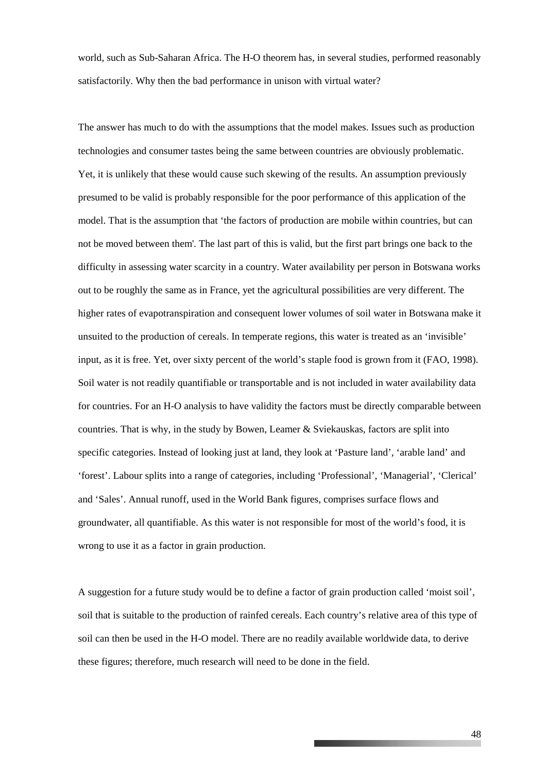world, such as Sub-Saharan Africa. The H-O theorem has, in several studies, performed reasonably satisfactorily. Why then the bad performance in unison with virtual water?

The answer has much to do with the assumptions that the model makes. Issues such as production technologies and consumer tastes being the same between countries are obviously problematic. Yet, it is unlikely that these would cause such skewing of the results. An assumption previously presumed to be valid is probably responsible for the poor performance of this application of the model. That is the assumption that 'the factors of production are mobile within countries, but can not be moved between them'. The last part of this is valid, but the first part brings one back to the difficulty in assessing water scarcity in a country. Water availability per person in Botswana works out to be roughly the same as in France, yet the agricultural possibilities are very different. The higher rates of evapotranspiration and consequent lower volumes of soil water in Botswana make it unsuited to the production of cereals. In temperate regions, this water is treated as an 'invisible' input, as it is free. Yet, over sixty percent of the world's staple food is grown from it (FAO, 1998). Soil water is not readily quantifiable or transportable and is not included in water availability data for countries. For an H-O analysis to have validity the factors must be directly comparable between countries. That is why, in the study by Bowen, Leamer & Sviekauskas, factors are split into specific categories. Instead of looking just at land, they look at 'Pasture land', 'arable land' and 'forest'. Labour splits into a range of categories, including 'Professional', 'Managerial', 'Clerical' and 'Sales'. Annual runoff, used in the World Bank figures, comprises surface flows and groundwater, all quantifiable. As this water is not responsible for most of the world's food, it is wrong to use it as a factor in grain production.

A suggestion for a future study would be to define a factor of grain production called 'moist soil', soil that is suitable to the production of rainfed cereals. Each country's relative area of this type of soil can then be used in the H-O model. There are no readily available worldwide data, to derive these figures; therefore, much research will need to be done in the field.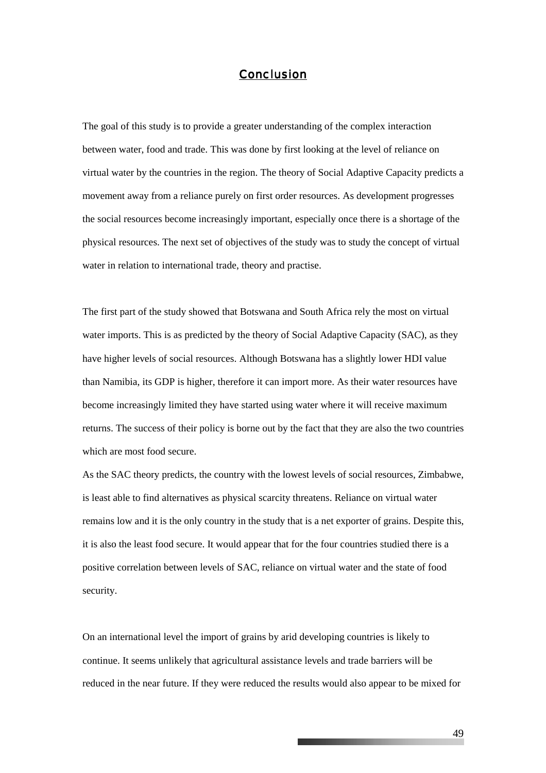#### *Conclusion*

The goal of this study is to provide a greater understanding of the complex interaction between water, food and trade. This was done by first looking at the level of reliance on virtual water by the countries in the region. The theory of Social Adaptive Capacity predicts a movement away from a reliance purely on first order resources. As development progresses the social resources become increasingly important, especially once there is a shortage of the physical resources. The next set of objectives of the study was to study the concept of virtual water in relation to international trade, theory and practise.

The first part of the study showed that Botswana and South Africa rely the most on virtual water imports. This is as predicted by the theory of Social Adaptive Capacity (SAC), as they have higher levels of social resources. Although Botswana has a slightly lower HDI value than Namibia, its GDP is higher, therefore it can import more. As their water resources have become increasingly limited they have started using water where it will receive maximum returns. The success of their policy is borne out by the fact that they are also the two countries which are most food secure.

As the SAC theory predicts, the country with the lowest levels of social resources, Zimbabwe, is least able to find alternatives as physical scarcity threatens. Reliance on virtual water remains low and it is the only country in the study that is a net exporter of grains. Despite this, it is also the least food secure. It would appear that for the four countries studied there is a positive correlation between levels of SAC, reliance on virtual water and the state of food security.

On an international level the import of grains by arid developing countries is likely to continue. It seems unlikely that agricultural assistance levels and trade barriers will be reduced in the near future. If they were reduced the results would also appear to be mixed for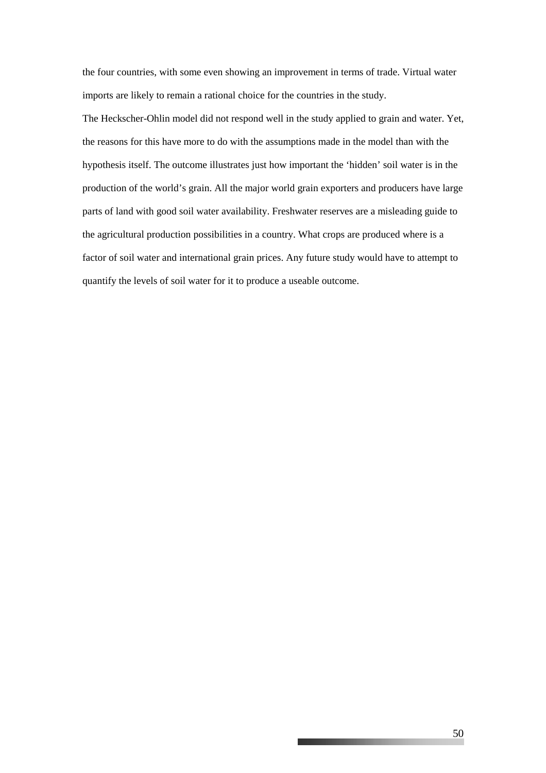the four countries, with some even showing an improvement in terms of trade. Virtual water imports are likely to remain a rational choice for the countries in the study.

The Heckscher-Ohlin model did not respond well in the study applied to grain and water. Yet, the reasons for this have more to do with the assumptions made in the model than with the hypothesis itself. The outcome illustrates just how important the 'hidden' soil water is in the production of the world's grain. All the major world grain exporters and producers have large parts of land with good soil water availability. Freshwater reserves are a misleading guide to the agricultural production possibilities in a country. What crops are produced where is a factor of soil water and international grain prices. Any future study would have to attempt to quantify the levels of soil water for it to produce a useable outcome.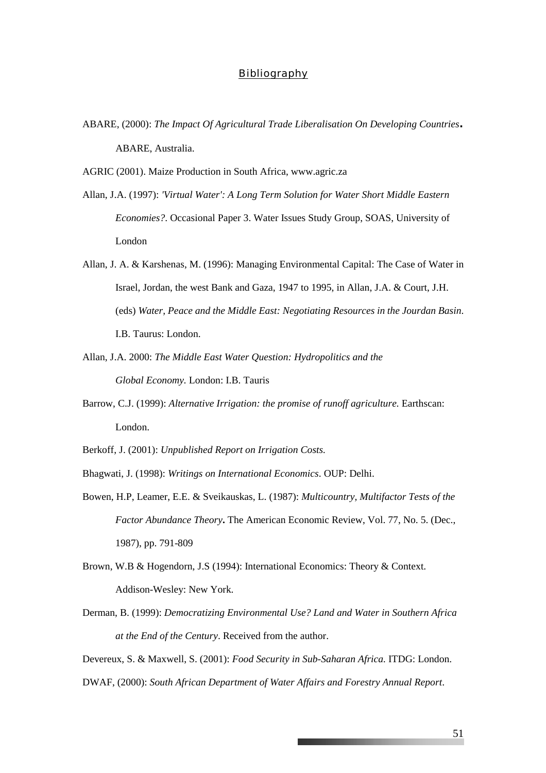#### *Bibliography*

- ABARE, (2000): *The Impact Of Agricultural Trade Liberalisation On Developing Countries***.**  ABARE, Australia.
- AGRIC (2001). Maize Production in South Africa, [www.agric.za](http://www.agric.za/)
- Allan, J.A. (1997): *['Virtual Water': A Long Term Solution for Water Short Middle Eastern](http://www.soas.ac.uk/geography/waterissues/OccasionalPapers/AcrobatFiles/OCC03.PDF)  [Economies?](http://www.soas.ac.uk/geography/waterissues/OccasionalPapers/AcrobatFiles/OCC03.PDF)*. Occasional Paper 3. Water Issues Study Group, SOAS, University of London
- Allan, J. A. & Karshenas, M. (1996): Managing Environmental Capital: The Case of Water in Israel, Jordan, the west Bank and Gaza, 1947 to 1995, in Allan, J.A. & Court, J.H. (eds) *Water, Peace and the Middle East: Negotiating Resources in the Jourdan Basin*. I.B. Taurus: London.
- Allan, J.A. 2000: *The Middle East Water Question: Hydropolitics and the Global Economy.* London: I.B. Tauris
- Barrow, C.J. (1999): *Alternative Irrigation: the promise of runoff agriculture.* Earthscan: London.
- Berkoff, J. (2001): *Unpublished Report on Irrigation Costs.*
- Bhagwati, J. (1998): *Writings on International Economics*. OUP: Delhi.
- Bowen, H.P, Leamer, E.E. & Sveikauskas, L. (1987): *Multicountry, Multifactor Tests of the Factor Abundance Theory***.** The American Economic Review, Vol. 77, No. 5. (Dec., 1987), pp. 791-809
- Brown, W.B & Hogendorn, J.S (1994): International Economics: Theory & Context. Addison-Wesley: New York.
- Derman, B. (1999): *[Democratizing Environmental Use? Land and Water in Southern Africa](http://www.wisc.edu/ltc/live/bassaf9912b.pdf)  [at the End of the Century](http://www.wisc.edu/ltc/live/bassaf9912b.pdf)*. Received from the author.

Devereux, S. & Maxwell, S. (2001): *Food Security in Sub-Saharan Africa.* ITDG: London. DWAF, (2000): *South African Department of Water Affairs and Forestry Annual Report*.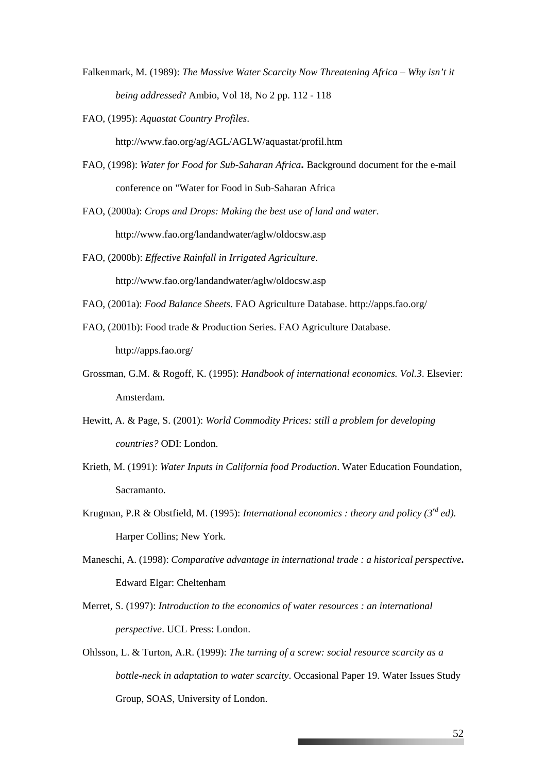- Falkenmark, M. (1989): *The Massive Water Scarcity Now Threatening Africa Why isn't it being addressed*? Ambio, Vol 18, No 2 pp. 112 - 118
- FAO, (1995): *Aquastat Country Profiles*. <http://www.fao.org/ag/AGL/AGLW/aquastat/profil.htm>
- FAO, (1998): *Water for Food for Sub-Saharan Africa***.** Background document for the e-mail conference on "Water for Food in Sub-Saharan Africa
- FAO, (2000a): *Crops and Drops: Making the best use of land and water*. <http://www.fao.org/landandwater/aglw/oldocsw.asp>
- FAO, (2000b): *Effective Rainfall in Irrigated Agriculture*. <http://www.fao.org/landandwater/aglw/oldocsw.asp>
- FAO, (2001a): *Food Balance Sheets*. FAO Agriculture Database. http://apps.fao.org/
- FAO, (2001b): Food trade & Production Series. FAO Agriculture Database. http://apps.fao.org/
- Grossman, G.M. & Rogoff, K. (1995): *Handbook of international economics. Vol.3*. Elsevier: Amsterdam.
- Hewitt, A. & Page, S. (2001): *World Commodity Prices: still a problem for developing countries?* ODI: London.
- Krieth, M. (1991): *Water Inputs in California food Production*. Water Education Foundation, Sacramanto.
- Krugman, P.R & Obstfield, M. (1995): *International economics : theory and policy (3rd ed).* Harper Collins; New York.
- Maneschi, A. (1998): *Comparative advantage in international trade : a historical perspective***.** Edward Elgar: Cheltenham
- Merret, S. (1997): *Introduction to the economics of water resources : an international perspective*. UCL Press: London.
- Ohlsson, L. & Turton, A.R. (1999): *[The turning of a screw: social resource scarcity as a](http://www.soas.ac.uk/geography/waterissues/OccasionalPapers/AcrobatFiles/OCC19.PDF)  [bottle-neck in adaptation to water scarcity](http://www.soas.ac.uk/geography/waterissues/OccasionalPapers/AcrobatFiles/OCC19.PDF)*. Occasional Paper 19. Water Issues Study Group, SOAS, University of London.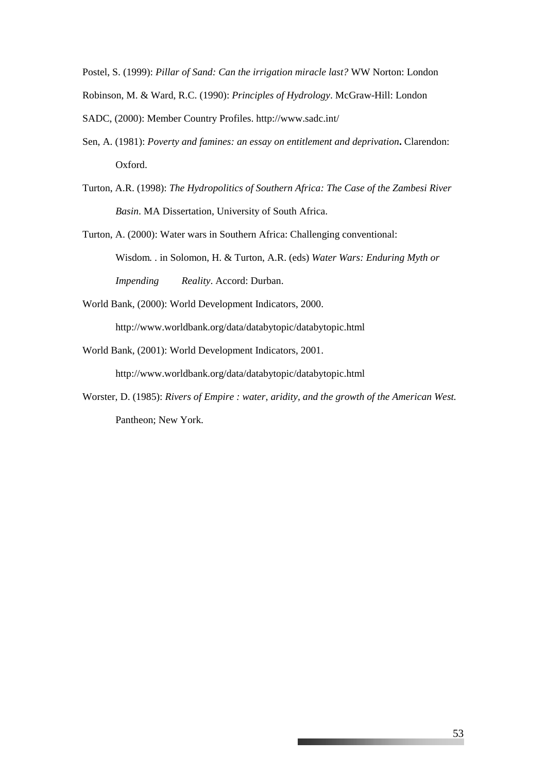Postel, S. (1999): *Pillar of Sand: Can the irrigation miracle last?* WW Norton: London

Robinson, M. & Ward, R.C. (1990): *Principles of Hydrology*. McGraw-Hill: London

- SADC, (2000): Member Country Profiles.<http://www.sadc.int/>
- Sen, A. (1981): *Poverty and famines: an essay on entitlement and deprivation***.** Clarendon: Oxford.
- Turton, A.R. (1998): *The Hydropolitics of Southern Africa: The Case of the Zambesi River Basin*. MA Dissertation, University of South Africa.

Turton, A. (2000): Water wars in Southern Africa: Challenging conventional: Wisdom*. .* in Solomon, H. & Turton, A.R. (eds) *Water Wars: Enduring Myth or Impending Reality*. Accord: Durban.

World Bank, (2000): World Development Indicators, 2000. <http://www.worldbank.org/data/databytopic/databytopic.html>

World Bank, (2001): World Development Indicators, 2001.

<http://www.worldbank.org/data/databytopic/databytopic.html>

Worster, D. (1985): *Rivers of Empire : water, aridity, and the growth of the American West.* Pantheon; New York.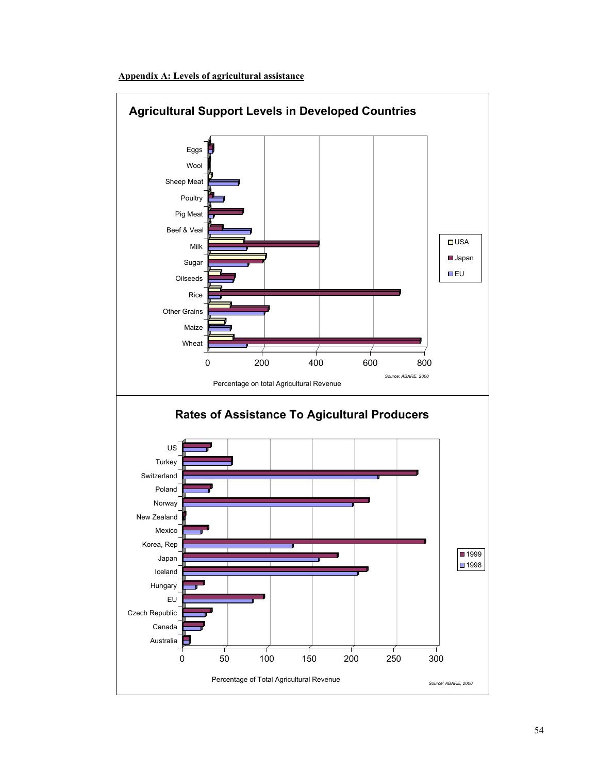

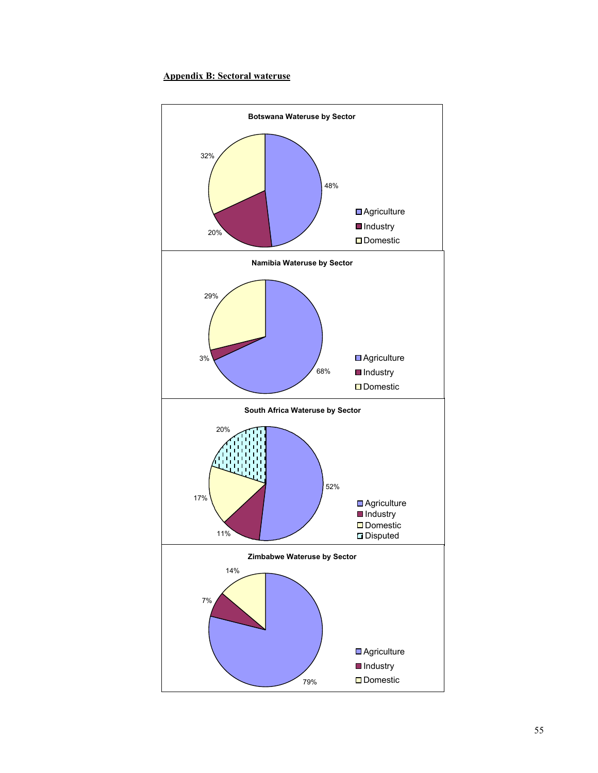#### **Appendix B: Sectoral wateruse**

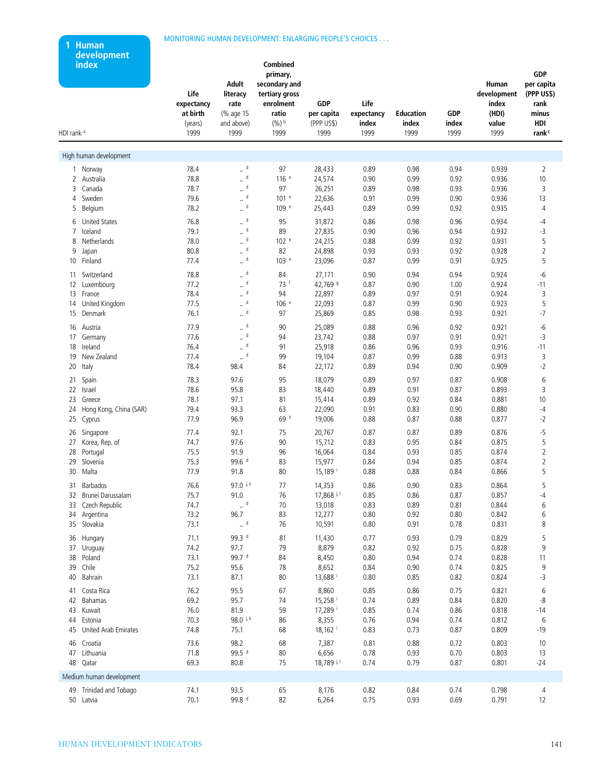#### MONITORING HUMAN DEVELOPMENT: ENLARGING PEOPLE'S CHOICES . . .

**1 Human development**

| index<br>HDI rank <sup>a</sup> | Life<br>expectancy<br>at birth<br>(years)<br>1999 | Adult<br>literacy<br>rate<br>(% age 15<br>and above)<br>1999 | Combined<br>primary,<br>secondary and<br>tertiary gross<br>enrolment<br>ratio<br>$(%)$ b<br>1999 | <b>GDP</b><br>per capita<br>(PPP US\$)<br>1999 | Life<br>expectancy<br>index<br>1999 | <b>Education</b><br>index<br>1999 | <b>GDP</b><br>index<br>1999 | Human<br>development<br>index<br>(HDI)<br>value<br>1999 | <b>GDP</b><br>per capita<br>(PPP US\$)<br>rank<br>minus<br>HDI<br>rank <sup>c</sup> |
|--------------------------------|---------------------------------------------------|--------------------------------------------------------------|--------------------------------------------------------------------------------------------------|------------------------------------------------|-------------------------------------|-----------------------------------|-----------------------------|---------------------------------------------------------|-------------------------------------------------------------------------------------|
| High human development         |                                                   |                                                              |                                                                                                  |                                                |                                     |                                   |                             |                                                         |                                                                                     |
|                                |                                                   |                                                              |                                                                                                  |                                                |                                     |                                   |                             |                                                         |                                                                                     |
| 1 Norway                       | 78.4<br>78.8                                      | $\mathbb{Z}^{\mathsf{d}}$<br>d                               | 97                                                                                               | 28,433                                         | 0.89                                | 0.98                              | 0.94                        | 0.939                                                   | $\overline{2}$                                                                      |
| 2<br>Australia<br>3            | 78.7                                              | $\ddot{\phantom{a}}$<br>$\mathbb{R}^{\mathsf{d}}$            | 116 <sup>e</sup>                                                                                 | 24,574                                         | 0.90<br>0.89                        | 0.99                              | 0.92                        | 0.936<br>0.936                                          | 10                                                                                  |
| Canada<br>Sweden<br>4          | 79.6                                              | d                                                            | 97<br>101 <sup>e</sup>                                                                           | 26,251<br>22,636                               | 0.91                                | 0.98<br>0.99                      | 0.93<br>0.90                | 0.936                                                   | 3<br>13                                                                             |
| 5<br>Belgium                   | 78.2                                              | $\ddot{\phantom{a}}$<br>$\mathbb{Z}^{\mathsf{d}}$            | 109 e                                                                                            | 25,443                                         | 0.89                                | 0.99                              | 0.92                        | 0.935                                                   | 4                                                                                   |
|                                |                                                   |                                                              |                                                                                                  |                                                |                                     |                                   |                             |                                                         |                                                                                     |
| <b>United States</b><br>6      | 76.8                                              | $\mathbb{Z}^{\mathsf{d}}$                                    | 95                                                                                               | 31,872                                         | 0.86                                | 0.98                              | 0.96                        | 0.934                                                   | -4                                                                                  |
| Iceland<br>7                   | 79.1                                              | d<br>$\ddot{\phantom{a}}$                                    | 89                                                                                               | 27,835                                         | 0.90                                | 0.96                              | 0.94                        | 0.932                                                   | -3                                                                                  |
| Netherlands<br>8               | 78.0                                              | $\mathrel{\mathop{\llcorner}}^{\text{d}}$<br>d               | 102 <sup>e</sup>                                                                                 | 24,215                                         | 0.88                                | 0.99                              | 0.92                        | 0.931                                                   | 5                                                                                   |
| 9<br>Japan                     | 80.8                                              | $\ddot{\phantom{a}}$<br>$\mathbb{L}^{\mathsf{d}}$            | 82                                                                                               | 24,898                                         | 0.93                                | 0.93                              | 0.92                        | 0.928                                                   | $\overline{2}$<br>5                                                                 |
| Finland<br>10                  | 77.4                                              |                                                              | 103 <sup>e</sup>                                                                                 | 23,096                                         | 0.87                                | 0.99                              | 0.91                        | 0.925                                                   |                                                                                     |
| 11 Switzerland                 | 78.8                                              | $\mathbb{Z}^{\mathsf{d}}$                                    | 84                                                                                               | 27,171                                         | 0.90                                | 0.94                              | 0.94                        | 0.924                                                   | -6                                                                                  |
| 12<br>Luxembourg               | 77.2                                              | $\mathbb{Z}^{d}$                                             | 73 f                                                                                             | 42,769 9                                       | 0.87                                | 0.90                              | 1.00                        | 0.924                                                   | $-11$                                                                               |
| France<br>13                   | 78.4                                              | $\mathrel{\mathop{\llcorner}}^{\text{d}}$                    | 94                                                                                               | 22,897                                         | 0.89                                | 0.97                              | 0.91                        | 0.924                                                   | 3                                                                                   |
| 14 United Kingdom              | 77.5                                              | $\mathsf{d}$<br>$\ddot{\phantom{a}}$                         | 106 e                                                                                            | 22,093                                         | 0.87                                | 0.99                              | 0.90                        | 0.923                                                   | 5                                                                                   |
| Denmark<br>15                  | 76.1                                              | $\mathbb{L}^{\mathsf{d}}$                                    | 97                                                                                               | 25,869                                         | 0.85                                | 0.98                              | 0.93                        | 0.921                                                   | $-7$                                                                                |
| 16 Austria                     | 77.9                                              | $\mathbb{L}^{\mathsf{d}}$                                    | 90                                                                                               | 25,089                                         | 0.88                                | 0.96                              | 0.92                        | 0.921                                                   | -6                                                                                  |
| 17<br>Germany                  | 77.6                                              | d<br>$\ddot{\phantom{a}}$                                    | 94                                                                                               | 23,742                                         | 0.88                                | 0.97                              | 0.91                        | 0.921                                                   | -3                                                                                  |
| 18<br>Ireland                  | 76.4                                              | d<br>$\ddot{\phantom{a}}$                                    | 91                                                                                               | 25,918                                         | 0.86                                | 0.96                              | 0.93                        | 0.916                                                   | $-11$                                                                               |
| New Zealand<br>19              | 77.4                                              | d<br>                                                        | 99                                                                                               | 19,104                                         | 0.87                                | 0.99                              | 0.88                        | 0.913                                                   | 3                                                                                   |
| 20<br>Italy                    | 78.4                                              | 98.4                                                         | 84                                                                                               | 22,172                                         | 0.89                                | 0.94                              | 0.90                        | 0.909                                                   | $-2$                                                                                |
| Spain<br>21                    | 78.3                                              | 97.6                                                         | 95                                                                                               | 18,079                                         | 0.89                                | 0.97                              | 0.87                        | 0.908                                                   | 6                                                                                   |
| 22<br>Israel                   | 78.6                                              | 95.8                                                         | 83                                                                                               | 18,440                                         | 0.89                                | 0.91                              | 0.87                        | 0.893                                                   | 3                                                                                   |
| 23<br>Greece                   | 78.1                                              | 97.1                                                         | 81                                                                                               | 15,414                                         | 0.89                                | 0.92                              | 0.84                        | 0.881                                                   | 10                                                                                  |
| Hong Kong, China (SAR)<br>24   | 79.4                                              | 93.3                                                         | 63                                                                                               | 22,090                                         | 0.91                                | 0.83                              | 0.90                        | 0.880                                                   | -4                                                                                  |
| 25<br>Cyprus                   | 77.9                                              | 96.9                                                         | 69 <sup>h</sup>                                                                                  | 19,006                                         | 0.88                                | 0.87                              | 0.88                        | 0.877                                                   | -2                                                                                  |
| Singapore<br>26                | 77.4                                              | 92.1                                                         | 75                                                                                               | 20,767                                         | 0.87                                | 0.87                              | 0.89                        | 0.876                                                   | $-5$                                                                                |
| 27<br>Korea, Rep. of           | 74.7                                              | 97.6                                                         | 90                                                                                               | 15,712                                         | 0.83                                | 0.95                              | 0.84                        | 0.875                                                   | 5                                                                                   |
| 28<br>Portugal                 | 75.5                                              | 91.9                                                         | 96                                                                                               | 16,064                                         | 0.84                                | 0.93                              | 0.85                        | 0.874                                                   | $\overline{2}$                                                                      |
| Slovenia<br>29                 | 75.3                                              | 99.6 <sup>d</sup>                                            | 83                                                                                               | 15,977                                         | 0.84                                | 0.94                              | 0.85                        | 0.874                                                   | $\overline{2}$                                                                      |
| Malta<br>30                    | 77.9                                              | 91.8                                                         | 80                                                                                               | 15,189 <sup>i</sup>                            | 0.88                                | 0.88                              | 0.84                        | 0.866                                                   | 5                                                                                   |
| Barbados<br>31                 | 76.6                                              | 97.0 i.k                                                     | 77                                                                                               | 14,353                                         | 0.86                                | 0.90                              | 0.83                        | 0.864                                                   | 5                                                                                   |
| 32 Brunei Darussalam           | 75.7                                              | 91.0                                                         | 76                                                                                               | $17,868$ i <sub>i</sub>                        | 0.85                                | 0.86                              | 0.87                        | 0.857                                                   | $-4$                                                                                |
| 33 Czech Republic              | 74.7                                              | $\mathbb{L}^{\mathsf{d}}$                                    | 70                                                                                               | 13,018                                         | 0.83                                | 0.89                              | 0.81                        | 0.844                                                   | 6                                                                                   |
| 34 Argentina                   | 73.2                                              | 96.7                                                         | 83                                                                                               | 12,277                                         | 0.80                                | 0.92                              | 0.80                        | 0.842                                                   | 6                                                                                   |
| 35 Slovakia                    | 73.1                                              | $\mathbb{Z}^{\mathsf{d}}$                                    | 76                                                                                               | 10,591                                         | 0.80                                | 0.91                              | 0.78                        | 0.831                                                   | 8                                                                                   |
| 36 Hungary                     | 71.1                                              | 99.3 d                                                       | 81                                                                                               | 11,430                                         | 0.77                                | 0.93                              | 0.79                        | 0.829                                                   | 5                                                                                   |
| 37 Uruguay                     | 74.2                                              | 97.7                                                         | 79                                                                                               | 8,879                                          | 0.82                                | 0.92                              | 0.75                        | 0.828                                                   | 9                                                                                   |
| 38 Poland                      | 73.1                                              | 99.7 d                                                       | 84                                                                                               | 8,450                                          | 0.80                                | 0.94                              | 0.74                        | 0.828                                                   | 11                                                                                  |
| 39 Chile                       | 75.2                                              | 95.6                                                         | 78                                                                                               | 8,652                                          | 0.84                                | 0.90                              | 0.74                        | 0.825                                                   | 9                                                                                   |
| Bahrain<br>40                  | 73.1                                              | 87.1                                                         | 80                                                                                               | 13,688                                         | 0.80                                | 0.85                              | 0.82                        | 0.824                                                   | -3                                                                                  |
| 41 Costa Rica                  | 76.2                                              | 95.5                                                         |                                                                                                  | 8,860                                          | 0.85                                | 0.86                              | 0.75                        | 0.821                                                   | 6                                                                                   |
| 42 Bahamas                     | 69.2                                              | 95.7                                                         | 67<br>74                                                                                         | 15,258                                         | 0.74                                | 0.89                              | 0.84                        | 0.820                                                   | -8                                                                                  |
| 43 Kuwait                      | 76.0                                              | 81.9                                                         | 59                                                                                               | 17,289 i                                       | 0.85                                | 0.74                              | 0.86                        | 0.818                                                   | $-14$                                                                               |
| 44 Estonia                     | 70.3                                              | 98.0 j.k                                                     | 86                                                                                               | 8,355                                          | 0.76                                | 0.94                              | 0.74                        | 0.812                                                   | 6                                                                                   |
| 45 United Arab Emirates        | 74.8                                              | 75.1                                                         | 68                                                                                               | $18,162$ <sup>i</sup>                          | 0.83                                | 0.73                              | 0.87                        | 0.809                                                   | $-19$                                                                               |
|                                |                                                   |                                                              |                                                                                                  |                                                |                                     |                                   |                             |                                                         |                                                                                     |
| 46 Croatia                     | 73.6                                              | 98.2<br>99.5 d                                               | 68                                                                                               | 7,387                                          | 0.81                                | 0.88                              | 0.72                        | 0.803                                                   | 10                                                                                  |
| 47 Lithuania                   | 71.8                                              |                                                              | 80<br>75                                                                                         | 6,656                                          | 0.78                                | 0.93                              | 0.70                        | 0.803                                                   | 13                                                                                  |
| 48 Qatar                       | 69.3                                              | 80.8                                                         |                                                                                                  | 18,789 i.l                                     | 0.74                                | 0.79                              | 0.87                        | 0.801                                                   | $-24$                                                                               |
| Medium human development       |                                                   |                                                              |                                                                                                  |                                                |                                     |                                   |                             |                                                         |                                                                                     |
| 49 Trinidad and Tobago         | 74.1                                              | 93.5                                                         | 65                                                                                               | 8,176                                          | 0.82                                | 0.84                              | 0.74                        | 0.798                                                   | $\overline{4}$                                                                      |
| 50 Latvia                      | 70.1                                              | 99.8 d                                                       | 82                                                                                               | 6,264                                          | 0.75                                | 0.93                              | 0.69                        | 0.791                                                   | 12                                                                                  |
|                                |                                                   |                                                              |                                                                                                  |                                                |                                     |                                   |                             |                                                         |                                                                                     |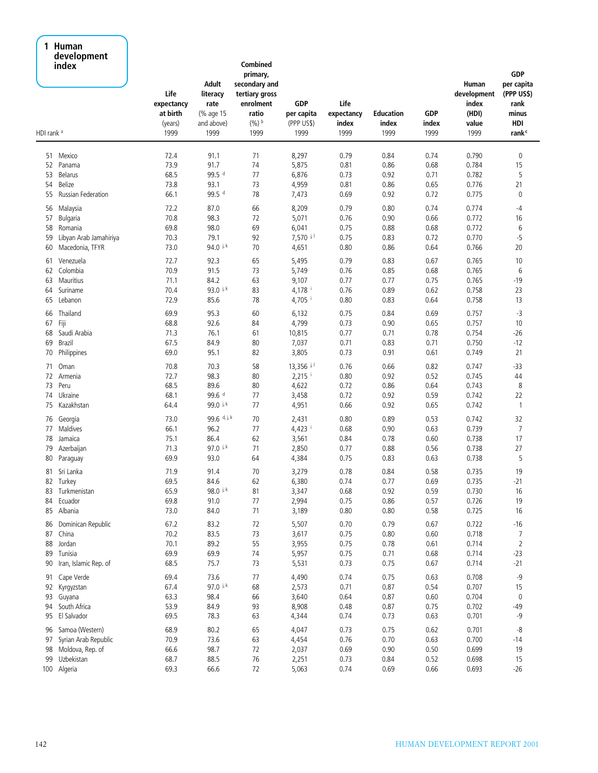#### **1 Human development index**

| HDI rank <sup>a</sup>      | uevelopment<br>index                                                                     | Life<br>expectancy<br>at birth<br>(years)<br>1999 | Adult<br>literacy<br>rate<br>(% age 15<br>and above)<br>1999 | Combined<br>primary,<br>secondary and<br>tertiary gross<br>enrolment<br>ratio<br>$(9/6)$ b<br>1999 | GDP<br>per capita<br>(PPP US\$)<br>1999   | Life<br>expectancy<br>index<br>1999  | <b>Education</b><br>index<br>1999    | <b>GDP</b><br>index<br>1999          | Human<br>development<br>index<br>(HDI)<br>value<br>1999 | <b>GDP</b><br>per capita<br>(PPP US\$)<br>rank<br>minus<br>HDI<br>rank <sup>c</sup> |
|----------------------------|------------------------------------------------------------------------------------------|---------------------------------------------------|--------------------------------------------------------------|----------------------------------------------------------------------------------------------------|-------------------------------------------|--------------------------------------|--------------------------------------|--------------------------------------|---------------------------------------------------------|-------------------------------------------------------------------------------------|
|                            |                                                                                          |                                                   |                                                              |                                                                                                    |                                           |                                      |                                      |                                      |                                                         |                                                                                     |
| 51                         | Mexico                                                                                   | 72.4                                              | 91.1                                                         | 71                                                                                                 | 8,297                                     | 0.79                                 | 0.84                                 | 0.74                                 | 0.790                                                   | $\pmb{0}$                                                                           |
| 52                         | Panama                                                                                   | 73.9                                              | 91.7                                                         | 74                                                                                                 | 5,875                                     | 0.81                                 | 0.86                                 | 0.68                                 | 0.784                                                   | 15                                                                                  |
| 53                         | Belarus                                                                                  | 68.5                                              | 99.5 d                                                       | 77                                                                                                 | 6,876                                     | 0.73                                 | 0.92                                 | 0.71                                 | 0.782                                                   | 5                                                                                   |
| 54                         | Belize                                                                                   | 73.8                                              | 93.1                                                         | 73                                                                                                 | 4,959                                     | 0.81                                 | 0.86                                 | 0.65                                 | 0.776                                                   | 21                                                                                  |
| 55                         | Russian Federation                                                                       | 66.1                                              | 99.5 d                                                       | 78                                                                                                 | 7,473                                     | 0.69                                 | 0.92                                 | 0.72                                 | 0.775                                                   | $\pmb{0}$                                                                           |
| 56                         | Malaysia                                                                                 | 72.2                                              | 87.0                                                         | 66                                                                                                 | 8,209                                     | 0.79                                 | 0.80                                 | 0.74                                 | 0.774                                                   | $-4$                                                                                |
| 57                         | Bulgaria                                                                                 | 70.8                                              | 98.3                                                         | 72                                                                                                 | 5,071                                     | 0.76                                 | 0.90                                 | 0.66                                 | 0.772                                                   | 16                                                                                  |
| 58                         | Romania                                                                                  | 69.8                                              | 98.0                                                         | 69                                                                                                 | 6,041                                     | 0.75                                 | 0.88                                 | 0.68                                 | 0.772                                                   | 6                                                                                   |
| 59                         | Libyan Arab Jamahiriya                                                                   | 70.3                                              | 79.1                                                         | 92                                                                                                 | 7,570 i.l                                 | 0.75                                 | 0.83                                 | 0.72                                 | 0.770                                                   | $-5$                                                                                |
| 60                         | Macedonia, TFYR                                                                          | 73.0                                              | 94.0 j, k                                                    | 70                                                                                                 | 4,651                                     | 0.80                                 | 0.86                                 | 0.64                                 | 0.766                                                   | 20                                                                                  |
| 61                         | Venezuela                                                                                | 72.7                                              | 92.3                                                         | 65                                                                                                 | 5,495                                     | 0.79                                 | 0.83                                 | 0.67                                 | 0.765                                                   | 10                                                                                  |
| 62                         | Colombia                                                                                 | 70.9                                              | 91.5                                                         | 73                                                                                                 | 5,749                                     | 0.76                                 | 0.85                                 | 0.68                                 | 0.765                                                   | 6                                                                                   |
| 63                         | Mauritius                                                                                | 71.1                                              | 84.2                                                         | 63                                                                                                 | 9,107                                     | 0.77                                 | 0.77                                 | 0.75                                 | 0.765                                                   | $-19$                                                                               |
| 64                         | Suriname                                                                                 | 70.4                                              | 93.0 ik                                                      | 83                                                                                                 | 4,178 i                                   | 0.76                                 | 0.89                                 | 0.62                                 | 0.758                                                   | 23                                                                                  |
| 65                         | Lebanon                                                                                  | 72.9                                              | 85.6                                                         | 78                                                                                                 | $4,705$ <sup>i</sup>                      | 0.80                                 | 0.83                                 | 0.64                                 | 0.758                                                   | 13                                                                                  |
| 66                         | Thailand                                                                                 | 69.9                                              | 95.3                                                         | 60                                                                                                 | 6,132                                     | 0.75                                 | 0.84                                 | 0.69                                 | 0.757                                                   | $-3$                                                                                |
| 67                         | Fiji                                                                                     | 68.8                                              | 92.6                                                         | 84                                                                                                 | 4,799                                     | 0.73                                 | 0.90                                 | 0.65                                 | 0.757                                                   | 10                                                                                  |
| 68                         | Saudi Arabia                                                                             | 71.3                                              | 76.1                                                         | 61                                                                                                 | 10,815                                    | 0.77                                 | 0.71                                 | 0.78                                 | 0.754                                                   | $-26$                                                                               |
| 69                         | Brazil                                                                                   | 67.5                                              | 84.9                                                         | 80                                                                                                 | 7,037                                     | 0.71                                 | 0.83                                 | 0.71                                 | 0.750                                                   | $-12$                                                                               |
| 70                         | Philippines                                                                              | 69.0                                              | 95.1                                                         | 82                                                                                                 | 3,805                                     | 0.73                                 | 0.91                                 | 0.61                                 | 0.749                                                   | 21                                                                                  |
| 71                         | Oman                                                                                     | 70.8                                              | 70.3                                                         | 58                                                                                                 | $13,356$ il                               | 0.76                                 | 0.66                                 | 0.82                                 | 0.747                                                   | $-33$                                                                               |
| 72                         | Armenia                                                                                  | 72.7                                              | 98.3                                                         | 80                                                                                                 | $2,215$ <sup>i</sup>                      | 0.80                                 | 0.92                                 | 0.52                                 | 0.745                                                   | 44                                                                                  |
| 73                         | Peru                                                                                     | 68.5                                              | 89.6                                                         | 80                                                                                                 | 4,622                                     | 0.72                                 | 0.86                                 | 0.64                                 | 0.743                                                   | 8                                                                                   |
| 74                         | Ukraine                                                                                  | 68.1                                              | 99.6 d                                                       | 77                                                                                                 | 3,458                                     | 0.72                                 | 0.92                                 | 0.59                                 | 0.742                                                   | 22                                                                                  |
| 75                         | Kazakhstan                                                                               | 64.4                                              | 99.0 ik                                                      | 77                                                                                                 | 4,951                                     | 0.66                                 | 0.92                                 | 0.65                                 | 0.742                                                   | $\mathbf{1}$                                                                        |
| 76                         | Georgia                                                                                  | 73.0                                              | 99.6 d, j, k                                                 | 70                                                                                                 | 2,431                                     | 0.80                                 | 0.89                                 | 0.53                                 | 0.742                                                   | 32                                                                                  |
| 77                         | Maldives                                                                                 | 66.1                                              | 96.2                                                         | 77                                                                                                 | $4,423$ <sup>i</sup>                      | 0.68                                 | 0.90                                 | 0.63                                 | 0.739                                                   | $\overline{7}$                                                                      |
| 78                         | Jamaica                                                                                  | 75.1                                              | 86.4                                                         | 62                                                                                                 | 3,561                                     | 0.84                                 | 0.78                                 | 0.60                                 | 0.738                                                   | 17                                                                                  |
| 79                         | Azerbaijan                                                                               | 71.3                                              | 97.0 i.k                                                     | 71                                                                                                 | 2,850                                     | 0.77                                 | 0.88                                 | 0.56                                 | 0.738                                                   | 27                                                                                  |
| 80                         | Paraguay                                                                                 | 69.9                                              | 93.0                                                         | 64                                                                                                 | 4,384                                     | 0.75                                 | 0.83                                 | 0.63                                 | 0.738                                                   | 5                                                                                   |
| 81<br>82<br>83<br>84       | Sri Lanka<br>Turkey<br>Turkmenistan<br>Ecuador<br>Albania                                | 71.9<br>69.5<br>65.9<br>69.8<br>73.0              | 91.4<br>84.6<br>98.0 ik<br>91.0<br>84.0                      | 70<br>62<br>81<br>$77$<br>$71\,$                                                                   | 3,279<br>6,380<br>3,347<br>2,994          | 0.78<br>0.74<br>0.68<br>0.75<br>0.80 | 0.84<br>0.77<br>0.92<br>0.86<br>0.80 | 0.58<br>0.69<br>0.59<br>0.57<br>0.58 | 0.735<br>0.735<br>0.730<br>0.726                        | 19<br>$-21$<br>16<br>19<br>16                                                       |
| 85<br>86<br>87<br>88<br>89 | Dominican Republic<br>China<br>Jordan<br>Tunisia                                         | 67.2<br>70.2<br>70.1<br>69.9                      | 83.2<br>83.5<br>89.2<br>69.9                                 | 72<br>73<br>55<br>74                                                                               | 3,189<br>5,507<br>3,617<br>3,955<br>5,957 | 0.70<br>0.75<br>0.75<br>0.75         | 0.79<br>0.80<br>0.78<br>0.71         | 0.67<br>0.60<br>0.61<br>0.68         | 0.725<br>0.722<br>0.718<br>0.714<br>0.714               | $-16$<br>$\overline{7}$<br>$\overline{2}$<br>$-23$                                  |
| 90                         | Iran, Islamic Rep. of                                                                    | 68.5                                              | 75.7                                                         | 73                                                                                                 | 5,531                                     | 0.73                                 | 0.75                                 | 0.67                                 | 0.714                                                   | $-21$                                                                               |
| 91                         | Cape Verde                                                                               | 69.4                                              | 73.6                                                         | 77                                                                                                 | 4,490                                     | 0.74                                 | 0.75                                 | 0.63                                 | 0.708                                                   | $-9$                                                                                |
| 92                         | Kyrgyzstan                                                                               | 67.4                                              | 97.0 i.k                                                     | 68                                                                                                 | 2,573                                     | 0.71                                 | 0.87                                 | 0.54                                 | 0.707                                                   | 15                                                                                  |
| 93                         | Guyana                                                                                   | 63.3                                              | 98.4                                                         | 66                                                                                                 | 3,640                                     | 0.64                                 | 0.87                                 | 0.60                                 | 0.704                                                   | $\mathbf 0$                                                                         |
| 94                         | South Africa                                                                             | 53.9                                              | 84.9                                                         | 93                                                                                                 | 8,908                                     | 0.48                                 | 0.87                                 | 0.75                                 | 0.702                                                   | $-49$                                                                               |
| 95                         | El Salvador                                                                              | 69.5                                              | 78.3                                                         | 63                                                                                                 | 4,344                                     | 0.74                                 | 0.73                                 | 0.63                                 | 0.701                                                   | $-9$                                                                                |
| 96<br>97<br>98<br>99       | Samoa (Western)<br>Syrian Arab Republic<br>Moldova, Rep. of<br>Uzbekistan<br>100 Algeria | 68.9<br>70.9<br>66.6<br>68.7<br>69.3              | 80.2<br>73.6<br>98.7<br>88.5<br>66.6                         | 65<br>63<br>72<br>76<br>$72\,$                                                                     | 4,047<br>4,454<br>2,037<br>2,251<br>5,063 | 0.73<br>0.76<br>0.69<br>0.73<br>0.74 | 0.75<br>0.70<br>0.90<br>0.84<br>0.69 | 0.62<br>0.63<br>0.50<br>0.52<br>0.66 | 0.701<br>0.700<br>0.699<br>0.698<br>0.693               | -8<br>$-14$<br>19<br>15<br>$-26$                                                    |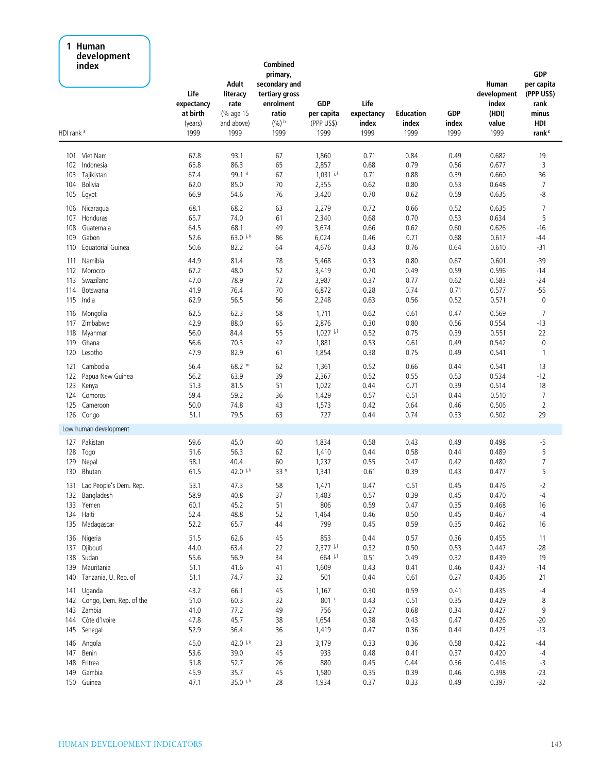#### **1 Human development index**

|                       | acveiophient<br>index       | Life<br>expectancy<br>at birth<br>(years) | Adult<br>literacy<br>rate<br>(% age 15<br>and above) | Combined<br>primary,<br>secondary and<br>tertiary gross<br>enrolment<br>ratio<br>$(9/6)$ b | <b>GDP</b><br>per capita<br>(PPP US\$) | Life<br>expectancy<br>index | <b>Education</b><br>index | <b>GDP</b><br>index | Human<br>development<br>index<br>(HDI)<br>value | <b>GDP</b><br>per capita<br>(PPP US\$)<br>rank<br>minus<br>HDI |
|-----------------------|-----------------------------|-------------------------------------------|------------------------------------------------------|--------------------------------------------------------------------------------------------|----------------------------------------|-----------------------------|---------------------------|---------------------|-------------------------------------------------|----------------------------------------------------------------|
| HDI rank <sup>a</sup> |                             | 1999                                      | 1999                                                 | 1999                                                                                       | 1999                                   | 1999                        | 1999                      | 1999                | 1999                                            | rank <sup>c</sup>                                              |
| 101                   | Viet Nam                    | 67.8                                      | 93.1                                                 | 67                                                                                         | 1,860                                  | 0.71                        | 0.84                      | 0.49                | 0.682                                           | 19                                                             |
| 102                   | Indonesia                   | 65.8                                      | 86.3                                                 | 65                                                                                         | 2,857                                  | 0.68                        | 0.79                      | 0.56                | 0.677                                           | 3                                                              |
| 103                   | Tajikistan                  | 67.4                                      | 99.1 <sup>d</sup>                                    | 67                                                                                         | $1,031$ il                             | 0.71                        | 0.88                      | 0.39                | 0.660                                           | 36                                                             |
| 104                   | Bolivia                     | 62.0                                      | 85.0                                                 | 70                                                                                         | 2,355                                  | 0.62                        | 0.80                      | 0.53                | 0.648                                           | 7                                                              |
| 105                   | Egypt                       | 66.9                                      | 54.6                                                 | 76                                                                                         | 3,420                                  | 0.70                        | 0.62                      | 0.59                | 0.635                                           | -8                                                             |
| 106                   | Nicaragua                   | 68.1                                      | 68.2                                                 | 63                                                                                         | 2,279                                  | 0.72                        | 0.66                      | 0.52                | 0.635                                           | 7                                                              |
| 107                   | Honduras                    | 65.7                                      | 74.0                                                 | 61                                                                                         | 2,340                                  | 0.68                        | 0.70                      | 0.53                | 0.634                                           | 5                                                              |
| 108                   | Guatemala                   | 64.5                                      | 68.1                                                 | 49                                                                                         | 3,674                                  | 0.66                        | 0.62                      | 0.60                | 0.626                                           | $-16$                                                          |
| 109                   | Gabon                       | 52.6                                      | 63.0 $\frac{1}{2}$ k                                 | 86                                                                                         | 6,024                                  | 0.46                        | 0.71                      | 0.68                | 0.617                                           | -44                                                            |
| 110                   | Equatorial Guinea           | 50.6                                      | 82.2                                                 | 64                                                                                         | 4,676                                  | 0.43                        | 0.76                      | 0.64                | 0.610                                           | $-31$                                                          |
|                       | Namibia                     | 44.9                                      | 81.4                                                 | 78                                                                                         |                                        | 0.33                        | 0.80                      |                     | 0.601                                           | $-39$                                                          |
| 111                   | 112 Morocco                 | 67.2                                      | 48.0                                                 | 52                                                                                         | 5,468<br>3,419                         | 0.70                        | 0.49                      | 0.67<br>0.59        | 0.596                                           | $-14$                                                          |
| 113                   | Swaziland                   | 47.0                                      | 78.9                                                 | 72                                                                                         | 3,987                                  | 0.37                        | 0.77                      | 0.62                | 0.583                                           | -24                                                            |
| 114                   | Botswana                    | 41.9                                      | 76.4                                                 | 70                                                                                         | 6,872                                  | 0.28                        | 0.74                      | 0.71                | 0.577                                           | $-55$                                                          |
|                       | 115 India                   | 62.9                                      | 56.5                                                 | 56                                                                                         | 2,248                                  | 0.63                        | 0.56                      | 0.52                | 0.571                                           | $\mathbf 0$                                                    |
|                       |                             |                                           |                                                      |                                                                                            |                                        |                             |                           |                     |                                                 |                                                                |
| 116                   | Mongolia                    | 62.5                                      | 62.3                                                 | 58                                                                                         | 1,711                                  | 0.62                        | 0.61                      | 0.47                | 0.569                                           | $\overline{7}$                                                 |
| 117                   | Zimbabwe                    | 42.9                                      | 88.0                                                 | 65                                                                                         | 2,876                                  | 0.30                        | 0.80                      | 0.56                | 0.554                                           | $-13$                                                          |
| 118                   | Myanmar                     | 56.0                                      | 84.4                                                 | 55                                                                                         | $1,027$ il                             | 0.52                        | 0.75                      | 0.39                | 0.551                                           | 22                                                             |
| 119                   | Ghana                       | 56.6                                      | 70.3                                                 | 42                                                                                         | 1,881                                  | 0.53                        | 0.61                      | 0.49                | 0.542                                           | $\pmb{0}$                                                      |
|                       | 120 Lesotho                 | 47.9                                      | 82.9                                                 | 61                                                                                         | 1,854                                  | 0.38                        | 0.75                      | 0.49                | 0.541                                           | $\mathbf{1}$                                                   |
| 121                   | Cambodia                    | 56.4                                      | $68.2$ m                                             | 62                                                                                         | 1,361                                  | 0.52                        | 0.66                      | 0.44                | 0.541                                           | 13                                                             |
| 122                   | Papua New Guinea            | 56.2                                      | 63.9                                                 | 39                                                                                         | 2,367                                  | 0.52                        | 0.55                      | 0.53                | 0.534                                           | $-12$                                                          |
|                       | 123 Kenya                   | 51.3                                      | 81.5                                                 | 51                                                                                         | 1,022                                  | 0.44                        | 0.71                      | 0.39                | 0.514                                           | 18                                                             |
|                       | 124 Comoros                 | 59.4                                      | 59.2                                                 | 36                                                                                         | 1,429                                  | 0.57                        | 0.51                      | 0.44                | 0.510                                           | $\overline{7}$                                                 |
|                       | 125 Cameroon                | 50.0                                      | 74.8                                                 | 43                                                                                         | 1,573                                  | 0.42                        | 0.64                      | 0.46                | 0.506                                           | $\overline{2}$                                                 |
|                       | 126 Congo                   | 51.1                                      | 79.5                                                 | 63                                                                                         | 727                                    | 0.44                        | 0.74                      | 0.33                | 0.502                                           | 29                                                             |
|                       | Low human development       |                                           |                                                      |                                                                                            |                                        |                             |                           |                     |                                                 |                                                                |
| 127                   | Pakistan                    | 59.6                                      | 45.0                                                 | 40                                                                                         | 1,834                                  | 0.58                        | 0.43                      | 0.49                | 0.498                                           | $-5$                                                           |
| 128                   | Togo                        | 51.6                                      | 56.3                                                 | 62                                                                                         | 1,410                                  | 0.44                        | 0.58                      | 0.44                | 0.489                                           | 5                                                              |
| 129                   | Nepal                       | 58.1                                      | 40.4                                                 | 60                                                                                         | 1,237                                  | 0.55                        | 0.47                      | 0.42                | 0.480                                           | 7                                                              |
| 130                   | Bhutan                      | 61.5                                      | 42.0 $\frac{1}{2}$ k                                 | 33 <sup>n</sup>                                                                            | 1,341                                  | 0.61                        | 0.39                      | 0.43                | 0.477                                           | 5                                                              |
|                       | 131 Lao People's Dem. Rep.  | 53.1                                      | 47.3                                                 | 58                                                                                         | 1,471                                  | 0.47                        | 0.51                      | 0.45                | 0.476                                           | $-2$                                                           |
|                       | 132 Bangladesh              | 58.9                                      | 40.8                                                 | 37                                                                                         | 1,483                                  | 0.57                        | 0.39                      | 0.45                | 0.470                                           | -4                                                             |
|                       | 133 Yemen                   | 60.1                                      | 45.2                                                 | 51                                                                                         | 806                                    | 0.59                        | 0.47                      | 0.35                | 0.468                                           | 16                                                             |
|                       | 134 Haiti                   | 52.4                                      | 48.8                                                 | 52                                                                                         | 1,464                                  | 0.46                        | 0.50                      | 0.45                | 0.467                                           | $-4$                                                           |
|                       | 135 Madagascar              | 52.2                                      | 65.7                                                 | 44                                                                                         | 799                                    | 0.45                        | 0.59                      | 0.35                | 0.462                                           | 16                                                             |
|                       |                             |                                           |                                                      |                                                                                            |                                        |                             |                           |                     |                                                 |                                                                |
|                       | 136 Nigeria                 | 51.5                                      | 62.6                                                 | 45                                                                                         | 853                                    | 0.44                        | 0.57                      | 0.36                | 0.455                                           | 11                                                             |
|                       | 137 Djibouti                | 44.0                                      | 63.4                                                 | 22                                                                                         | $2,377$ i.1                            | 0.32                        | 0.50                      | 0.53                | 0.447                                           | $-28$                                                          |
|                       | 138 Sudan                   | 55.6                                      | 56.9                                                 | 34                                                                                         | 664 i.l                                | 0.51                        | 0.49                      | 0.32                | 0.439                                           | 19                                                             |
|                       | 139 Mauritania              | 51.1                                      | 41.6                                                 | 41                                                                                         | 1,609                                  | 0.43                        | 0.41                      | 0.46                | 0.437                                           | $-14$                                                          |
|                       | 140 Tanzania, U. Rep. of    | 51.1                                      | 74.7                                                 | 32                                                                                         | 501                                    | 0.44                        | 0.61                      | 0.27                | 0.436                                           | 21                                                             |
|                       | 141 Uganda                  | 43.2                                      | 66.1                                                 | 45                                                                                         | 1,167                                  | 0.30                        | 0.59                      | 0.41                | 0.435                                           | -4                                                             |
|                       | 142 Congo, Dem. Rep. of the | 51.0                                      | 60.3                                                 | 32                                                                                         | 801 i                                  | 0.43                        | 0.51                      | 0.35                | 0.429                                           | 8                                                              |
|                       | 143 Zambia                  | 41.0                                      | 77.2                                                 | 49                                                                                         | 756                                    | 0.27                        | 0.68                      | 0.34                | 0.427                                           | 9                                                              |
|                       | 144 Côte d'Ivoire           | 47.8                                      | 45.7                                                 | 38                                                                                         | 1,654                                  | 0.38                        | 0.43                      | 0.47                | 0.426                                           | $-20$                                                          |
|                       | 145 Senegal                 | 52.9                                      | 36.4                                                 | 36                                                                                         | 1,419                                  | 0.47                        | 0.36                      | 0.44                | 0.423                                           | $-13$                                                          |
|                       | 146 Angola                  | 45.0                                      | 42.0 i.k                                             | 23                                                                                         | 3,179                                  | 0.33                        | 0.36                      | 0.58                | 0.422                                           | $-44$                                                          |
|                       | 147 Benin                   | 53.6                                      | 39.0                                                 | 45                                                                                         | 933                                    | 0.48                        | 0.41                      | 0.37                | 0.420                                           | $-4$                                                           |
|                       | 148 Eritrea                 | 51.8                                      | 52.7                                                 | 26                                                                                         | 880                                    | 0.45                        | 0.44                      | 0.36                | 0.416                                           | $-3$                                                           |
|                       | 149 Gambia                  | 45.9                                      | 35.7                                                 | 45                                                                                         | 1,580                                  | 0.35                        | 0.39                      | 0.46                | 0.398                                           | $-23$                                                          |
|                       | 150 Guinea                  | 47.1                                      | 35.0 k                                               | 28                                                                                         | 1,934                                  | 0.37                        | 0.33                      | 0.49                | 0.397                                           | $-32$                                                          |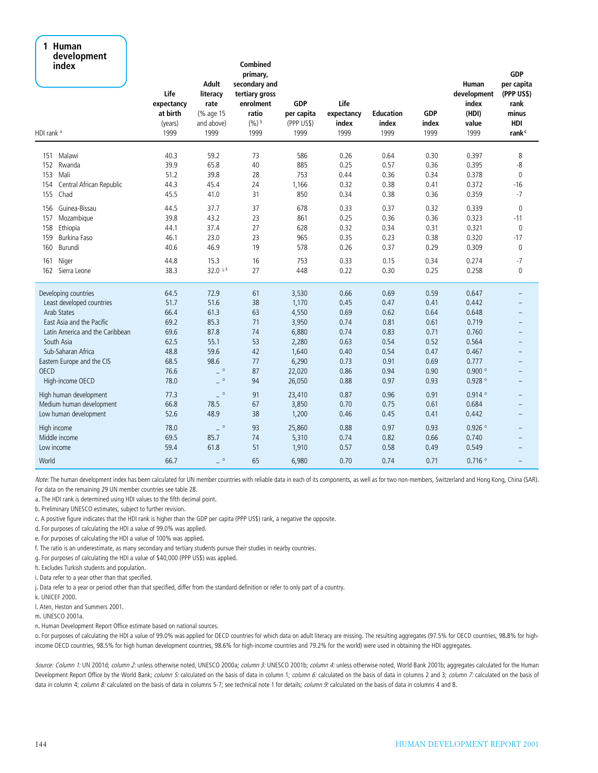#### **1 Human development index**

| acaciophicht<br>index<br>HDI rank <sup>a</sup> | Life<br>expectancy<br>at birth<br>(years)<br>1999 | Adult<br>literacy<br>rate<br>(% age 15<br>and above)<br>1999 | <b>Combined</b><br>primary,<br>secondary and<br>tertiary gross<br>enrolment<br>ratio<br>$(%)$ b<br>1999 | <b>GDP</b><br>per capita<br>(PPP US\$)<br>1999 | Life<br>expectancy<br>index<br>1999 | <b>Education</b><br>index<br>1999 | <b>GDP</b><br>index<br>1999 | Human<br>development<br>index<br>(HDI)<br>value<br>1999 | <b>GDP</b><br>per capita<br>(PPP US\$)<br>rank<br>minus<br>HDI<br>rank <sup>c</sup> |
|------------------------------------------------|---------------------------------------------------|--------------------------------------------------------------|---------------------------------------------------------------------------------------------------------|------------------------------------------------|-------------------------------------|-----------------------------------|-----------------------------|---------------------------------------------------------|-------------------------------------------------------------------------------------|
| Malawi<br>151                                  | 40.3                                              | 59.2                                                         | 73                                                                                                      | 586                                            | 0.26                                | 0.64                              | 0.30                        | 0.397                                                   | 8                                                                                   |
| 152<br>Rwanda                                  | 39.9                                              | 65.8                                                         | 40                                                                                                      | 885                                            | 0.25                                | 0.57                              | 0.36                        | 0.395                                                   | $-8$                                                                                |
| Mali<br>153                                    | 51.2                                              | 39.8                                                         | 28                                                                                                      | 753                                            | 0.44                                | 0.36                              | 0.34                        | 0.378                                                   | $\mathbf 0$                                                                         |
| Central African Republic<br>154                | 44.3                                              | 45.4                                                         | 24                                                                                                      | 1,166                                          | 0.32                                | 0.38                              | 0.41                        | 0.372                                                   | $-16$                                                                               |
| Chad<br>155                                    | 45.5                                              | 41.0                                                         | 31                                                                                                      | 850                                            | 0.34                                | 0.38                              | 0.36                        | 0.359                                                   | $-7$                                                                                |
| Guinea-Bissau<br>156                           | 44.5                                              | 37.7                                                         | 37                                                                                                      | 678                                            | 0.33                                | 0.37                              | 0.32                        | 0.339                                                   | $\mathbf{0}$                                                                        |
| 157<br>Mozambique                              | 39.8                                              | 43.2                                                         | 23                                                                                                      | 861                                            | 0.25                                | 0.36                              | 0.36                        | 0.323                                                   | $-11$                                                                               |
| 158<br>Ethiopia                                | 44.1                                              | 37.4                                                         | 27                                                                                                      | 628                                            | 0.32                                | 0.34                              | 0.31                        | 0.321                                                   | $\mathbf{0}$                                                                        |
| 159<br>Burkina Faso                            | 46.1                                              | 23.0                                                         | 23                                                                                                      | 965                                            | 0.35                                | 0.23                              | 0.38                        | 0.320                                                   | $-17$                                                                               |
| 160<br>Burundi                                 | 40.6                                              | 46.9                                                         | 19                                                                                                      | 578                                            | 0.26                                | 0.37                              | 0.29                        | 0.309                                                   | $\mathbf{0}$                                                                        |
| Niger<br>161                                   | 44.8                                              | 15.3                                                         | 16                                                                                                      | 753                                            | 0.33                                | 0.15                              | 0.34                        | 0.274                                                   | -7                                                                                  |
| 162<br>Sierra Leone                            | 38.3                                              | 32.0 k                                                       | 27                                                                                                      | 448                                            | 0.22                                | 0.30                              | 0.25                        | 0.258                                                   | $\pmb{0}$                                                                           |
| Developing countries                           | 64.5                                              | 72.9                                                         | 61                                                                                                      | 3,530                                          | 0.66                                | 0.69                              | 0.59                        | 0.647                                                   |                                                                                     |
| Least developed countries                      | 51.7                                              | 51.6                                                         | 38                                                                                                      | 1,170                                          | 0.45                                | 0.47                              | 0.41                        | 0.442                                                   |                                                                                     |
| Arab States                                    | 66.4                                              | 61.3                                                         | 63                                                                                                      | 4,550                                          | 0.69                                | 0.62                              | 0.64                        | 0.648                                                   |                                                                                     |
| East Asia and the Pacific                      | 69.2                                              | 85.3                                                         | 71                                                                                                      | 3,950                                          | 0.74                                | 0.81                              | 0.61                        | 0.719                                                   |                                                                                     |
| Latin America and the Caribbean                | 69.6                                              | 87.8                                                         | 74                                                                                                      | 6,880                                          | 0.74                                | 0.83                              | 0.71                        | 0.760                                                   | $\overline{\phantom{0}}$                                                            |
| South Asia                                     | 62.5                                              | 55.1                                                         | 53                                                                                                      | 2,280                                          | 0.63                                | 0.54                              | 0.52                        | 0.564                                                   |                                                                                     |
| Sub-Saharan Africa                             | 48.8                                              | 59.6                                                         | 42                                                                                                      | 1,640                                          | 0.40                                | 0.54                              | 0.47                        | 0.467                                                   |                                                                                     |
| Eastern Europe and the CIS                     | 68.5                                              | 98.6                                                         | 77                                                                                                      | 6,290                                          | 0.73                                | 0.91                              | 0.69                        | 0.777                                                   |                                                                                     |
| <b>OECD</b>                                    | 76.6                                              | $\ddot{\phantom{0}}$                                         | 87                                                                                                      | 22,020                                         | 0.86                                | 0.94                              | 0.90                        | $0.900$ $^{\circ}$                                      |                                                                                     |
| High-income OECD                               | 78.0                                              | $\ddot{\phantom{0}}$                                         | 94                                                                                                      | 26,050                                         | 0.88                                | 0.97                              | 0.93                        | $0.928$ $^{\rm o}$                                      |                                                                                     |
| High human development                         | 77.3                                              | $\ddot{\phantom{0}}$                                         | 91                                                                                                      | 23,410                                         | 0.87                                | 0.96                              | 0.91                        | 0.914°                                                  |                                                                                     |
| Medium human development                       | 66.8                                              | 78.5                                                         | 67                                                                                                      | 3,850                                          | 0.70                                | 0.75                              | 0.61                        | 0.684                                                   |                                                                                     |
| Low human development                          | 52.6                                              | 48.9                                                         | 38                                                                                                      | 1,200                                          | 0.46                                | 0.45                              | 0.41                        | 0.442                                                   |                                                                                     |
| High income                                    | 78.0                                              | $\cdot$ 0                                                    | 93                                                                                                      | 25,860                                         | 0.88                                | 0.97                              | 0.93                        | $0.926$ <sup>o</sup>                                    |                                                                                     |
| Middle income                                  | 69.5                                              | 85.7                                                         | 74                                                                                                      | 5,310                                          | 0.74                                | 0.82                              | 0.66                        | 0.740                                                   |                                                                                     |
| Low income                                     | 59.4                                              | 61.8                                                         | 51                                                                                                      | 1,910                                          | 0.57                                | 0.58                              | 0.49                        | 0.549                                                   |                                                                                     |
| World                                          | 66.7                                              | $\circ$                                                      | 65                                                                                                      | 6,980                                          | 0.70                                | 0.74                              | 0.71                        | $0.716$ <sup>o</sup>                                    |                                                                                     |

*Note:* The human development index has been calculated for UN member countries with reliable data in each of its components, as well as for two non-members, Switzerland and Hong Kong, China (SAR). For data on the remaining 29 UN member countries see table 28.

a. The HDI rank is determined using HDI values to the fifth decimal point.

b. Preliminary UNESCO estimates, subject to further revision.

c. A positive figure indicates that the HDI rank is higher than the GDP per capita (PPP US\$) rank, a negative the opposite.

d. For purposes of calculating the HDI a value of 99.0% was applied.

e. For purposes of calculating the HDI a value of 100% was applied.

f. The ratio is an underestimate, as many secondary and tertiary students pursue their studies in nearby countries.

g. For purposes of calculating the HDI a value of \$40,000 (PPP US\$) was applied.

h. Excludes Turkish students and population.

i. Data refer to a year other than that specified.

j. Data refer to a year or period other than that specified, differ from the standard definition or refer to only part of a country.

k. UNICEF 2000.

l. Aten, Heston and Summers 2001.

m. UNESCO 2001a.

n. Human Development Report Office estimate based on national sources.

o. For purposes of calculating the HDI a value of 99.0% was applied for OECD countries for which data on adult literacy are missing. The resulting aggregates (97.5% for OECD countries, 98.8% for highincome OECD countries, 98.5% for high human development countries, 98.6% for high-income countries and 79.2% for the world) were used in obtaining the HDI aggregates.

*Source: Column 1:* UN 2001d; *column 2:* unless otherwise noted, UNESCO 2000a; *column 3:* UNESCO 2001b; *column 4:* unless otherwise noted, World Bank 2001b; aggregates calculated for the Human Development Report Office by the World Bank; *column 5:* calculated on the basis of data in column 1; *column 6:* calculated on the basis of data in columns 2 and 3; *column 7:* calculated on the basis of data in column 4; *column 8:* calculated on the basis of data in columns 5-7; see technical note 1 for details; *column 9:* calculated on the basis of data in columns 4 and 8.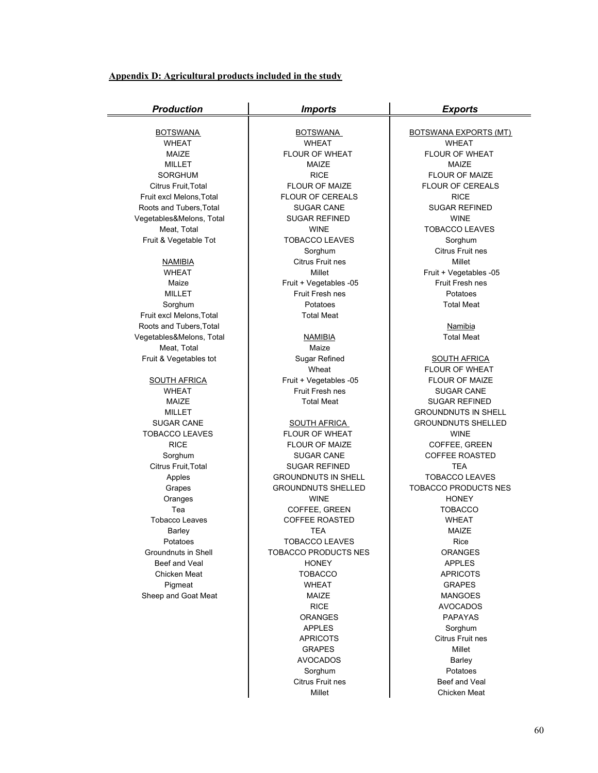#### **Appendix D: Agricultural products included in the study**

| <b>Production</b>                     | <b>Imports</b>                 | <b>Exports</b>                                   |  |  |  |
|---------------------------------------|--------------------------------|--------------------------------------------------|--|--|--|
|                                       |                                |                                                  |  |  |  |
| <b>BOTSWANA</b>                       | <b>BOTSWANA</b>                | <b>BOTSWANA EXPORTS (MT)</b>                     |  |  |  |
| <b>WHEAT</b>                          | <b>WHEAT</b><br>FLOUR OF WHEAT | <b>WHEAT</b><br>FLOUR OF WHEAT                   |  |  |  |
| MAIZE                                 |                                | MAIZE                                            |  |  |  |
| <b>MILLET</b>                         | MAIZE<br><b>RICE</b>           |                                                  |  |  |  |
| <b>SORGHUM</b><br>Citrus Fruit, Total | <b>FLOUR OF MAIZE</b>          | <b>FLOUR OF MAIZE</b><br><b>FLOUR OF CEREALS</b> |  |  |  |
| Fruit excl Melons, Total              | <b>FLOUR OF CEREALS</b>        | <b>RICE</b>                                      |  |  |  |
| Roots and Tubers, Total               | <b>SUGAR CANE</b>              | <b>SUGAR REFINED</b>                             |  |  |  |
| Vegetables&Melons, Total              | <b>SUGAR REFINED</b>           | <b>WINE</b>                                      |  |  |  |
| Meat, Total                           | <b>WINE</b>                    | <b>TOBACCO LEAVES</b>                            |  |  |  |
| Fruit & Vegetable Tot                 | <b>TOBACCO LEAVES</b>          | Sorghum                                          |  |  |  |
|                                       | Sorghum                        | Citrus Fruit nes                                 |  |  |  |
| <b>NAMIBIA</b>                        | Citrus Fruit nes               | Millet                                           |  |  |  |
| <b>WHEAT</b>                          | Millet                         | Fruit + Vegetables -05                           |  |  |  |
| Maize                                 | Fruit + Vegetables -05         | Fruit Fresh nes                                  |  |  |  |
| <b>MILLET</b>                         | Fruit Fresh nes                | Potatoes                                         |  |  |  |
| Sorghum                               | Potatoes                       | <b>Total Meat</b>                                |  |  |  |
| Fruit excl Melons, Total              | <b>Total Meat</b>              |                                                  |  |  |  |
| Roots and Tubers, Total               |                                | <b>Namibia</b>                                   |  |  |  |
| Vegetables&Melons, Total              | <b>NAMIBIA</b>                 | <b>Total Meat</b>                                |  |  |  |
| Meat, Total                           | Maize                          |                                                  |  |  |  |
| Fruit & Vegetables tot                | Sugar Refined                  | <b>SOUTH AFRICA</b>                              |  |  |  |
|                                       | Wheat                          | <b>FLOUR OF WHEAT</b>                            |  |  |  |
| <b>SOUTH AFRICA</b>                   | Fruit + Vegetables -05         | <b>FLOUR OF MAIZE</b>                            |  |  |  |
| <b>WHEAT</b>                          | Fruit Fresh nes                | <b>SUGAR CANE</b>                                |  |  |  |
| MAIZE                                 | <b>Total Meat</b>              | <b>SUGAR REFINED</b>                             |  |  |  |
| <b>MILLET</b>                         |                                | <b>GROUNDNUTS IN SHELL</b>                       |  |  |  |
| <b>SUGAR CANE</b>                     | <b>SOUTH AFRICA</b>            | <b>GROUNDNUTS SHELLED</b>                        |  |  |  |
| <b>TOBACCO LEAVES</b>                 | <b>FLOUR OF WHEAT</b>          | <b>WINE</b>                                      |  |  |  |
| <b>RICE</b>                           | <b>FLOUR OF MAIZE</b>          | COFFEE, GREEN                                    |  |  |  |
| Sorghum                               | <b>SUGAR CANE</b>              | <b>COFFEE ROASTED</b>                            |  |  |  |
| Citrus Fruit, Total                   | <b>SUGAR REFINED</b>           | <b>TEA</b>                                       |  |  |  |
| Apples                                | <b>GROUNDNUTS IN SHELL</b>     | <b>TOBACCO LEAVES</b>                            |  |  |  |
| Grapes                                | <b>GROUNDNUTS SHELLED</b>      | <b>TOBACCO PRODUCTS NES</b>                      |  |  |  |
| Oranges                               | <b>WINE</b>                    | <b>HONEY</b>                                     |  |  |  |
| Tea                                   | COFFEE, GREEN                  | <b>TOBACCO</b>                                   |  |  |  |
| <b>Tobacco Leaves</b>                 | <b>COFFEE ROASTED</b>          | <b>WHEAT</b>                                     |  |  |  |
| Barley                                | TEA                            | MAIZE                                            |  |  |  |
| Potatoes                              | <b>TOBACCO LEAVES</b>          | Rice                                             |  |  |  |
| Groundnuts in Shell                   | <b>TOBACCO PRODUCTS NES</b>    | <b>ORANGES</b>                                   |  |  |  |
| Beef and Veal<br>Chicken Meat         | <b>HONEY</b>                   | <b>APPLES</b>                                    |  |  |  |
|                                       | <b>TOBACCO</b>                 | <b>APRICOTS</b>                                  |  |  |  |
| Pigmeat<br>Sheep and Goat Meat        | <b>WHEAT</b><br>MAIZE          | <b>GRAPES</b>                                    |  |  |  |
|                                       | <b>RICE</b>                    | <b>MANGOES</b><br><b>AVOCADOS</b>                |  |  |  |
|                                       | <b>ORANGES</b>                 | <b>PAPAYAS</b>                                   |  |  |  |
|                                       | <b>APPLES</b>                  | Sorghum                                          |  |  |  |
|                                       | <b>APRICOTS</b>                | Citrus Fruit nes                                 |  |  |  |
|                                       | <b>GRAPES</b>                  | Millet                                           |  |  |  |
|                                       | <b>AVOCADOS</b>                | Barley                                           |  |  |  |
|                                       | Sorghum                        | Potatoes                                         |  |  |  |
|                                       | Citrus Fruit nes               | Beef and Veal                                    |  |  |  |

Millet **Chicken Meat**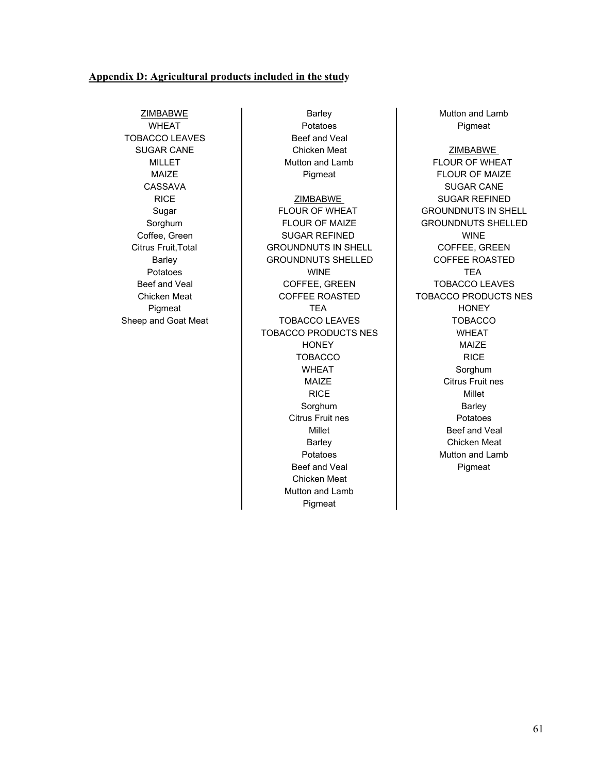#### **Appendix D: Agricultural products included in the study**

ZIMBABWE **Barley Barley** Barley **Mutton and Lamb** WHEAT Potatoes Pigmeat TOBACCO LEAVES Beef and Veal

SUGAR CANE **Chicken Meat Chicken Meat Chicken Meat** MILLET **Nutton and Lamb FLOUR OF WHEAT** MAIZE Pigmeat Pigmeat FLOUR OF MAIZE CASSAVA SUGAR CANE RICE | ZIMBABWE | SUGAR REFINED Sugar FLOUR OF WHEAT GROUNDNUTS IN SHELL Sorghum FLOUR OF MAIZE GROUNDNUTS SHELLED Coffee, Green **National SUGAR REFINED NINE** Citrus Fruit, Total **CHOUND EXECUTS** IN SHELL **COFFEE, GREEN** Barley GROUNDNUTS SHELLED COFFEE ROASTED Potatoes **Notifiable Struck (NRT)** WINE **TEA** Beef and Veal **Example 2** COFFEE, GREEN **TOBACCO LEAVES** Chicken Meat **COFFEE ROASTED** TOBACCO PRODUCTS NES Pigmeat TEA HONEY Sheep and Goat Meat **TOBACCO LEAVES** TOBACCO TOBACCO PRODUCTS NES | WHEAT HONEY MAIZE TOBACCO **I** RICE WHEAT **Now Sorghum** RICE **Nillet** Sorghum **Barley** Citrus Fruit nes **Potations** Beef and Veal Pigmeat Chicken Meat Mutton and Lamb

Pigmeat

MAIZE **NAIZE Citrus Fruit nes** Millet **Beef** and Veal Barley **Chicken Meat** Potatoes **Mutton** and Lamb